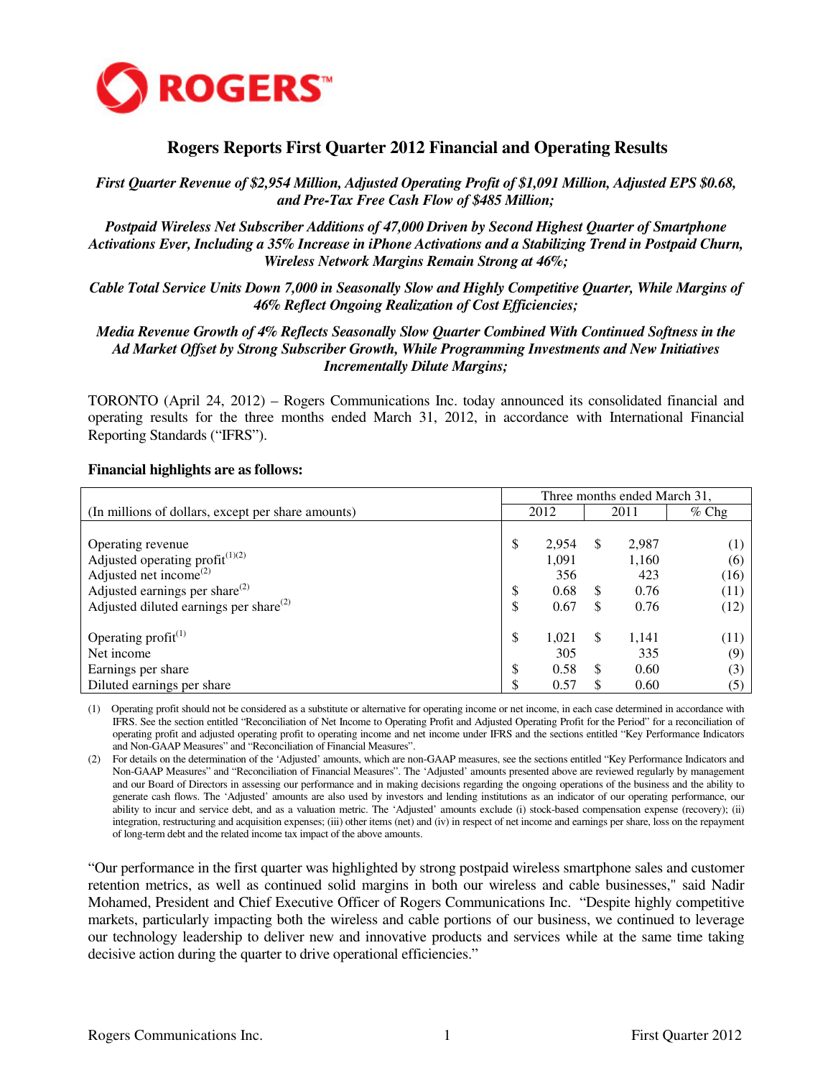

# **Rogers Reports First Quarter 2012 Financial and Operating Results**

*First Quarter Revenue of \$2,954 Million, Adjusted Operating Profit of \$1,091 Million, Adjusted EPS \$0.68, and Pre-Tax Free Cash Flow of \$485 Million;* 

*Postpaid Wireless Net Subscriber Additions of 47,000 Driven by Second Highest Quarter of Smartphone Activations Ever, Including a 35% Increase in iPhone Activations and a Stabilizing Trend in Postpaid Churn, Wireless Network Margins Remain Strong at 46%;* 

*Cable Total Service Units Down 7,000 in Seasonally Slow and Highly Competitive Quarter, While Margins of 46% Reflect Ongoing Realization of Cost Efficiencies;* 

*Media Revenue Growth of 4% Reflects Seasonally Slow Quarter Combined With Continued Softness in the Ad Market Offset by Strong Subscriber Growth, While Programming Investments and New Initiatives Incrementally Dilute Margins;* 

TORONTO (April 24, 2012) – Rogers Communications Inc. today announced its consolidated financial and operating results for the three months ended March 31, 2012, in accordance with International Financial Reporting Standards ("IFRS").

|                                                    | Three months ended March 31, |       |               |       |         |  |
|----------------------------------------------------|------------------------------|-------|---------------|-------|---------|--|
| (In millions of dollars, except per share amounts) |                              | 2012  |               | 2011  | $%$ Chg |  |
|                                                    |                              |       |               |       |         |  |
| Operating revenue                                  | \$                           | 2.954 | <sup>\$</sup> | 2,987 |         |  |
| Adjusted operating profit $(1)(2)$                 |                              | 1,091 |               | 1,160 | (6)     |  |
| Adjusted net income <sup>(2)</sup>                 |                              | 356   |               | 423   | (16)    |  |
| Adjusted earnings per share <sup>(2)</sup>         | \$                           | 0.68  | <sup>\$</sup> | 0.76  | (11)    |  |
| Adjusted diluted earnings per share $^{(2)}$       | \$                           | 0.67  |               | 0.76  | (12)    |  |
|                                                    |                              |       |               |       |         |  |
| Operating $profit^{(1)}$                           | \$                           | 1.021 | <sup>\$</sup> | 1,141 | (11)    |  |
| Net income                                         |                              | 305   |               | 335   | (9)     |  |
| Earnings per share                                 | \$                           | 0.58  | £.            | 0.60  | (3)     |  |
| Diluted earnings per share                         | \$                           | 0.57  |               | 0.60  |         |  |

#### **Financial highlights are as follows:**

(1) Operating profit should not be considered as a substitute or alternative for operating income or net income, in each case determined in accordance with IFRS. See the section entitled "Reconciliation of Net Income to Operating Profit and Adjusted Operating Profit for the Period" for a reconciliation of operating profit and adjusted operating profit to operating income and net income under IFRS and the sections entitled "Key Performance Indicators and Non-GAAP Measures" and "Reconciliation of Financial Measures".

(2) For details on the determination of the 'Adjusted' amounts, which are non-GAAP measures, see the sections entitled "Key Performance Indicators and Non-GAAP Measures" and "Reconciliation of Financial Measures". The 'Adjusted' amounts presented above are reviewed regularly by management and our Board of Directors in assessing our performance and in making decisions regarding the ongoing operations of the business and the ability to generate cash flows. The 'Adjusted' amounts are also used by investors and lending institutions as an indicator of our operating performance, our ability to incur and service debt, and as a valuation metric. The 'Adjusted' amounts exclude (i) stock-based compensation expense (recovery); (ii) integration, restructuring and acquisition expenses; (iii) other items (net) and (iv) in respect of net income and earnings per share, loss on the repayment of long-term debt and the related income tax impact of the above amounts.

"Our performance in the first quarter was highlighted by strong postpaid wireless smartphone sales and customer retention metrics, as well as continued solid margins in both our wireless and cable businesses," said Nadir Mohamed, President and Chief Executive Officer of Rogers Communications Inc. "Despite highly competitive markets, particularly impacting both the wireless and cable portions of our business, we continued to leverage our technology leadership to deliver new and innovative products and services while at the same time taking decisive action during the quarter to drive operational efficiencies."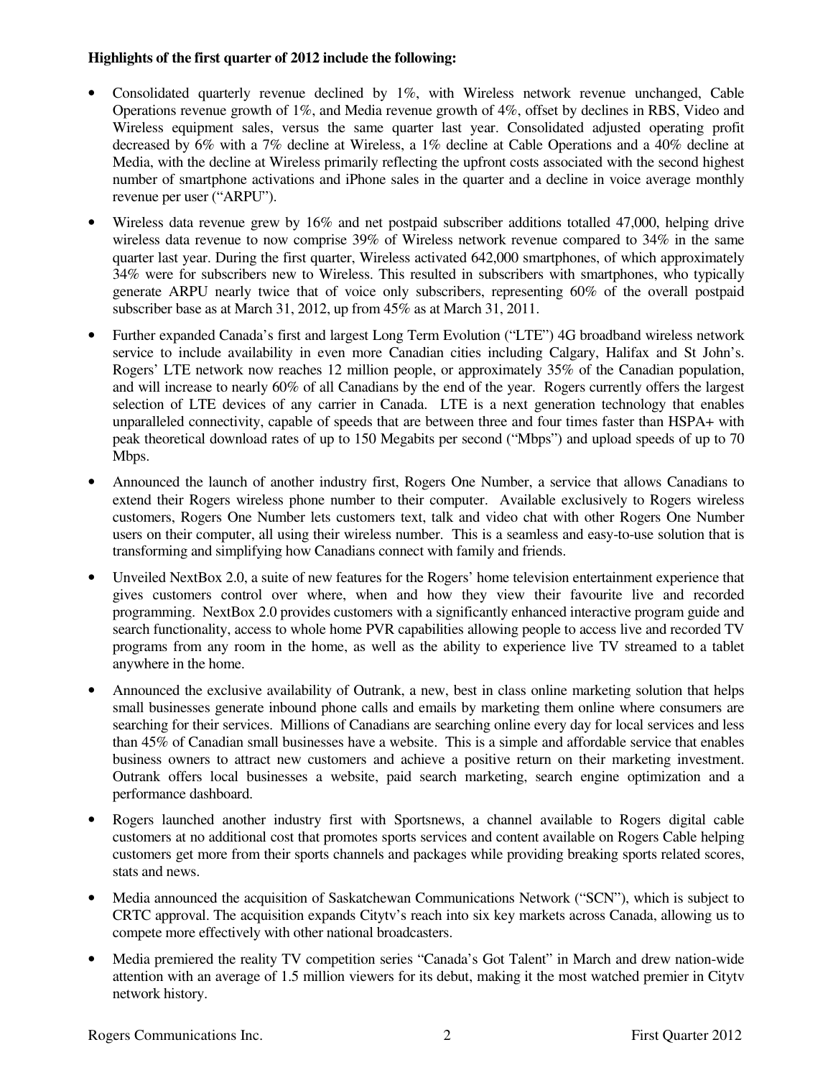## **Highlights of the first quarter of 2012 include the following:**

- Consolidated quarterly revenue declined by 1%, with Wireless network revenue unchanged, Cable Operations revenue growth of 1%, and Media revenue growth of 4%, offset by declines in RBS, Video and Wireless equipment sales, versus the same quarter last year. Consolidated adjusted operating profit decreased by 6% with a 7% decline at Wireless, a 1% decline at Cable Operations and a 40% decline at Media, with the decline at Wireless primarily reflecting the upfront costs associated with the second highest number of smartphone activations and iPhone sales in the quarter and a decline in voice average monthly revenue per user ("ARPU").
- Wireless data revenue grew by 16% and net postpaid subscriber additions totalled 47,000, helping drive wireless data revenue to now comprise 39% of Wireless network revenue compared to 34% in the same quarter last year. During the first quarter, Wireless activated 642,000 smartphones, of which approximately 34% were for subscribers new to Wireless. This resulted in subscribers with smartphones, who typically generate ARPU nearly twice that of voice only subscribers, representing 60% of the overall postpaid subscriber base as at March 31, 2012, up from 45% as at March 31, 2011.
- Further expanded Canada's first and largest Long Term Evolution ("LTE") 4G broadband wireless network service to include availability in even more Canadian cities including Calgary, Halifax and St John's. Rogers' LTE network now reaches 12 million people, or approximately 35% of the Canadian population, and will increase to nearly 60% of all Canadians by the end of the year. Rogers currently offers the largest selection of LTE devices of any carrier in Canada. LTE is a next generation technology that enables unparalleled connectivity, capable of speeds that are between three and four times faster than HSPA+ with peak theoretical download rates of up to 150 Megabits per second ("Mbps") and upload speeds of up to 70 Mbps.
- Announced the launch of another industry first, Rogers One Number, a service that allows Canadians to extend their Rogers wireless phone number to their computer. Available exclusively to Rogers wireless customers, Rogers One Number lets customers text, talk and video chat with other Rogers One Number users on their computer, all using their wireless number. This is a seamless and easy-to-use solution that is transforming and simplifying how Canadians connect with family and friends.
- Unveiled NextBox 2.0, a suite of new features for the Rogers' home television entertainment experience that gives customers control over where, when and how they view their favourite live and recorded programming. NextBox 2.0 provides customers with a significantly enhanced interactive program guide and search functionality, access to whole home PVR capabilities allowing people to access live and recorded TV programs from any room in the home, as well as the ability to experience live TV streamed to a tablet anywhere in the home.
- Announced the exclusive availability of Outrank, a new, best in class online marketing solution that helps small businesses generate inbound phone calls and emails by marketing them online where consumers are searching for their services. Millions of Canadians are searching online every day for local services and less than 45% of Canadian small businesses have a website. This is a simple and affordable service that enables business owners to attract new customers and achieve a positive return on their marketing investment. Outrank offers local businesses a website, paid search marketing, search engine optimization and a performance dashboard.
- Rogers launched another industry first with Sportsnews, a channel available to Rogers digital cable customers at no additional cost that promotes sports services and content available on Rogers Cable helping customers get more from their sports channels and packages while providing breaking sports related scores, stats and news.
- Media announced the acquisition of Saskatchewan Communications Network ("SCN"), which is subject to CRTC approval. The acquisition expands Citytv's reach into six key markets across Canada, allowing us to compete more effectively with other national broadcasters.
- Media premiered the reality TV competition series "Canada's Got Talent" in March and drew nation-wide attention with an average of 1.5 million viewers for its debut, making it the most watched premier in Citytv network history.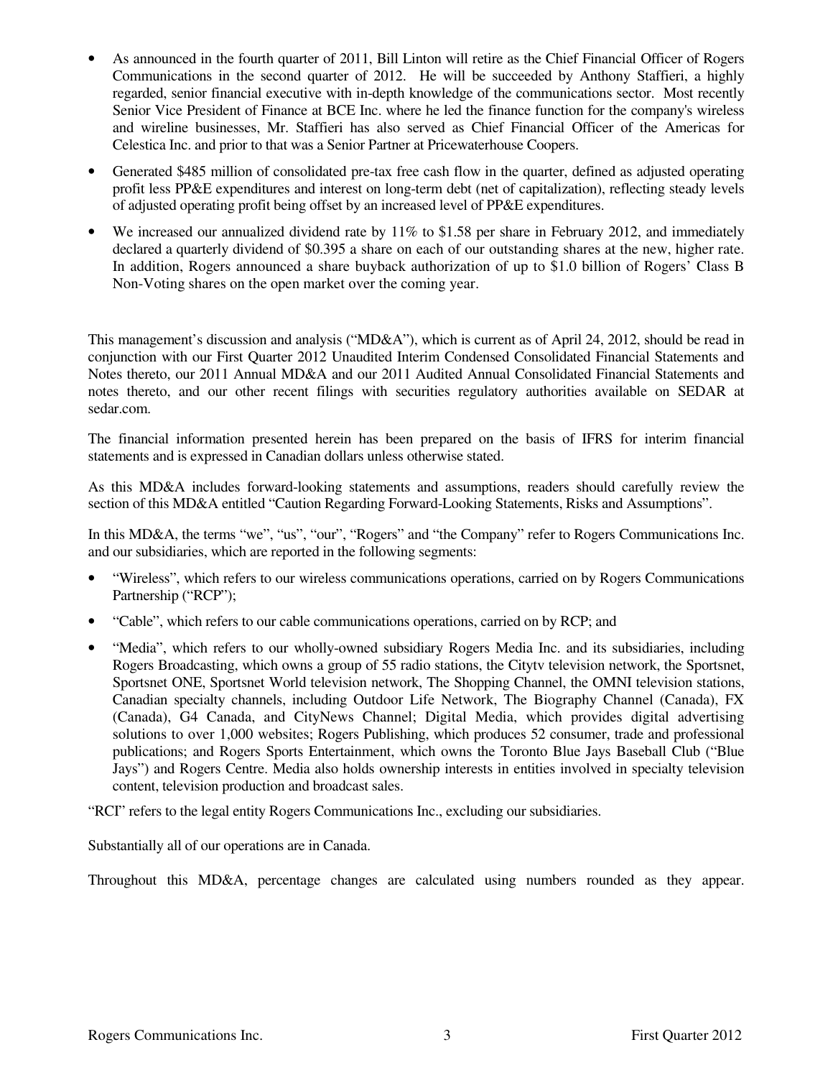- As announced in the fourth quarter of 2011, Bill Linton will retire as the Chief Financial Officer of Rogers Communications in the second quarter of 2012. He will be succeeded by Anthony Staffieri, a highly regarded, senior financial executive with in-depth knowledge of the communications sector. Most recently Senior Vice President of Finance at BCE Inc. where he led the finance function for the company's wireless and wireline businesses, Mr. Staffieri has also served as Chief Financial Officer of the Americas for Celestica Inc. and prior to that was a Senior Partner at Pricewaterhouse Coopers.
- Generated \$485 million of consolidated pre-tax free cash flow in the quarter, defined as adjusted operating profit less PP&E expenditures and interest on long-term debt (net of capitalization), reflecting steady levels of adjusted operating profit being offset by an increased level of PP&E expenditures.
- We increased our annualized dividend rate by 11% to \$1.58 per share in February 2012, and immediately declared a quarterly dividend of \$0.395 a share on each of our outstanding shares at the new, higher rate. In addition, Rogers announced a share buyback authorization of up to \$1.0 billion of Rogers' Class B Non-Voting shares on the open market over the coming year.

This management's discussion and analysis ("MD&A"), which is current as of April 24, 2012, should be read in conjunction with our First Quarter 2012 Unaudited Interim Condensed Consolidated Financial Statements and Notes thereto, our 2011 Annual MD&A and our 2011 Audited Annual Consolidated Financial Statements and notes thereto, and our other recent filings with securities regulatory authorities available on SEDAR at sedar.com.

The financial information presented herein has been prepared on the basis of IFRS for interim financial statements and is expressed in Canadian dollars unless otherwise stated.

As this MD&A includes forward-looking statements and assumptions, readers should carefully review the section of this MD&A entitled "Caution Regarding Forward-Looking Statements, Risks and Assumptions".

In this MD&A, the terms "we", "us", "our", "Rogers" and "the Company" refer to Rogers Communications Inc. and our subsidiaries, which are reported in the following segments:

- "Wireless", which refers to our wireless communications operations, carried on by Rogers Communications Partnership ("RCP");
- "Cable", which refers to our cable communications operations, carried on by RCP; and
- "Media", which refers to our wholly-owned subsidiary Rogers Media Inc. and its subsidiaries, including Rogers Broadcasting, which owns a group of 55 radio stations, the Citytv television network, the Sportsnet, Sportsnet ONE, Sportsnet World television network, The Shopping Channel, the OMNI television stations, Canadian specialty channels, including Outdoor Life Network, The Biography Channel (Canada), FX (Canada), G4 Canada, and CityNews Channel; Digital Media, which provides digital advertising solutions to over 1,000 websites; Rogers Publishing, which produces 52 consumer, trade and professional publications; and Rogers Sports Entertainment, which owns the Toronto Blue Jays Baseball Club ("Blue Jays") and Rogers Centre. Media also holds ownership interests in entities involved in specialty television content, television production and broadcast sales.

"RCI" refers to the legal entity Rogers Communications Inc., excluding our subsidiaries.

Substantially all of our operations are in Canada.

Throughout this MD&A, percentage changes are calculated using numbers rounded as they appear.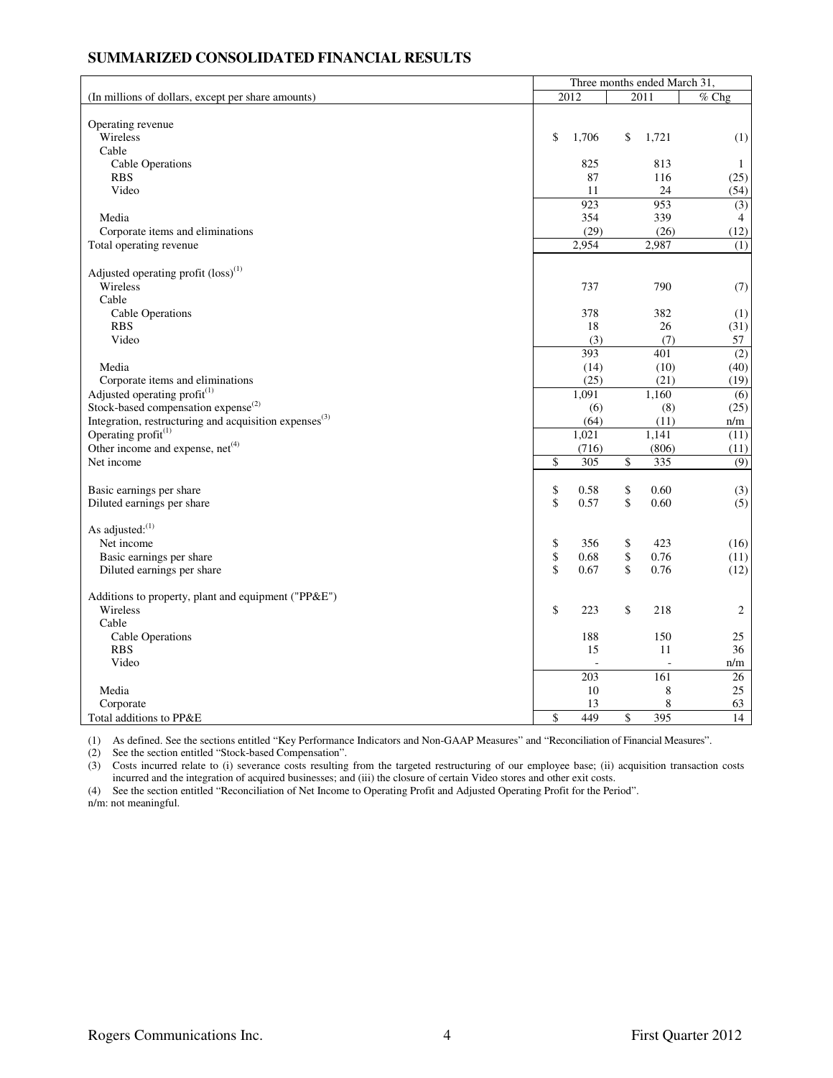### **SUMMARIZED CONSOLIDATED FINANCIAL RESULTS**

|                                                                    | Three months ended March 31, |       |    |       |                  |  |  |  |
|--------------------------------------------------------------------|------------------------------|-------|----|-------|------------------|--|--|--|
| (In millions of dollars, except per share amounts)                 |                              | 2012  |    | 2011  | $%$ Chg          |  |  |  |
|                                                                    |                              |       |    |       |                  |  |  |  |
| Operating revenue                                                  |                              |       |    |       |                  |  |  |  |
| Wireless                                                           | \$                           | 1,706 | \$ | 1,721 | (1)              |  |  |  |
| Cable                                                              |                              |       |    |       |                  |  |  |  |
| Cable Operations                                                   |                              | 825   |    | 813   | 1                |  |  |  |
| <b>RBS</b>                                                         |                              | 87    |    | 116   | (25)             |  |  |  |
| Video                                                              |                              | 11    |    | 24    | (54)             |  |  |  |
|                                                                    |                              | 923   |    | 953   | (3)              |  |  |  |
| Media                                                              |                              | 354   |    | 339   | 4                |  |  |  |
| Corporate items and eliminations                                   |                              | (29)  |    | (26)  | (12)             |  |  |  |
| Total operating revenue                                            |                              | 2,954 |    | 2,987 | (1)              |  |  |  |
|                                                                    |                              |       |    |       |                  |  |  |  |
| Adjusted operating profit $(\text{loss})^{(1)}$                    |                              |       |    |       |                  |  |  |  |
| Wireless                                                           |                              | 737   |    | 790   | (7)              |  |  |  |
| Cable                                                              |                              |       |    |       |                  |  |  |  |
| Cable Operations                                                   |                              | 378   |    | 382   | (1)              |  |  |  |
| <b>RBS</b>                                                         |                              | 18    |    | 26    | (31)             |  |  |  |
| Video                                                              |                              | (3)   |    | (7)   | 57               |  |  |  |
|                                                                    |                              | 393   |    | 401   | $\overline{(2)}$ |  |  |  |
| Media                                                              |                              | (14)  |    | (10)  | (40)             |  |  |  |
| Corporate items and eliminations                                   |                              | (25)  |    | (21)  | (19)             |  |  |  |
| Adjusted operating profit $(1)$                                    |                              | 1.091 |    | 1.160 | $\overline{(6)}$ |  |  |  |
| Stock-based compensation expense <sup>(2)</sup>                    |                              | (6)   |    | (8)   | (25)             |  |  |  |
| Integration, restructuring and acquisition expenses <sup>(3)</sup> |                              | (64)  |    | (11)  | n/m              |  |  |  |
| Operating profit <sup>(1)</sup>                                    |                              | 1,021 |    | 1,141 | (11)             |  |  |  |
| Other income and expense, net <sup>(4)</sup>                       |                              | (716) |    | (806) | (11)             |  |  |  |
| Net income                                                         | \$                           | 305   | \$ | 335   | (9)              |  |  |  |
|                                                                    |                              |       |    |       |                  |  |  |  |
| Basic earnings per share                                           | \$                           | 0.58  | \$ | 0.60  | (3)              |  |  |  |
| Diluted earnings per share                                         | $\mathbf{\hat{S}}$           | 0.57  | \$ | 0.60  | (5)              |  |  |  |
|                                                                    |                              |       |    |       |                  |  |  |  |
| As adjusted: <sup>(1)</sup>                                        |                              |       |    |       |                  |  |  |  |
| Net income                                                         | \$                           | 356   | \$ | 423   | (16)             |  |  |  |
| Basic earnings per share                                           | \$                           | 0.68  | \$ | 0.76  | (11)             |  |  |  |
| Diluted earnings per share                                         | \$                           | 0.67  | \$ | 0.76  | (12)             |  |  |  |
|                                                                    |                              |       |    |       |                  |  |  |  |
| Additions to property, plant and equipment ("PP&E")                |                              |       |    |       |                  |  |  |  |
| Wireless                                                           | \$                           | 223   | \$ | 218   | 2                |  |  |  |
| Cable                                                              |                              |       |    |       |                  |  |  |  |
| Cable Operations                                                   |                              | 188   |    | 150   | 25               |  |  |  |
| <b>RBS</b>                                                         |                              | 15    |    | 11    | 36               |  |  |  |
| Video                                                              |                              |       |    |       | n/m              |  |  |  |
|                                                                    |                              | 203   |    | 161   | 26               |  |  |  |
| Media                                                              |                              | 10    |    | 8     | 25               |  |  |  |
| Corporate                                                          |                              | 13    |    | 8     | 63               |  |  |  |
| Total additions to PP&E                                            | \$                           | 449   | \$ | 395   | 14               |  |  |  |
|                                                                    |                              |       |    |       |                  |  |  |  |

(1) As defined. See the sections entitled "Key Performance Indicators and Non-GAAP Measures" and "Reconciliation of Financial Measures".

(2) See the section entitled "Stock-based Compensation".

(3) Costs incurred relate to (i) severance costs resulting from the targeted restructuring of our employee base; (ii) acquisition transaction costs incurred and the integration of acquired businesses; and (iii) the closure of certain Video stores and other exit costs.

(4) See the section entitled "Reconciliation of Net Income to Operating Profit and Adjusted Operating Profit for the Period".

n/m: not meaningful.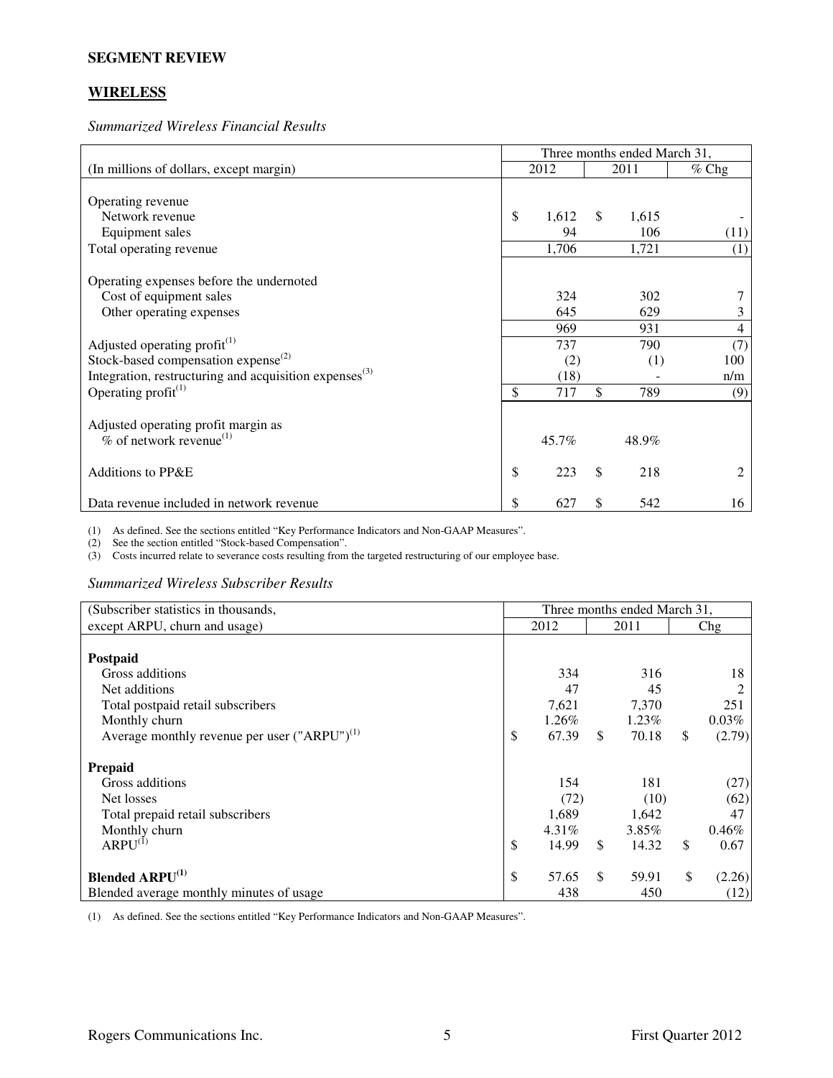#### **SEGMENT REVIEW**

# **WIRELESS**

*Summarized Wireless Financial Results* 

|                                                                    | Three months ended March 31, |       |              |       |         |  |  |
|--------------------------------------------------------------------|------------------------------|-------|--------------|-------|---------|--|--|
| (In millions of dollars, except margin)                            |                              | 2012  |              | 2011  | $%$ Chg |  |  |
|                                                                    |                              |       |              |       |         |  |  |
| Operating revenue                                                  |                              |       |              |       |         |  |  |
| Network revenue                                                    | \$                           | 1,612 | $\mathbb{S}$ | 1,615 |         |  |  |
| Equipment sales                                                    |                              | 94    |              | 106   | (11)    |  |  |
| Total operating revenue                                            |                              | 1,706 |              | 1,721 | (1)     |  |  |
|                                                                    |                              |       |              |       |         |  |  |
| Operating expenses before the undernoted                           |                              |       |              |       |         |  |  |
| Cost of equipment sales                                            |                              | 324   |              | 302   |         |  |  |
| Other operating expenses                                           |                              | 645   |              | 629   | 3       |  |  |
|                                                                    |                              | 969   |              | 931   | 4       |  |  |
| Adjusted operating profit $(1)$                                    |                              | 737   |              | 790   | (7)     |  |  |
| Stock-based compensation expense $^{(2)}$                          |                              | (2)   |              | (1)   | 100     |  |  |
| Integration, restructuring and acquisition expenses <sup>(3)</sup> |                              | (18)  |              |       | n/m     |  |  |
| Operating profit $(1)$                                             | \$                           | 717   | \$           | 789   | (9)     |  |  |
|                                                                    |                              |       |              |       |         |  |  |
| Adjusted operating profit margin as                                |                              |       |              |       |         |  |  |
| $%$ of network revenue <sup>(1)</sup>                              |                              | 45.7% |              | 48.9% |         |  |  |
|                                                                    |                              |       |              |       |         |  |  |
| Additions to PP&E                                                  | \$                           | 223   | \$           | 218   | 2       |  |  |
|                                                                    |                              |       |              |       |         |  |  |
| Data revenue included in network revenue                           | \$                           | 627   | \$           | 542   | 16      |  |  |

(1) As defined. See the sections entitled "Key Performance Indicators and Non-GAAP Measures".

(2) See the section entitled "Stock-based Compensation".

(3) Costs incurred relate to severance costs resulting from the targeted restructuring of our employee base.

*Summarized Wireless Subscriber Results* 

| (Subscriber statistics in thousands,              | Three months ended March 31, |       |    |          |    |        |  |
|---------------------------------------------------|------------------------------|-------|----|----------|----|--------|--|
| except ARPU, churn and usage)                     |                              | 2012  |    | 2011     |    | Chg    |  |
|                                                   |                              |       |    |          |    |        |  |
| Postpaid                                          |                              |       |    |          |    |        |  |
| Gross additions                                   |                              | 334   |    | 316      |    | 18     |  |
| Net additions                                     |                              | 47    |    | 45       |    |        |  |
| Total postpaid retail subscribers                 |                              | 7,621 |    | 7,370    |    | 251    |  |
| Monthly churn                                     |                              | 1.26% |    | $1.23\%$ |    | 0.03%  |  |
| Average monthly revenue per user $("ARPU")^{(1)}$ | \$                           | 67.39 | \$ | 70.18    | \$ | (2.79) |  |
| <b>Prepaid</b>                                    |                              |       |    |          |    |        |  |
| Gross additions                                   |                              | 154   |    | 181      |    | (27)   |  |
| Net losses                                        |                              | (72)  |    | (10)     |    | (62)   |  |
| Total prepaid retail subscribers                  |                              | 1,689 |    | 1,642    |    | 47     |  |
| Monthly churn                                     |                              | 4.31% |    | 3.85%    |    | 0.46%  |  |
| $ARPU^{(1)}$                                      | \$                           | 14.99 | \$ | 14.32    | \$ | 0.67   |  |
| <b>Blended ARPU<sup>(1)</sup></b>                 | \$                           | 57.65 | \$ | 59.91    | \$ | (2.26) |  |
| Blended average monthly minutes of usage          |                              | 438   |    | 450      |    | (12)   |  |

(1) As defined. See the sections entitled "Key Performance Indicators and Non-GAAP Measures".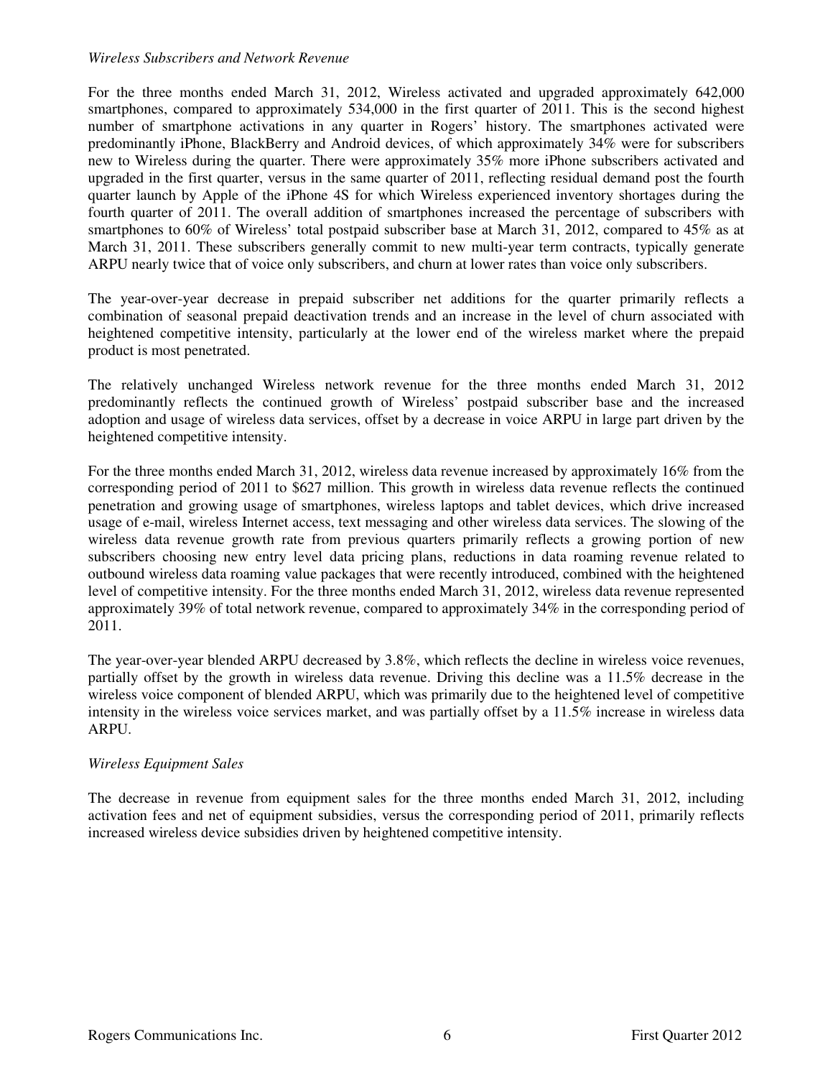#### *Wireless Subscribers and Network Revenue*

For the three months ended March 31, 2012, Wireless activated and upgraded approximately 642,000 smartphones, compared to approximately 534,000 in the first quarter of 2011. This is the second highest number of smartphone activations in any quarter in Rogers' history. The smartphones activated were predominantly iPhone, BlackBerry and Android devices, of which approximately 34% were for subscribers new to Wireless during the quarter. There were approximately 35% more iPhone subscribers activated and upgraded in the first quarter, versus in the same quarter of 2011, reflecting residual demand post the fourth quarter launch by Apple of the iPhone 4S for which Wireless experienced inventory shortages during the fourth quarter of 2011. The overall addition of smartphones increased the percentage of subscribers with smartphones to 60% of Wireless' total postpaid subscriber base at March 31, 2012, compared to 45% as at March 31, 2011. These subscribers generally commit to new multi-year term contracts, typically generate ARPU nearly twice that of voice only subscribers, and churn at lower rates than voice only subscribers.

The year-over-year decrease in prepaid subscriber net additions for the quarter primarily reflects a combination of seasonal prepaid deactivation trends and an increase in the level of churn associated with heightened competitive intensity, particularly at the lower end of the wireless market where the prepaid product is most penetrated.

The relatively unchanged Wireless network revenue for the three months ended March 31, 2012 predominantly reflects the continued growth of Wireless' postpaid subscriber base and the increased adoption and usage of wireless data services, offset by a decrease in voice ARPU in large part driven by the heightened competitive intensity.

For the three months ended March 31, 2012, wireless data revenue increased by approximately 16% from the corresponding period of 2011 to \$627 million. This growth in wireless data revenue reflects the continued penetration and growing usage of smartphones, wireless laptops and tablet devices, which drive increased usage of e-mail, wireless Internet access, text messaging and other wireless data services. The slowing of the wireless data revenue growth rate from previous quarters primarily reflects a growing portion of new subscribers choosing new entry level data pricing plans, reductions in data roaming revenue related to outbound wireless data roaming value packages that were recently introduced, combined with the heightened level of competitive intensity. For the three months ended March 31, 2012, wireless data revenue represented approximately 39% of total network revenue, compared to approximately 34% in the corresponding period of 2011.

The year-over-year blended ARPU decreased by 3.8%, which reflects the decline in wireless voice revenues, partially offset by the growth in wireless data revenue. Driving this decline was a 11.5% decrease in the wireless voice component of blended ARPU, which was primarily due to the heightened level of competitive intensity in the wireless voice services market, and was partially offset by a 11.5% increase in wireless data ARPU.

### *Wireless Equipment Sales*

The decrease in revenue from equipment sales for the three months ended March 31, 2012, including activation fees and net of equipment subsidies, versus the corresponding period of 2011, primarily reflects increased wireless device subsidies driven by heightened competitive intensity.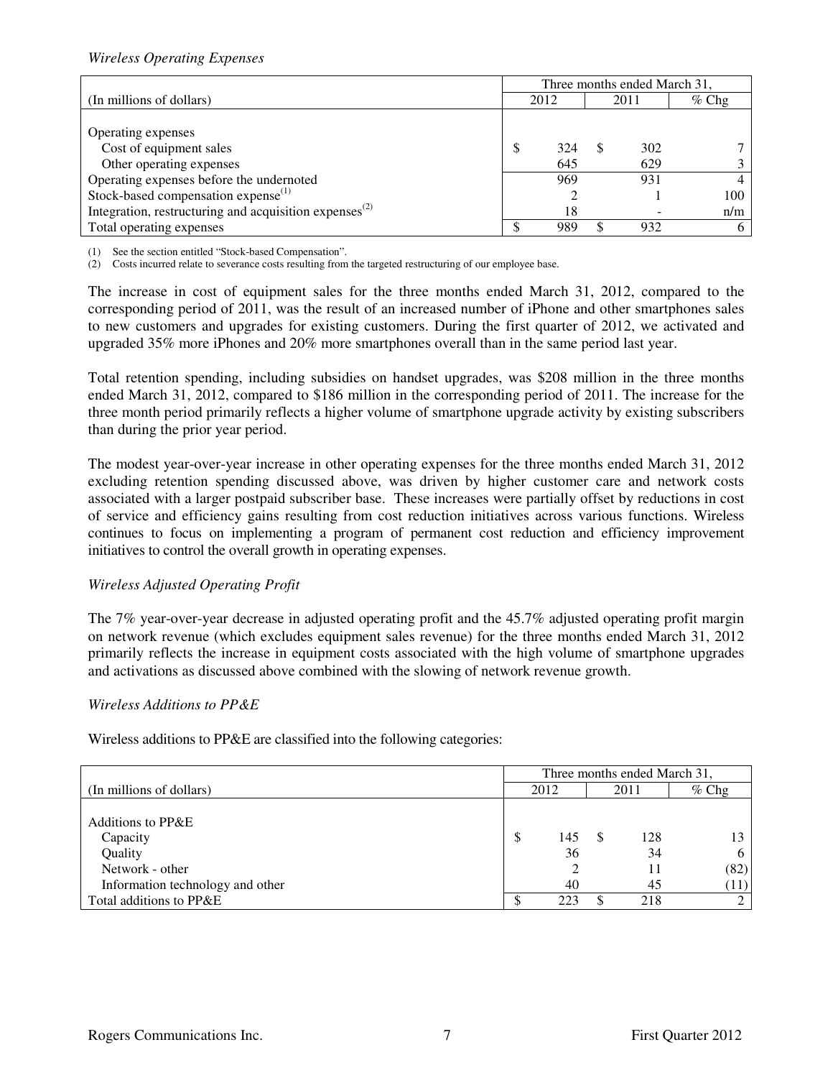## *Wireless Operating Expenses*

|                                                                                 | Three months ended March 31, |      |  |      |         |  |  |
|---------------------------------------------------------------------------------|------------------------------|------|--|------|---------|--|--|
| (In millions of dollars)                                                        |                              | 2012 |  | 2011 | $%$ Chg |  |  |
|                                                                                 |                              |      |  |      |         |  |  |
| Operating expenses                                                              |                              |      |  |      |         |  |  |
| Cost of equipment sales                                                         | S                            | 324  |  | 302  |         |  |  |
| Other operating expenses                                                        |                              | 645  |  | 629  |         |  |  |
| Operating expenses before the undernoted                                        |                              | 969  |  | 931  |         |  |  |
| Stock-based compensation expense <sup>(1)</sup>                                 |                              |      |  |      | 100     |  |  |
| Integration, restructuring and acquisition expenses <sup><math>(2)</math></sup> |                              | 18   |  |      | n/m     |  |  |
| Total operating expenses                                                        |                              | 989  |  | 932  |         |  |  |

(1) See the section entitled "Stock-based Compensation".

(2) Costs incurred relate to severance costs resulting from the targeted restructuring of our employee base.

The increase in cost of equipment sales for the three months ended March 31, 2012, compared to the corresponding period of 2011, was the result of an increased number of iPhone and other smartphones sales to new customers and upgrades for existing customers. During the first quarter of 2012, we activated and upgraded 35% more iPhones and 20% more smartphones overall than in the same period last year.

Total retention spending, including subsidies on handset upgrades, was \$208 million in the three months ended March 31, 2012, compared to \$186 million in the corresponding period of 2011. The increase for the three month period primarily reflects a higher volume of smartphone upgrade activity by existing subscribers than during the prior year period.

The modest year-over-year increase in other operating expenses for the three months ended March 31, 2012 excluding retention spending discussed above, was driven by higher customer care and network costs associated with a larger postpaid subscriber base. These increases were partially offset by reductions in cost of service and efficiency gains resulting from cost reduction initiatives across various functions. Wireless continues to focus on implementing a program of permanent cost reduction and efficiency improvement initiatives to control the overall growth in operating expenses.

### *Wireless Adjusted Operating Profit*

The 7% year-over-year decrease in adjusted operating profit and the 45.7% adjusted operating profit margin on network revenue (which excludes equipment sales revenue) for the three months ended March 31, 2012 primarily reflects the increase in equipment costs associated with the high volume of smartphone upgrades and activations as discussed above combined with the slowing of network revenue growth.

## *Wireless Additions to PP&E*

Wireless additions to PP&E are classified into the following categories:

|                                  | Three months ended March 31, |     |          |     |      |  |         |
|----------------------------------|------------------------------|-----|----------|-----|------|--|---------|
| (In millions of dollars)         | 2012                         |     | 2011     |     |      |  | $%$ Chg |
|                                  |                              |     |          |     |      |  |         |
| Additions to PP&E                |                              |     |          |     |      |  |         |
| Capacity                         | S                            | 145 | <b>S</b> | 128 | 13   |  |         |
| Quality                          |                              | 36  |          | 34  | 6    |  |         |
| Network - other                  |                              |     |          | 11  | (82) |  |         |
| Information technology and other |                              | 40  |          | 45  | (11) |  |         |
| Total additions to PP&E          | AU.                          | 223 | S.       | 218 |      |  |         |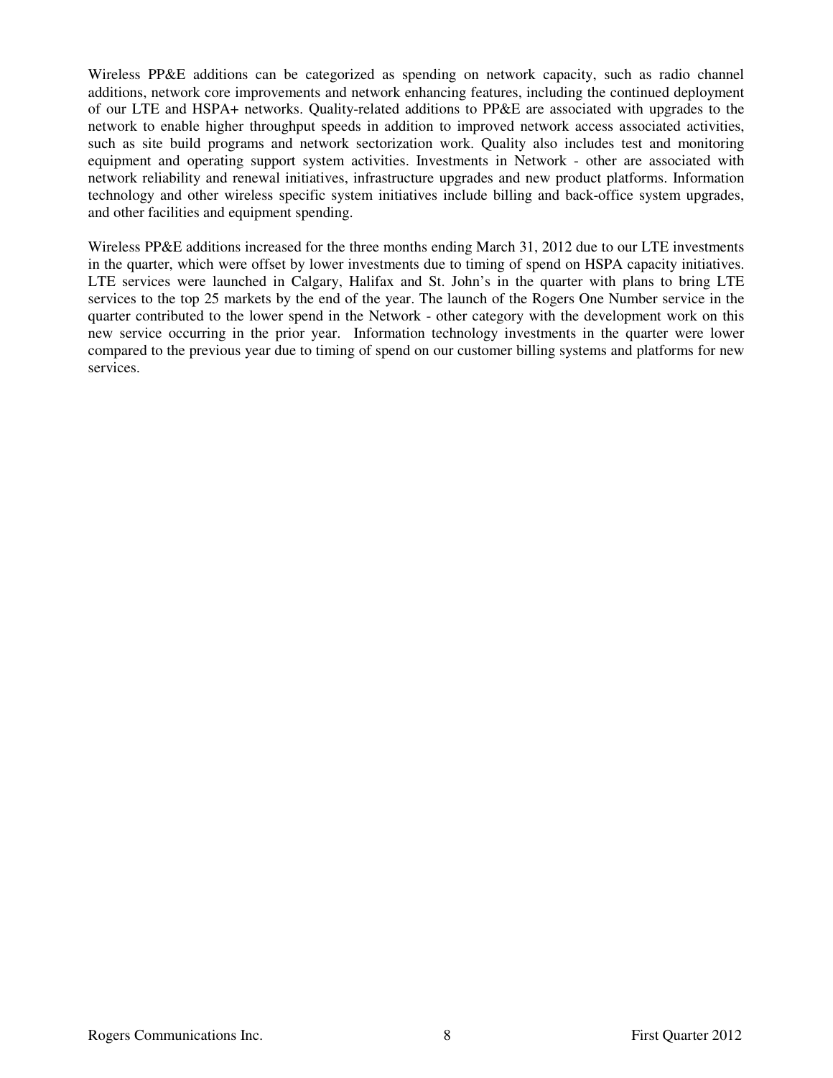Wireless PP&E additions can be categorized as spending on network capacity, such as radio channel additions, network core improvements and network enhancing features, including the continued deployment of our LTE and HSPA+ networks. Quality-related additions to PP&E are associated with upgrades to the network to enable higher throughput speeds in addition to improved network access associated activities, such as site build programs and network sectorization work. Quality also includes test and monitoring equipment and operating support system activities. Investments in Network - other are associated with network reliability and renewal initiatives, infrastructure upgrades and new product platforms. Information technology and other wireless specific system initiatives include billing and back-office system upgrades, and other facilities and equipment spending.

Wireless PP&E additions increased for the three months ending March 31, 2012 due to our LTE investments in the quarter, which were offset by lower investments due to timing of spend on HSPA capacity initiatives. LTE services were launched in Calgary, Halifax and St. John's in the quarter with plans to bring LTE services to the top 25 markets by the end of the year. The launch of the Rogers One Number service in the quarter contributed to the lower spend in the Network - other category with the development work on this new service occurring in the prior year. Information technology investments in the quarter were lower compared to the previous year due to timing of spend on our customer billing systems and platforms for new services.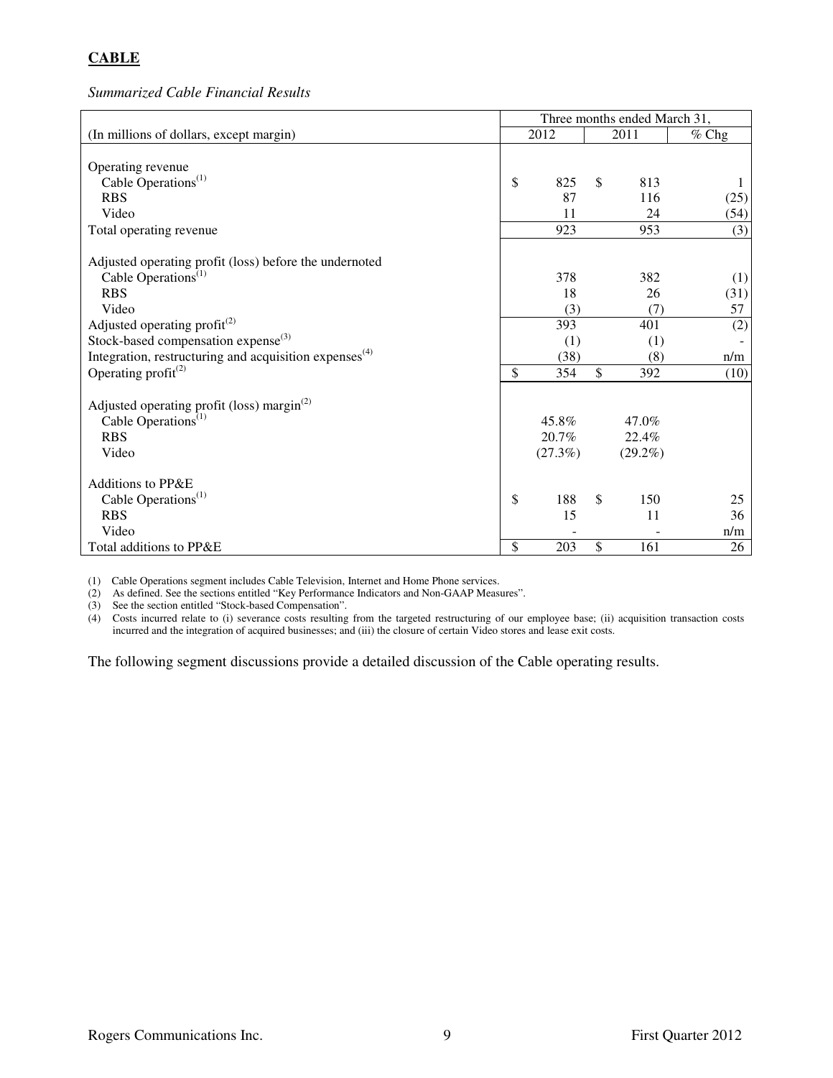# **CABLE**

*Summarized Cable Financial Results* 

|                                                              | Three months ended March 31, |         |              |            |         |  |  |
|--------------------------------------------------------------|------------------------------|---------|--------------|------------|---------|--|--|
| (In millions of dollars, except margin)                      |                              | 2012    |              | 2011       | $%$ Chg |  |  |
|                                                              |                              |         |              |            |         |  |  |
| Operating revenue                                            |                              |         |              |            |         |  |  |
| Cable Operations <sup>(1)</sup>                              | \$                           | 825     | \$           | 813        |         |  |  |
| <b>RBS</b>                                                   |                              | 87      |              | 116        | (25)    |  |  |
| Video                                                        |                              | 11      |              | 24         | (54)    |  |  |
| Total operating revenue                                      |                              | 923     |              | 953        | (3)     |  |  |
| Adjusted operating profit (loss) before the undernoted       |                              |         |              |            |         |  |  |
| Cable Operations <sup>(1)</sup>                              |                              | 378     |              | 382        | (1)     |  |  |
| <b>RBS</b>                                                   |                              | 18      |              | 26         | (31)    |  |  |
| Video                                                        |                              | (3)     |              | (7)        | 57      |  |  |
| Adjusted operating profit $^{(2)}$                           |                              | 393     |              | 401        | (2)     |  |  |
| Stock-based compensation expense $^{(3)}$                    |                              | (1)     |              | (1)        |         |  |  |
| Integration, restructuring and acquisition expenses $^{(4)}$ |                              | (38)    |              | (8)        | n/m     |  |  |
| Operating profit $^{(2)}$                                    | \$                           | 354     | $\mathbb{S}$ | 392        | (10)    |  |  |
|                                                              |                              |         |              |            |         |  |  |
| Adjusted operating profit (loss) margin $^{(2)}$             |                              |         |              |            |         |  |  |
| Cable Operations <sup><math>(1)</math></sup>                 |                              | 45.8%   |              | 47.0%      |         |  |  |
| <b>RBS</b>                                                   |                              | 20.7%   |              | 22.4%      |         |  |  |
| Video                                                        |                              | (27.3%) |              | $(29.2\%)$ |         |  |  |
| Additions to PP&E                                            |                              |         |              |            |         |  |  |
| Cable Operations <sup>(1)</sup>                              | \$                           | 188     | \$           | 150        | 25      |  |  |
| <b>RBS</b>                                                   |                              | 15      |              | 11         | 36      |  |  |
| Video                                                        |                              |         |              |            | n/m     |  |  |
| Total additions to PP&E                                      | \$                           | 203     | \$           | 161        | 26      |  |  |
|                                                              |                              |         |              |            |         |  |  |

(1) Cable Operations segment includes Cable Television, Internet and Home Phone services.

(2) As defined. See the sections entitled "Key Performance Indicators and Non-GAAP Measures".

(3) See the section entitled "Stock-based Compensation".

(4) Costs incurred relate to (i) severance costs resulting from the targeted restructuring of our employee base; (ii) acquisition transaction costs incurred and the integration of acquired businesses; and (iii) the closure of certain Video stores and lease exit costs.

The following segment discussions provide a detailed discussion of the Cable operating results.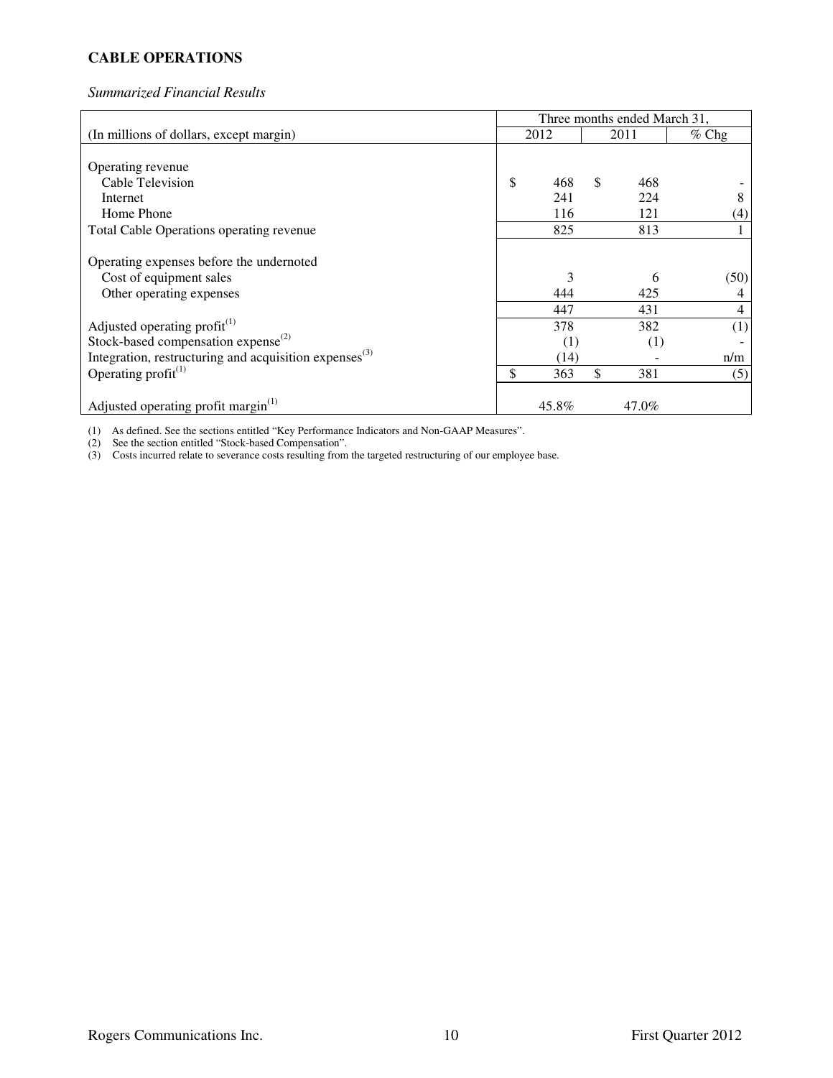# **CABLE OPERATIONS**

## *Summarized Financial Results*

|                                                              | Three months ended March 31, |               |       |         |
|--------------------------------------------------------------|------------------------------|---------------|-------|---------|
| (In millions of dollars, except margin)                      | 2012                         |               | 2011  | $%$ Chg |
|                                                              |                              |               |       |         |
| Operating revenue                                            |                              |               |       |         |
| Cable Television                                             | \$<br>468                    | <sup>\$</sup> | 468   |         |
| Internet                                                     | 241                          |               | 224   | 8       |
| Home Phone                                                   | 116                          |               | 121   | (4)     |
| Total Cable Operations operating revenue                     | 825                          |               | 813   |         |
| Operating expenses before the undernoted                     |                              |               |       |         |
| Cost of equipment sales                                      | 3                            |               | 6     | (50)    |
| Other operating expenses                                     | 444                          |               | 425   | 4       |
|                                                              | 447                          |               | 431   | 4       |
| Adjusted operating profit <sup>(1)</sup>                     | 378                          |               | 382   | (1)     |
| Stock-based compensation expense <sup>(2)</sup>              | (1)                          |               | (1)   |         |
| Integration, restructuring and acquisition expenses $^{(3)}$ | (14)                         |               |       | n/m     |
| Operating profit $(1)$                                       | \$<br>363                    | \$            | 381   | (5)     |
| Adjusted operating profit margin $^{(1)}$                    | 45.8%                        |               | 47.0% |         |

(1) As defined. See the sections entitled "Key Performance Indicators and Non-GAAP Measures".

(2) See the section entitled "Stock-based Compensation".

(3) Costs incurred relate to severance costs resulting from the targeted restructuring of our employee base.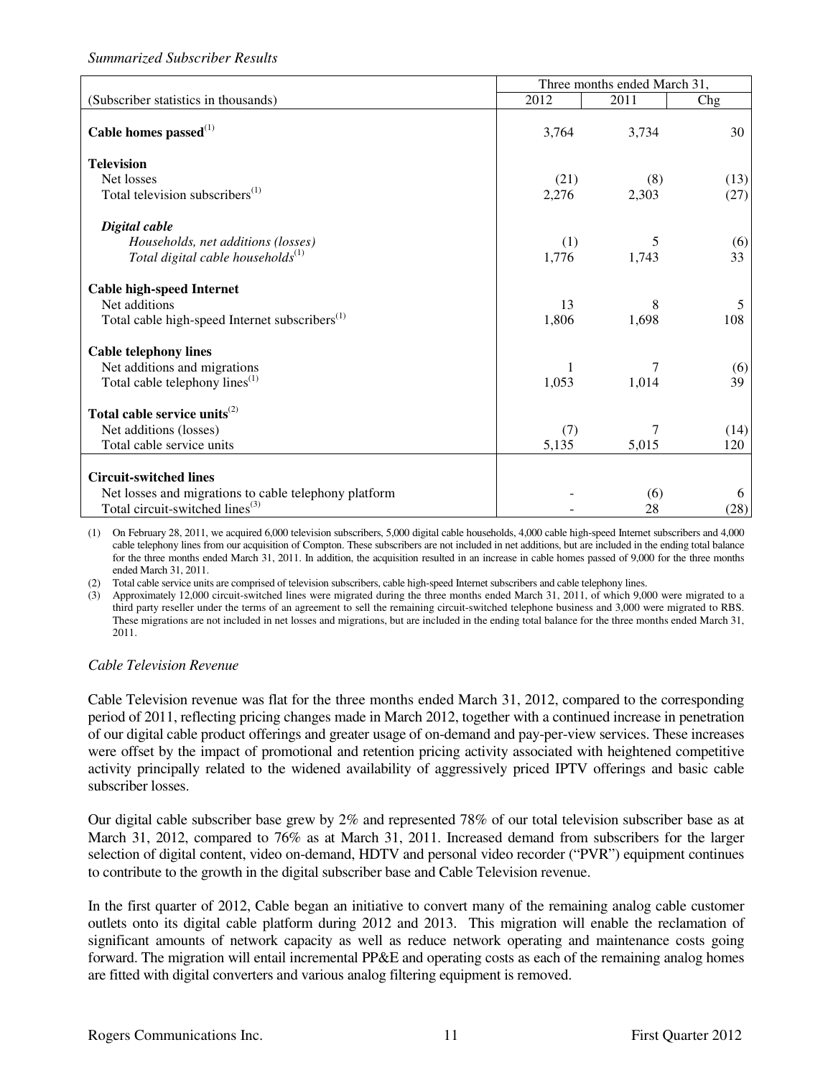## *Summarized Subscriber Results*

|                                                            | Three months ended March 31, |       |      |  |  |  |  |
|------------------------------------------------------------|------------------------------|-------|------|--|--|--|--|
| (Subscriber statistics in thousands)                       | 2012                         | 2011  | Chg  |  |  |  |  |
| Cable homes passed <sup>(1)</sup>                          | 3,764                        | 3,734 | 30   |  |  |  |  |
| <b>Television</b>                                          |                              |       |      |  |  |  |  |
| Net losses                                                 | (21)                         | (8)   | (13) |  |  |  |  |
| Total television subscribers <sup>(1)</sup>                | 2,276                        | 2,303 | (27) |  |  |  |  |
| Digital cable                                              |                              |       |      |  |  |  |  |
| Households, net additions (losses)                         | (1)                          | 5     | (6)  |  |  |  |  |
| Total digital cable households $^{(1)}$                    | 1,776                        | 1,743 | 33   |  |  |  |  |
| <b>Cable high-speed Internet</b>                           |                              |       |      |  |  |  |  |
| Net additions                                              | 13                           | 8     | 5    |  |  |  |  |
| Total cable high-speed Internet subscribers <sup>(1)</sup> | 1,806                        | 1,698 | 108  |  |  |  |  |
| <b>Cable telephony lines</b>                               |                              |       |      |  |  |  |  |
| Net additions and migrations                               |                              |       | (6)  |  |  |  |  |
| Total cable telephony lines <sup>(1)</sup>                 | 1,053                        | 1,014 | 39   |  |  |  |  |
| Total cable service units <sup>(2)</sup>                   |                              |       |      |  |  |  |  |
| Net additions (losses)                                     | (7)                          | 7     | (14) |  |  |  |  |
| Total cable service units                                  | 5,135                        | 5,015 | 120  |  |  |  |  |
| <b>Circuit-switched lines</b>                              |                              |       |      |  |  |  |  |
| Net losses and migrations to cable telephony platform      |                              | (6)   | 6    |  |  |  |  |
| Total circuit-switched lines <sup>(3)</sup>                |                              | 28    | (28) |  |  |  |  |

(1) On February 28, 2011, we acquired 6,000 television subscribers, 5,000 digital cable households, 4,000 cable high-speed Internet subscribers and 4,000 cable telephony lines from our acquisition of Compton. These subscribers are not included in net additions, but are included in the ending total balance for the three months ended March 31, 2011. In addition, the acquisition resulted in an increase in cable homes passed of 9,000 for the three months ended March 31, 2011.

(2) Total cable service units are comprised of television subscribers, cable high-speed Internet subscribers and cable telephony lines.

(3) Approximately 12,000 circuit-switched lines were migrated during the three months ended March 31, 2011, of which 9,000 were migrated to a third party reseller under the terms of an agreement to sell the remaining circuit-switched telephone business and 3,000 were migrated to RBS. These migrations are not included in net losses and migrations, but are included in the ending total balance for the three months ended March 31, 2011.

### *Cable Television Revenue*

Cable Television revenue was flat for the three months ended March 31, 2012, compared to the corresponding period of 2011, reflecting pricing changes made in March 2012, together with a continued increase in penetration of our digital cable product offerings and greater usage of on-demand and pay-per-view services. These increases were offset by the impact of promotional and retention pricing activity associated with heightened competitive activity principally related to the widened availability of aggressively priced IPTV offerings and basic cable subscriber losses.

Our digital cable subscriber base grew by 2% and represented 78% of our total television subscriber base as at March 31, 2012, compared to 76% as at March 31, 2011. Increased demand from subscribers for the larger selection of digital content, video on-demand, HDTV and personal video recorder ("PVR") equipment continues to contribute to the growth in the digital subscriber base and Cable Television revenue.

In the first quarter of 2012, Cable began an initiative to convert many of the remaining analog cable customer outlets onto its digital cable platform during 2012 and 2013. This migration will enable the reclamation of significant amounts of network capacity as well as reduce network operating and maintenance costs going forward. The migration will entail incremental PP&E and operating costs as each of the remaining analog homes are fitted with digital converters and various analog filtering equipment is removed.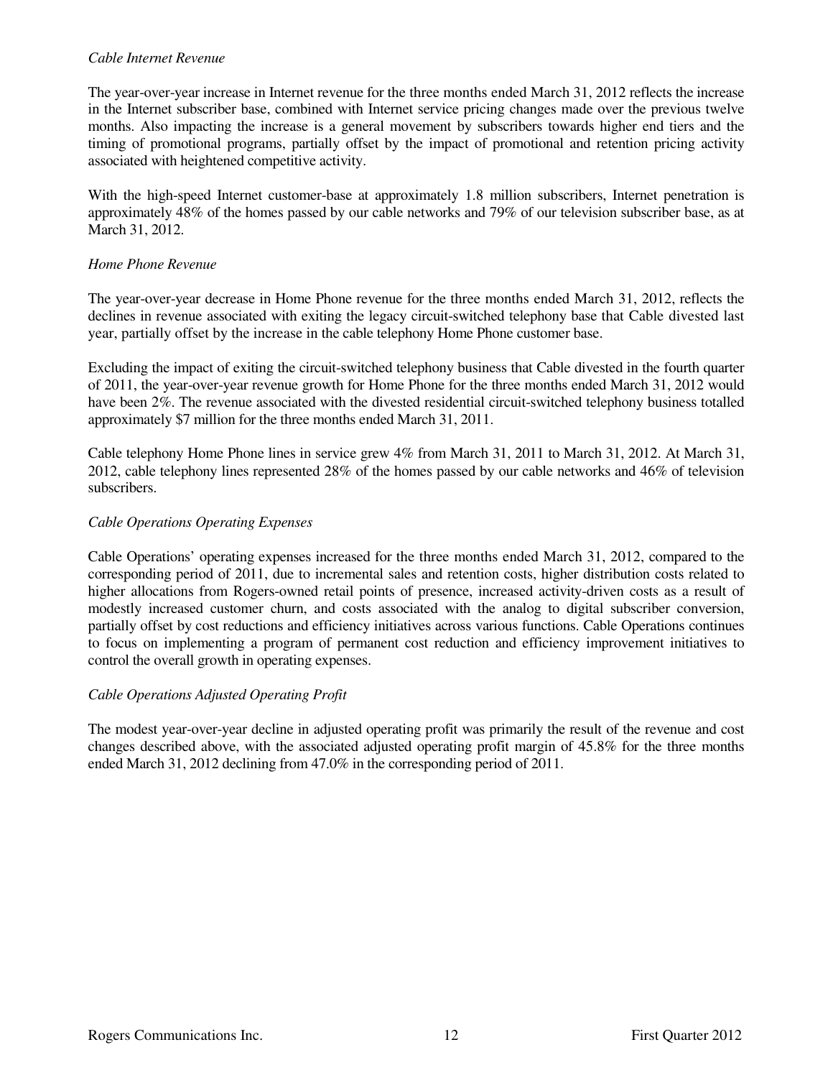### *Cable Internet Revenue*

The year-over-year increase in Internet revenue for the three months ended March 31, 2012 reflects the increase in the Internet subscriber base, combined with Internet service pricing changes made over the previous twelve months. Also impacting the increase is a general movement by subscribers towards higher end tiers and the timing of promotional programs, partially offset by the impact of promotional and retention pricing activity associated with heightened competitive activity.

With the high-speed Internet customer-base at approximately 1.8 million subscribers, Internet penetration is approximately 48% of the homes passed by our cable networks and 79% of our television subscriber base, as at March 31, 2012.

### *Home Phone Revenue*

The year-over-year decrease in Home Phone revenue for the three months ended March 31, 2012, reflects the declines in revenue associated with exiting the legacy circuit-switched telephony base that Cable divested last year, partially offset by the increase in the cable telephony Home Phone customer base.

Excluding the impact of exiting the circuit-switched telephony business that Cable divested in the fourth quarter of 2011, the year-over-year revenue growth for Home Phone for the three months ended March 31, 2012 would have been 2%. The revenue associated with the divested residential circuit-switched telephony business totalled approximately \$7 million for the three months ended March 31, 2011.

Cable telephony Home Phone lines in service grew 4% from March 31, 2011 to March 31, 2012. At March 31, 2012, cable telephony lines represented 28% of the homes passed by our cable networks and 46% of television subscribers.

#### *Cable Operations Operating Expenses*

Cable Operations' operating expenses increased for the three months ended March 31, 2012, compared to the corresponding period of 2011, due to incremental sales and retention costs, higher distribution costs related to higher allocations from Rogers-owned retail points of presence, increased activity-driven costs as a result of modestly increased customer churn, and costs associated with the analog to digital subscriber conversion, partially offset by cost reductions and efficiency initiatives across various functions. Cable Operations continues to focus on implementing a program of permanent cost reduction and efficiency improvement initiatives to control the overall growth in operating expenses.

### *Cable Operations Adjusted Operating Profit*

The modest year-over-year decline in adjusted operating profit was primarily the result of the revenue and cost changes described above, with the associated adjusted operating profit margin of 45.8% for the three months ended March 31, 2012 declining from 47.0% in the corresponding period of 2011.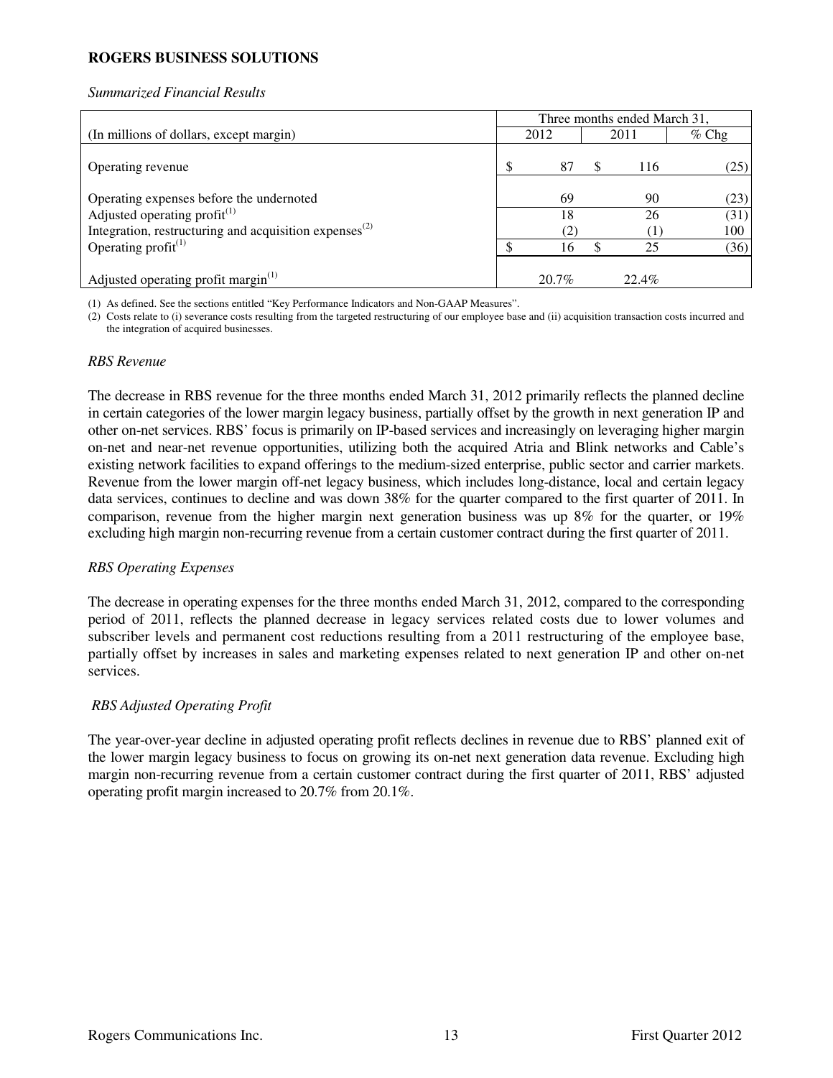## **ROGERS BUSINESS SOLUTIONS**

#### *Summarized Financial Results*

|                                                              | Three months ended March 31, |       |    |       |         |  |  |
|--------------------------------------------------------------|------------------------------|-------|----|-------|---------|--|--|
| (In millions of dollars, except margin)                      |                              | 2012  |    | 2011  | $%$ Chg |  |  |
| Operating revenue                                            |                              | 87    | æ, | 116   | (25)    |  |  |
| Operating expenses before the undernoted                     |                              | 69    |    | 90    | (23)    |  |  |
| Adjusted operating profit <sup>(1)</sup>                     |                              | 18    |    | 26    | (31)    |  |  |
| Integration, restructuring and acquisition expenses $^{(2)}$ |                              | (2)   |    |       | 100     |  |  |
| Operating $profit^{(1)}$                                     |                              | 16    |    | 25    | (36)    |  |  |
| Adjusted operating profit margin <sup>(1)</sup>              |                              | 20.7% |    | 22.4% |         |  |  |

(1) As defined. See the sections entitled "Key Performance Indicators and Non-GAAP Measures".

(2) Costs relate to (i) severance costs resulting from the targeted restructuring of our employee base and (ii) acquisition transaction costs incurred and the integration of acquired businesses.

#### *RBS Revenue*

The decrease in RBS revenue for the three months ended March 31, 2012 primarily reflects the planned decline in certain categories of the lower margin legacy business, partially offset by the growth in next generation IP and other on-net services. RBS' focus is primarily on IP-based services and increasingly on leveraging higher margin on-net and near-net revenue opportunities, utilizing both the acquired Atria and Blink networks and Cable's existing network facilities to expand offerings to the medium-sized enterprise, public sector and carrier markets. Revenue from the lower margin off-net legacy business, which includes long-distance, local and certain legacy data services, continues to decline and was down 38% for the quarter compared to the first quarter of 2011. In comparison, revenue from the higher margin next generation business was up 8% for the quarter, or 19% excluding high margin non-recurring revenue from a certain customer contract during the first quarter of 2011.

### *RBS Operating Expenses*

The decrease in operating expenses for the three months ended March 31, 2012, compared to the corresponding period of 2011, reflects the planned decrease in legacy services related costs due to lower volumes and subscriber levels and permanent cost reductions resulting from a 2011 restructuring of the employee base, partially offset by increases in sales and marketing expenses related to next generation IP and other on-net services.

### *RBS Adjusted Operating Profit*

The year-over-year decline in adjusted operating profit reflects declines in revenue due to RBS' planned exit of the lower margin legacy business to focus on growing its on-net next generation data revenue. Excluding high margin non-recurring revenue from a certain customer contract during the first quarter of 2011, RBS' adjusted operating profit margin increased to 20.7% from 20.1%.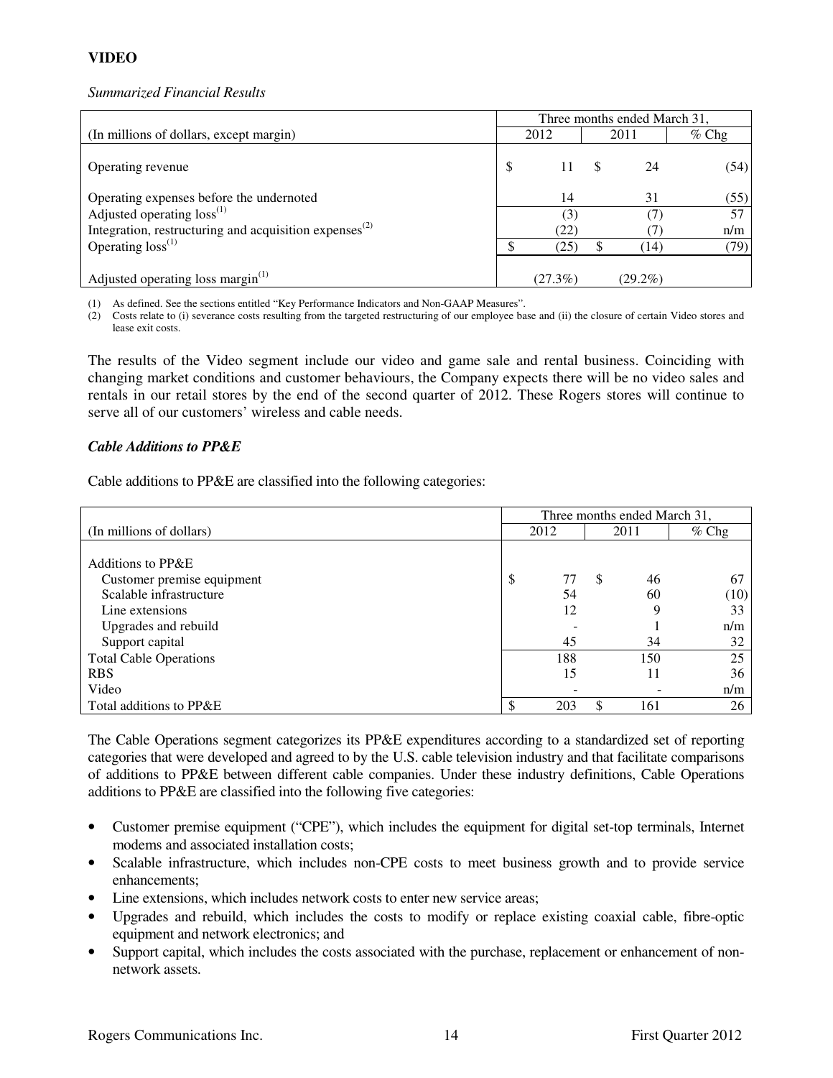# **VIDEO**

### *Summarized Financial Results*

|                                                              | Three months ended March 31, |            |  |            |         |  |  |
|--------------------------------------------------------------|------------------------------|------------|--|------------|---------|--|--|
| (In millions of dollars, except margin)                      |                              | 2012       |  | 2011       | $%$ Chg |  |  |
| Operating revenue                                            | \$                           | 11         |  | 24         | (54)    |  |  |
| Operating expenses before the undernoted                     |                              | 14         |  | 31         | (55)    |  |  |
| Adjusted operating $loss^{(1)}$                              |                              | (3)        |  | 7          | 57      |  |  |
| Integration, restructuring and acquisition expenses $^{(2)}$ |                              | (22)       |  |            | n/m     |  |  |
| Operating $loss^{(1)}$                                       |                              | (25)       |  | (14)       | (79)    |  |  |
| Adjusted operating loss margin <sup>(1)</sup>                |                              | $(27.3\%)$ |  | $(29.2\%)$ |         |  |  |

(1) As defined. See the sections entitled "Key Performance Indicators and Non-GAAP Measures".

(2) Costs relate to (i) severance costs resulting from the targeted restructuring of our employee base and (ii) the closure of certain Video stores and lease exit costs.

The results of the Video segment include our video and game sale and rental business. Coinciding with changing market conditions and customer behaviours, the Company expects there will be no video sales and rentals in our retail stores by the end of the second quarter of 2012. These Rogers stores will continue to serve all of our customers' wireless and cable needs.

### *Cable Additions to PP&E*

Cable additions to PP&E are classified into the following categories:

|                               | Three months ended March 31, |      |   |      |         |  |
|-------------------------------|------------------------------|------|---|------|---------|--|
| (In millions of dollars)      |                              | 2012 |   | 2011 | $%$ Chg |  |
|                               |                              |      |   |      |         |  |
| Additions to PP&E             |                              |      |   |      |         |  |
| Customer premise equipment    | \$                           | 77   | S | 46   | 67      |  |
| Scalable infrastructure       |                              | 54   |   | 60   | (10)    |  |
| Line extensions               |                              | 12   |   | 9    | 33      |  |
| Upgrades and rebuild          |                              |      |   |      | n/m     |  |
| Support capital               |                              | 45   |   | 34   | 32      |  |
| <b>Total Cable Operations</b> |                              | 188  |   | 150  | 25      |  |
| <b>RBS</b>                    |                              | 15   |   | 11   | 36      |  |
| Video                         |                              |      |   |      | n/m     |  |
| Total additions to PP&E       |                              | 203  | S | 161  | 26      |  |

The Cable Operations segment categorizes its PP&E expenditures according to a standardized set of reporting categories that were developed and agreed to by the U.S. cable television industry and that facilitate comparisons of additions to PP&E between different cable companies. Under these industry definitions, Cable Operations additions to PP&E are classified into the following five categories:

- Customer premise equipment ("CPE"), which includes the equipment for digital set-top terminals, Internet modems and associated installation costs;
- Scalable infrastructure, which includes non-CPE costs to meet business growth and to provide service enhancements;
- Line extensions, which includes network costs to enter new service areas;
- Upgrades and rebuild, which includes the costs to modify or replace existing coaxial cable, fibre-optic equipment and network electronics; and
- Support capital, which includes the costs associated with the purchase, replacement or enhancement of nonnetwork assets.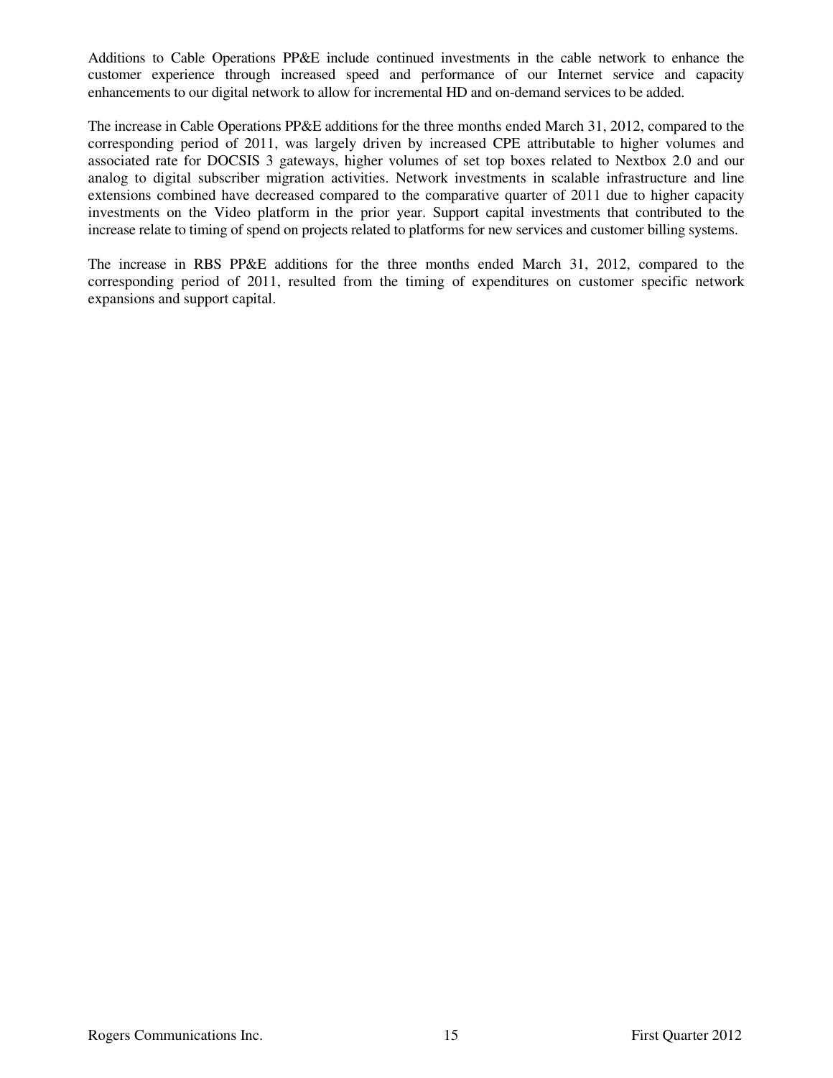Additions to Cable Operations PP&E include continued investments in the cable network to enhance the customer experience through increased speed and performance of our Internet service and capacity enhancements to our digital network to allow for incremental HD and on-demand services to be added.

The increase in Cable Operations PP&E additions for the three months ended March 31, 2012, compared to the corresponding period of 2011, was largely driven by increased CPE attributable to higher volumes and associated rate for DOCSIS 3 gateways, higher volumes of set top boxes related to Nextbox 2.0 and our analog to digital subscriber migration activities. Network investments in scalable infrastructure and line extensions combined have decreased compared to the comparative quarter of 2011 due to higher capacity investments on the Video platform in the prior year. Support capital investments that contributed to the increase relate to timing of spend on projects related to platforms for new services and customer billing systems.

The increase in RBS PP&E additions for the three months ended March 31, 2012, compared to the corresponding period of 2011, resulted from the timing of expenditures on customer specific network expansions and support capital.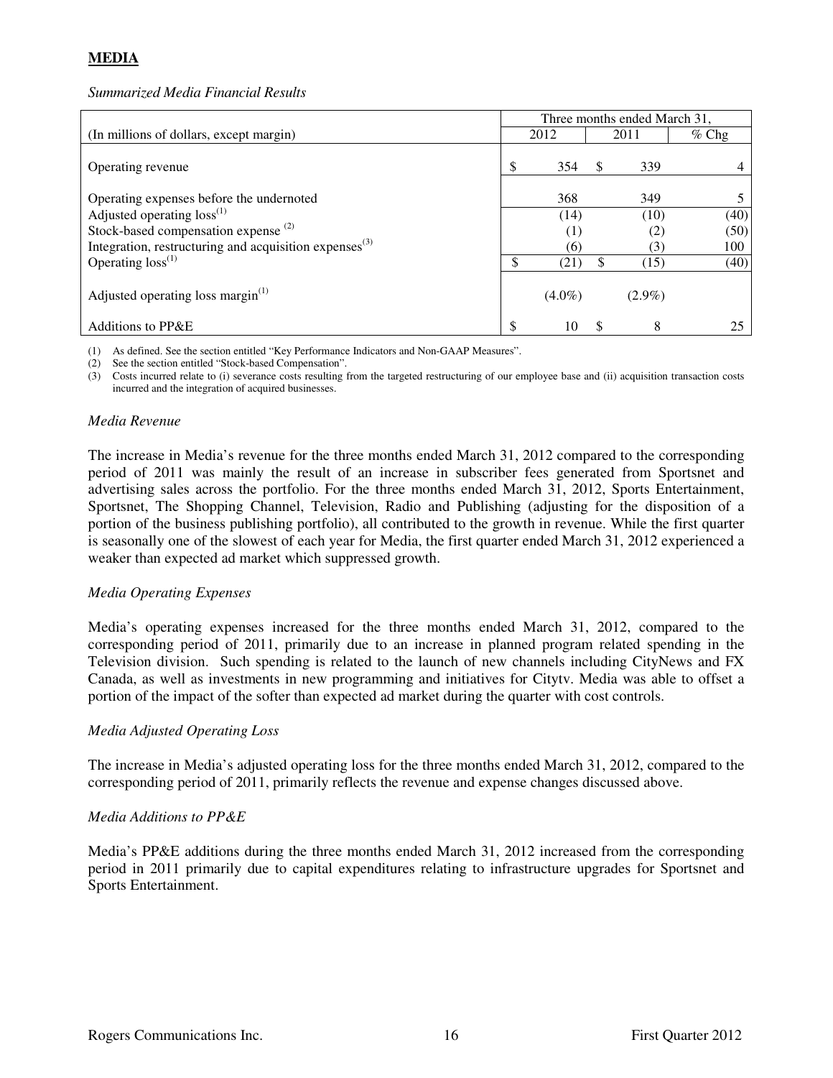# **MEDIA**

#### *Summarized Media Financial Results*

|                                                              | Three months ended March 31, |           |    |           |         |
|--------------------------------------------------------------|------------------------------|-----------|----|-----------|---------|
| (In millions of dollars, except margin)                      |                              | 2012      |    | 2011      | $%$ Chg |
| Operating revenue                                            |                              | 354       |    | 339       |         |
| Operating expenses before the undernoted                     |                              | 368       |    | 349       |         |
| Adjusted operating loss <sup>(1)</sup>                       |                              | (14)      |    | (10)      | (40)    |
| Stock-based compensation expense <sup>(2)</sup>              |                              | (1)       |    | (2)       | (50)    |
| Integration, restructuring and acquisition expenses $^{(3)}$ |                              | (6)       |    | (3)       | 100     |
| Operating $loss^{(1)}$                                       |                              | (21)      | \$ | (15)      | (40)    |
| Adjusted operating loss margin <sup>(1)</sup>                |                              | $(4.0\%)$ |    | $(2.9\%)$ |         |
| Additions to PP&E                                            | ¢                            | 10        | -S | 8         |         |

(1) As defined. See the section entitled "Key Performance Indicators and Non-GAAP Measures".

(2) See the section entitled "Stock-based Compensation".

(3) Costs incurred relate to (i) severance costs resulting from the targeted restructuring of our employee base and (ii) acquisition transaction costs incurred and the integration of acquired businesses.

#### *Media Revenue*

The increase in Media's revenue for the three months ended March 31, 2012 compared to the corresponding period of 2011 was mainly the result of an increase in subscriber fees generated from Sportsnet and advertising sales across the portfolio. For the three months ended March 31, 2012, Sports Entertainment, Sportsnet, The Shopping Channel, Television, Radio and Publishing (adjusting for the disposition of a portion of the business publishing portfolio), all contributed to the growth in revenue. While the first quarter is seasonally one of the slowest of each year for Media, the first quarter ended March 31, 2012 experienced a weaker than expected ad market which suppressed growth.

### *Media Operating Expenses*

Media's operating expenses increased for the three months ended March 31, 2012, compared to the corresponding period of 2011, primarily due to an increase in planned program related spending in the Television division. Such spending is related to the launch of new channels including CityNews and FX Canada, as well as investments in new programming and initiatives for Citytv. Media was able to offset a portion of the impact of the softer than expected ad market during the quarter with cost controls.

### *Media Adjusted Operating Loss*

The increase in Media's adjusted operating loss for the three months ended March 31, 2012, compared to the corresponding period of 2011, primarily reflects the revenue and expense changes discussed above.

### *Media Additions to PP&E*

Media's PP&E additions during the three months ended March 31, 2012 increased from the corresponding period in 2011 primarily due to capital expenditures relating to infrastructure upgrades for Sportsnet and Sports Entertainment.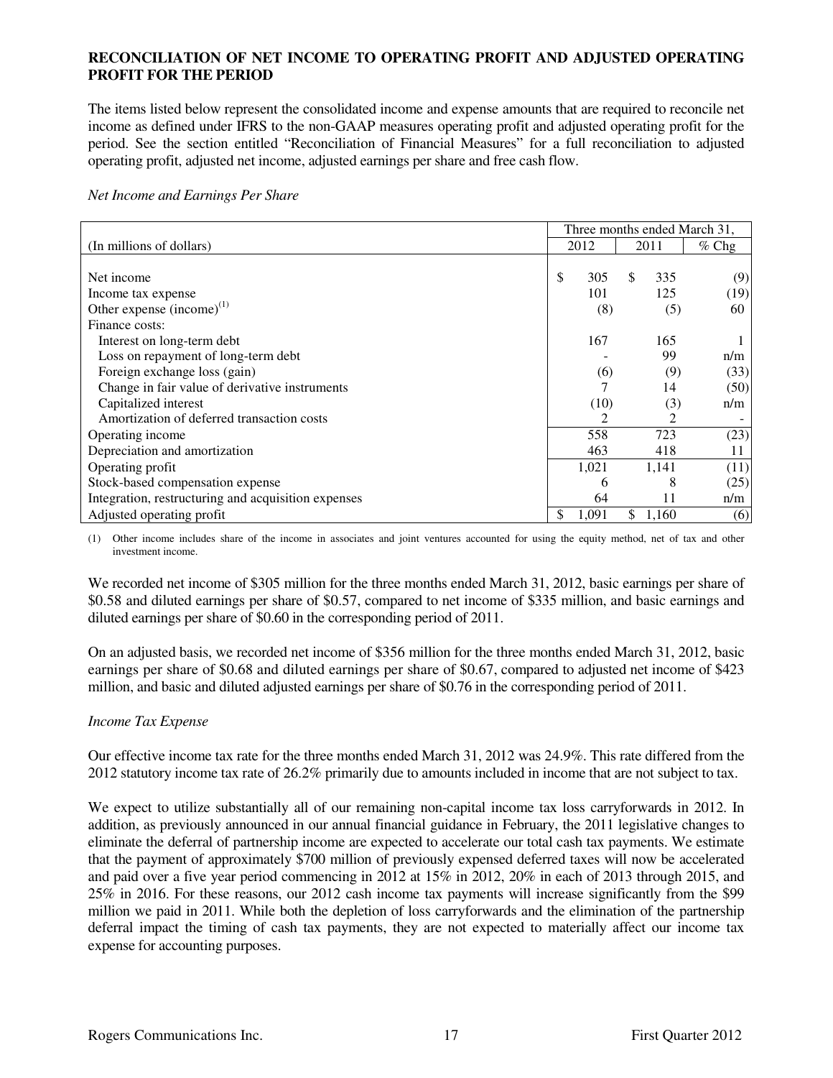### **RECONCILIATION OF NET INCOME TO OPERATING PROFIT AND ADJUSTED OPERATING PROFIT FOR THE PERIOD**

The items listed below represent the consolidated income and expense amounts that are required to reconcile net income as defined under IFRS to the non-GAAP measures operating profit and adjusted operating profit for the period. See the section entitled "Reconciliation of Financial Measures" for a full reconciliation to adjusted operating profit, adjusted net income, adjusted earnings per share and free cash flow.

*Net Income and Earnings Per Share* 

|                                                     | Three months ended March 31, |       |      |       |         |
|-----------------------------------------------------|------------------------------|-------|------|-------|---------|
| (In millions of dollars)                            | 2012                         |       | 2011 |       | $%$ Chg |
|                                                     |                              |       |      |       |         |
| Net income                                          | \$                           | 305   | S    | 335   | (9)     |
| Income tax expense                                  |                              | 101   |      | 125   | (19)    |
| Other expense $(income)^{(1)}$                      |                              | (8)   |      | (5)   | 60      |
| Finance costs:                                      |                              |       |      |       |         |
| Interest on long-term debt                          |                              | 167   |      | 165   |         |
| Loss on repayment of long-term debt                 |                              |       |      | 99    | n/m     |
| Foreign exchange loss (gain)                        |                              | (6)   |      | (9)   | (33)    |
| Change in fair value of derivative instruments      |                              | 7     |      | 14    | (50)    |
| Capitalized interest                                |                              | (10)  |      | (3)   | n/m     |
| Amortization of deferred transaction costs          |                              | 2     |      | 2     |         |
| Operating income                                    |                              | 558   |      | 723   | (23)    |
| Depreciation and amortization                       |                              | 463   |      | 418   | 11      |
| Operating profit                                    |                              | 1,021 |      | 1,141 | (11)    |
| Stock-based compensation expense                    |                              | 6     |      | 8     | (25)    |
| Integration, restructuring and acquisition expenses |                              | 64    |      | 11    | n/m     |
| Adjusted operating profit                           | \$                           | 1,091 |      | 1,160 | (6)     |

(1) Other income includes share of the income in associates and joint ventures accounted for using the equity method, net of tax and other investment income.

We recorded net income of \$305 million for the three months ended March 31, 2012, basic earnings per share of \$0.58 and diluted earnings per share of \$0.57, compared to net income of \$335 million, and basic earnings and diluted earnings per share of \$0.60 in the corresponding period of 2011.

On an adjusted basis, we recorded net income of \$356 million for the three months ended March 31, 2012, basic earnings per share of \$0.68 and diluted earnings per share of \$0.67, compared to adjusted net income of \$423 million, and basic and diluted adjusted earnings per share of \$0.76 in the corresponding period of 2011.

#### *Income Tax Expense*

Our effective income tax rate for the three months ended March 31, 2012 was 24.9%. This rate differed from the 2012 statutory income tax rate of 26.2% primarily due to amounts included in income that are not subject to tax.

We expect to utilize substantially all of our remaining non-capital income tax loss carryforwards in 2012. In addition, as previously announced in our annual financial guidance in February, the 2011 legislative changes to eliminate the deferral of partnership income are expected to accelerate our total cash tax payments. We estimate that the payment of approximately \$700 million of previously expensed deferred taxes will now be accelerated and paid over a five year period commencing in 2012 at 15% in 2012, 20% in each of 2013 through 2015, and 25% in 2016. For these reasons, our 2012 cash income tax payments will increase significantly from the \$99 million we paid in 2011. While both the depletion of loss carryforwards and the elimination of the partnership deferral impact the timing of cash tax payments, they are not expected to materially affect our income tax expense for accounting purposes.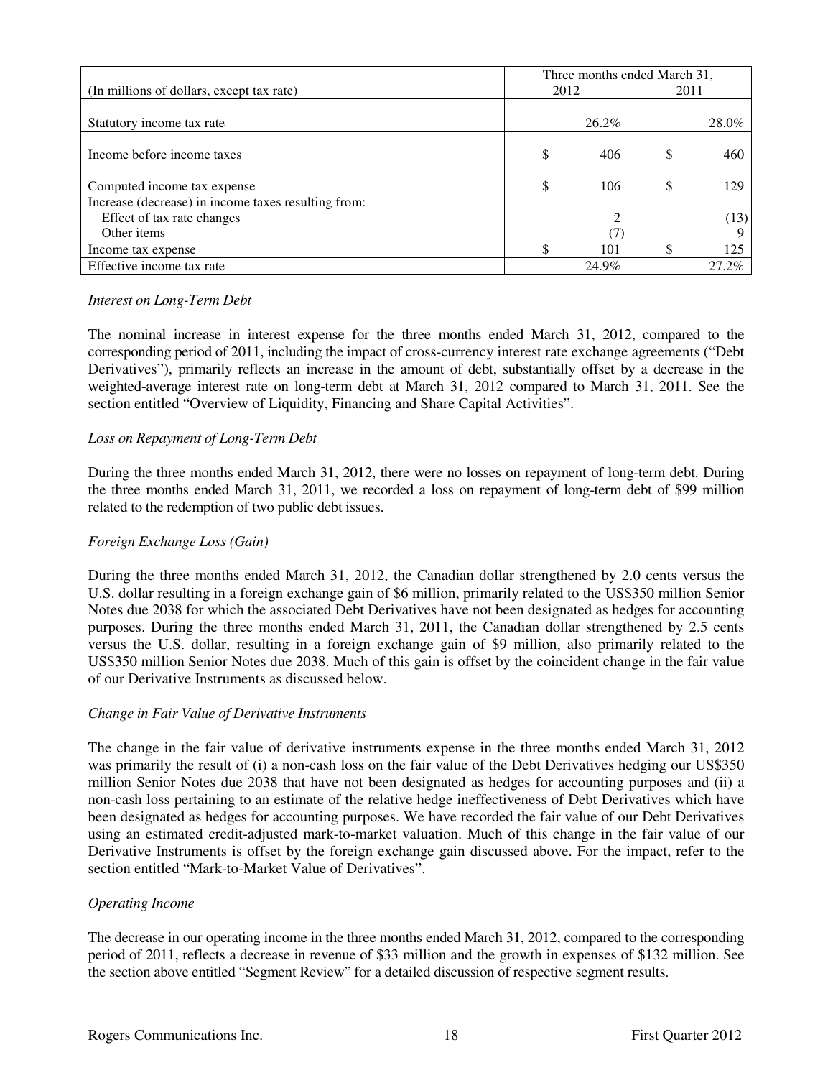|                                                     | Three months ended March 31, |       |      |       |  |
|-----------------------------------------------------|------------------------------|-------|------|-------|--|
| (In millions of dollars, except tax rate)           | 2012                         |       | 2011 |       |  |
|                                                     |                              |       |      |       |  |
| Statutory income tax rate                           |                              | 26.2% |      | 28.0% |  |
|                                                     |                              |       |      |       |  |
| Income before income taxes                          | \$                           | 406   | \$   | 460   |  |
|                                                     |                              |       |      |       |  |
| Computed income tax expense                         | \$                           | 106   | \$   | 129   |  |
| Increase (decrease) in income taxes resulting from: |                              |       |      |       |  |
| Effect of tax rate changes                          |                              |       |      | (13)  |  |
| Other items                                         |                              |       |      |       |  |
| Income tax expense                                  |                              | 101   |      | 125   |  |
| Effective income tax rate                           |                              | 24.9% |      | 27.2% |  |

#### *Interest on Long-Term Debt*

The nominal increase in interest expense for the three months ended March 31, 2012, compared to the corresponding period of 2011, including the impact of cross-currency interest rate exchange agreements ("Debt Derivatives"), primarily reflects an increase in the amount of debt, substantially offset by a decrease in the weighted-average interest rate on long-term debt at March 31, 2012 compared to March 31, 2011. See the section entitled "Overview of Liquidity, Financing and Share Capital Activities".

### *Loss on Repayment of Long-Term Debt*

During the three months ended March 31, 2012, there were no losses on repayment of long-term debt. During the three months ended March 31, 2011, we recorded a loss on repayment of long-term debt of \$99 million related to the redemption of two public debt issues.

#### *Foreign Exchange Loss (Gain)*

During the three months ended March 31, 2012, the Canadian dollar strengthened by 2.0 cents versus the U.S. dollar resulting in a foreign exchange gain of \$6 million, primarily related to the US\$350 million Senior Notes due 2038 for which the associated Debt Derivatives have not been designated as hedges for accounting purposes. During the three months ended March 31, 2011, the Canadian dollar strengthened by 2.5 cents versus the U.S. dollar, resulting in a foreign exchange gain of \$9 million, also primarily related to the US\$350 million Senior Notes due 2038. Much of this gain is offset by the coincident change in the fair value of our Derivative Instruments as discussed below.

#### *Change in Fair Value of Derivative Instruments*

The change in the fair value of derivative instruments expense in the three months ended March 31, 2012 was primarily the result of (i) a non-cash loss on the fair value of the Debt Derivatives hedging our US\$350 million Senior Notes due 2038 that have not been designated as hedges for accounting purposes and (ii) a non-cash loss pertaining to an estimate of the relative hedge ineffectiveness of Debt Derivatives which have been designated as hedges for accounting purposes. We have recorded the fair value of our Debt Derivatives using an estimated credit-adjusted mark-to-market valuation. Much of this change in the fair value of our Derivative Instruments is offset by the foreign exchange gain discussed above. For the impact, refer to the section entitled "Mark-to-Market Value of Derivatives".

#### *Operating Income*

The decrease in our operating income in the three months ended March 31, 2012, compared to the corresponding period of 2011, reflects a decrease in revenue of \$33 million and the growth in expenses of \$132 million. See the section above entitled "Segment Review" for a detailed discussion of respective segment results.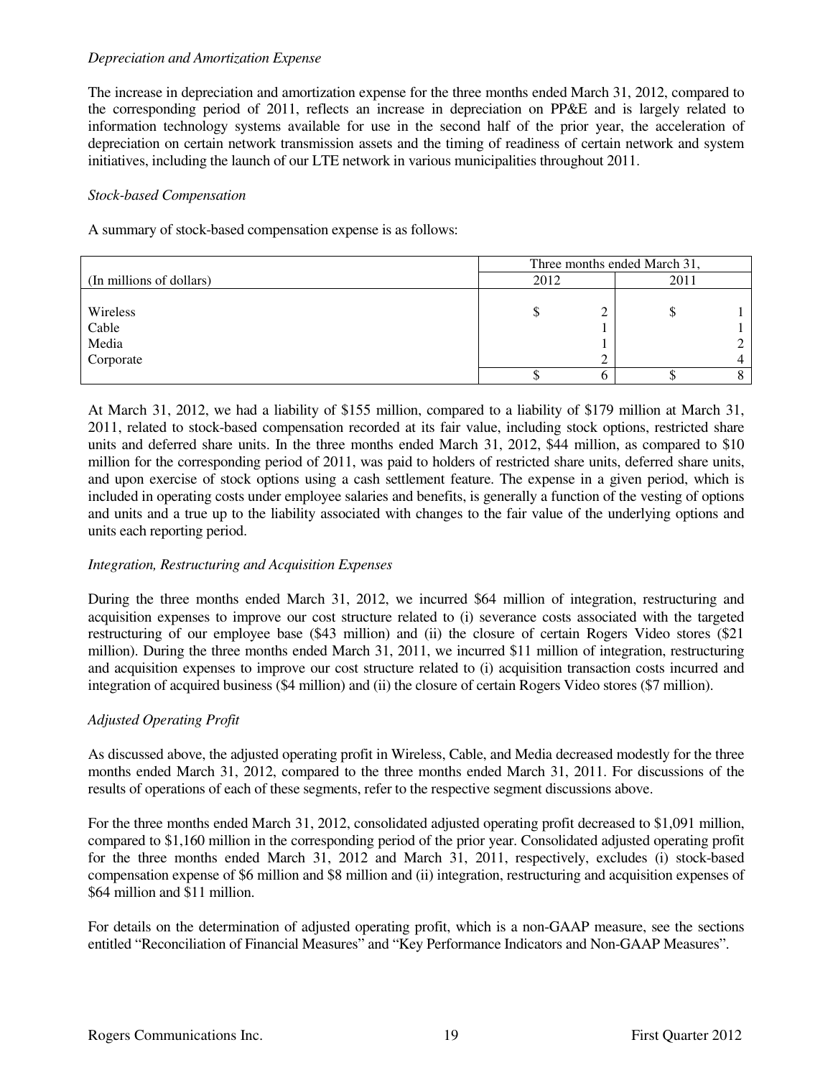## *Depreciation and Amortization Expense*

The increase in depreciation and amortization expense for the three months ended March 31, 2012, compared to the corresponding period of 2011, reflects an increase in depreciation on PP&E and is largely related to information technology systems available for use in the second half of the prior year, the acceleration of depreciation on certain network transmission assets and the timing of readiness of certain network and system initiatives, including the launch of our LTE network in various municipalities throughout 2011.

### *Stock-based Compensation*

A summary of stock-based compensation expense is as follows:

|                          | Three months ended March 31, |   |      |  |  |  |
|--------------------------|------------------------------|---|------|--|--|--|
| (In millions of dollars) | 2012                         |   | 2011 |  |  |  |
|                          |                              |   |      |  |  |  |
| Wireless                 |                              | ◠ | D    |  |  |  |
| Cable                    |                              |   |      |  |  |  |
| Media                    |                              |   |      |  |  |  |
| Corporate                |                              |   |      |  |  |  |
|                          |                              |   |      |  |  |  |

At March 31, 2012, we had a liability of \$155 million, compared to a liability of \$179 million at March 31, 2011, related to stock-based compensation recorded at its fair value, including stock options, restricted share units and deferred share units. In the three months ended March 31, 2012, \$44 million, as compared to \$10 million for the corresponding period of 2011, was paid to holders of restricted share units, deferred share units, and upon exercise of stock options using a cash settlement feature. The expense in a given period, which is included in operating costs under employee salaries and benefits, is generally a function of the vesting of options and units and a true up to the liability associated with changes to the fair value of the underlying options and units each reporting period.

# *Integration, Restructuring and Acquisition Expenses*

During the three months ended March 31, 2012, we incurred \$64 million of integration, restructuring and acquisition expenses to improve our cost structure related to (i) severance costs associated with the targeted restructuring of our employee base (\$43 million) and (ii) the closure of certain Rogers Video stores (\$21 million). During the three months ended March 31, 2011, we incurred \$11 million of integration, restructuring and acquisition expenses to improve our cost structure related to (i) acquisition transaction costs incurred and integration of acquired business (\$4 million) and (ii) the closure of certain Rogers Video stores (\$7 million).

# *Adjusted Operating Profit*

As discussed above, the adjusted operating profit in Wireless, Cable, and Media decreased modestly for the three months ended March 31, 2012, compared to the three months ended March 31, 2011. For discussions of the results of operations of each of these segments, refer to the respective segment discussions above.

For the three months ended March 31, 2012, consolidated adjusted operating profit decreased to \$1,091 million, compared to \$1,160 million in the corresponding period of the prior year. Consolidated adjusted operating profit for the three months ended March 31, 2012 and March 31, 2011, respectively, excludes (i) stock-based compensation expense of \$6 million and \$8 million and (ii) integration, restructuring and acquisition expenses of \$64 million and \$11 million.

For details on the determination of adjusted operating profit, which is a non-GAAP measure, see the sections entitled "Reconciliation of Financial Measures" and "Key Performance Indicators and Non-GAAP Measures".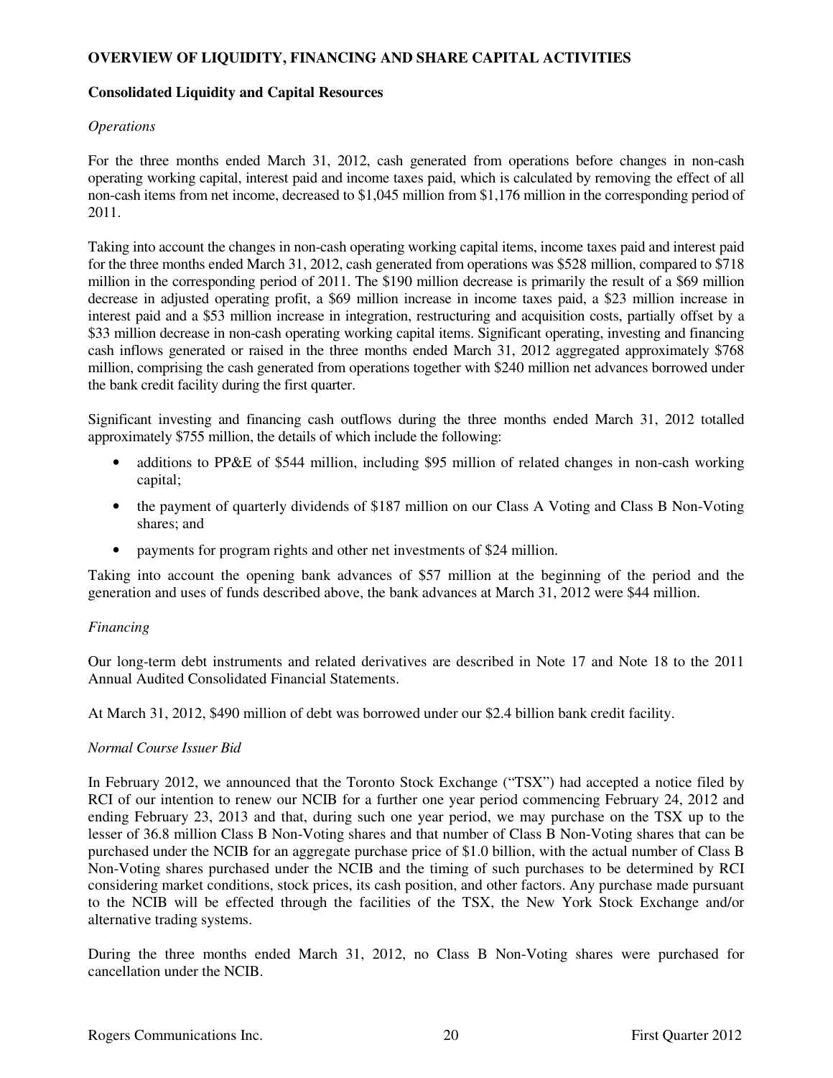## **OVERVIEW OF LIQUIDITY, FINANCING AND SHARE CAPITAL ACTIVITIES**

### **Consolidated Liquidity and Capital Resources**

## *Operations*

For the three months ended March 31, 2012, cash generated from operations before changes in non-cash operating working capital, interest paid and income taxes paid, which is calculated by removing the effect of all non-cash items from net income, decreased to \$1,045 million from \$1,176 million in the corresponding period of 2011.

Taking into account the changes in non-cash operating working capital items, income taxes paid and interest paid for the three months ended March 31, 2012, cash generated from operations was \$528 million, compared to \$718 million in the corresponding period of 2011. The \$190 million decrease is primarily the result of a \$69 million decrease in adjusted operating profit, a \$69 million increase in income taxes paid, a \$23 million increase in interest paid and a \$53 million increase in integration, restructuring and acquisition costs, partially offset by a \$33 million decrease in non-cash operating working capital items. Significant operating, investing and financing cash inflows generated or raised in the three months ended March 31, 2012 aggregated approximately \$768 million, comprising the cash generated from operations together with \$240 million net advances borrowed under the bank credit facility during the first quarter.

Significant investing and financing cash outflows during the three months ended March 31, 2012 totalled approximately \$755 million, the details of which include the following:

- additions to PP&E of \$544 million, including \$95 million of related changes in non-cash working capital;
- the payment of quarterly dividends of \$187 million on our Class A Voting and Class B Non-Voting shares; and
- payments for program rights and other net investments of \$24 million.

Taking into account the opening bank advances of \$57 million at the beginning of the period and the generation and uses of funds described above, the bank advances at March 31, 2012 were \$44 million.

### *Financing*

Our long-term debt instruments and related derivatives are described in Note 17 and Note 18 to the 2011 Annual Audited Consolidated Financial Statements.

At March 31, 2012, \$490 million of debt was borrowed under our \$2.4 billion bank credit facility.

### *Normal Course Issuer Bid*

In February 2012, we announced that the Toronto Stock Exchange ("TSX") had accepted a notice filed by RCI of our intention to renew our NCIB for a further one year period commencing February 24, 2012 and ending February 23, 2013 and that, during such one year period, we may purchase on the TSX up to the lesser of 36.8 million Class B Non-Voting shares and that number of Class B Non-Voting shares that can be purchased under the NCIB for an aggregate purchase price of \$1.0 billion, with the actual number of Class B Non-Voting shares purchased under the NCIB and the timing of such purchases to be determined by RCI considering market conditions, stock prices, its cash position, and other factors. Any purchase made pursuant to the NCIB will be effected through the facilities of the TSX, the New York Stock Exchange and/or alternative trading systems.

During the three months ended March 31, 2012, no Class B Non-Voting shares were purchased for cancellation under the NCIB.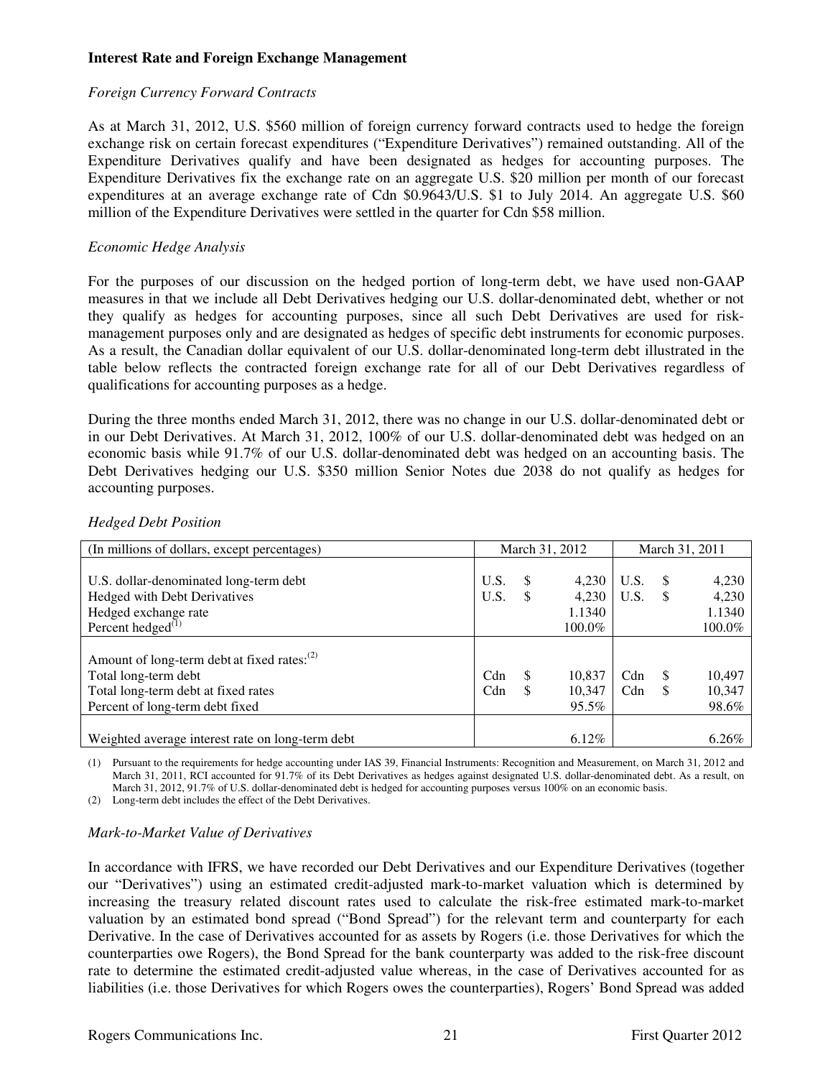### **Interest Rate and Foreign Exchange Management**

### *Foreign Currency Forward Contracts*

As at March 31, 2012, U.S. \$560 million of foreign currency forward contracts used to hedge the foreign exchange risk on certain forecast expenditures ("Expenditure Derivatives") remained outstanding. All of the Expenditure Derivatives qualify and have been designated as hedges for accounting purposes. The Expenditure Derivatives fix the exchange rate on an aggregate U.S. \$20 million per month of our forecast expenditures at an average exchange rate of Cdn \$0.9643/U.S. \$1 to July 2014. An aggregate U.S. \$60 million of the Expenditure Derivatives were settled in the quarter for Cdn \$58 million.

# *Economic Hedge Analysis*

For the purposes of our discussion on the hedged portion of long-term debt, we have used non-GAAP measures in that we include all Debt Derivatives hedging our U.S. dollar-denominated debt, whether or not they qualify as hedges for accounting purposes, since all such Debt Derivatives are used for riskmanagement purposes only and are designated as hedges of specific debt instruments for economic purposes. As a result, the Canadian dollar equivalent of our U.S. dollar-denominated long-term debt illustrated in the table below reflects the contracted foreign exchange rate for all of our Debt Derivatives regardless of qualifications for accounting purposes as a hedge.

During the three months ended March 31, 2012, there was no change in our U.S. dollar-denominated debt or in our Debt Derivatives. At March 31, 2012, 100% of our U.S. dollar-denominated debt was hedged on an economic basis while 91.7% of our U.S. dollar-denominated debt was hedged on an accounting basis. The Debt Derivatives hedging our U.S. \$350 million Senior Notes due 2038 do not qualify as hedges for accounting purposes.

| (In millions of dollars, except percentages)      | March 31, 2012 |          |          | March 31, 2011 |          |          |
|---------------------------------------------------|----------------|----------|----------|----------------|----------|----------|
|                                                   |                |          |          |                |          |          |
| U.S. dollar-denominated long-term debt            | U.S.           |          | 4,230    | U.S.           | -S       | 4,230    |
| Hedged with Debt Derivatives                      | U.S.           |          | 4,230    | U.S.           |          | 4,230    |
| Hedged exchange rate                              |                |          | 1.1340   |                |          | 1.1340   |
| Percent hedged $^{(1)}$                           |                |          | 100.0%   |                |          | 100.0%   |
|                                                   |                |          |          |                |          |          |
| Amount of long-term debt at fixed rates: $^{(2)}$ |                |          |          |                |          |          |
| Total long-term debt                              | Cdn            | <b>S</b> | 10,837   | Cdn            | <b>S</b> | 10,497   |
| Total long-term debt at fixed rates               | Cdn            |          | 10,347   | Cdn            |          | 10,347   |
| Percent of long-term debt fixed                   |                |          | 95.5%    |                |          | 98.6%    |
|                                                   |                |          |          |                |          |          |
| Weighted average interest rate on long-term debt  |                |          | $6.12\%$ |                |          | $6.26\%$ |

## *Hedged Debt Position*

(1) Pursuant to the requirements for hedge accounting under IAS 39, Financial Instruments: Recognition and Measurement, on March 31, 2012 and March 31, 2011, RCI accounted for 91.7% of its Debt Derivatives as hedges against designated U.S. dollar-denominated debt. As a result, on March 31, 2012, 91.7% of U.S. dollar-denominated debt is hedged for accounting purposes versus 100% on an economic basis.

(2) Long-term debt includes the effect of the Debt Derivatives.

# *Mark-to-Market Value of Derivatives*

In accordance with IFRS, we have recorded our Debt Derivatives and our Expenditure Derivatives (together our "Derivatives") using an estimated credit-adjusted mark-to-market valuation which is determined by increasing the treasury related discount rates used to calculate the risk-free estimated mark-to-market valuation by an estimated bond spread ("Bond Spread") for the relevant term and counterparty for each Derivative. In the case of Derivatives accounted for as assets by Rogers (i.e. those Derivatives for which the counterparties owe Rogers), the Bond Spread for the bank counterparty was added to the risk-free discount rate to determine the estimated credit-adjusted value whereas, in the case of Derivatives accounted for as liabilities (i.e. those Derivatives for which Rogers owes the counterparties), Rogers' Bond Spread was added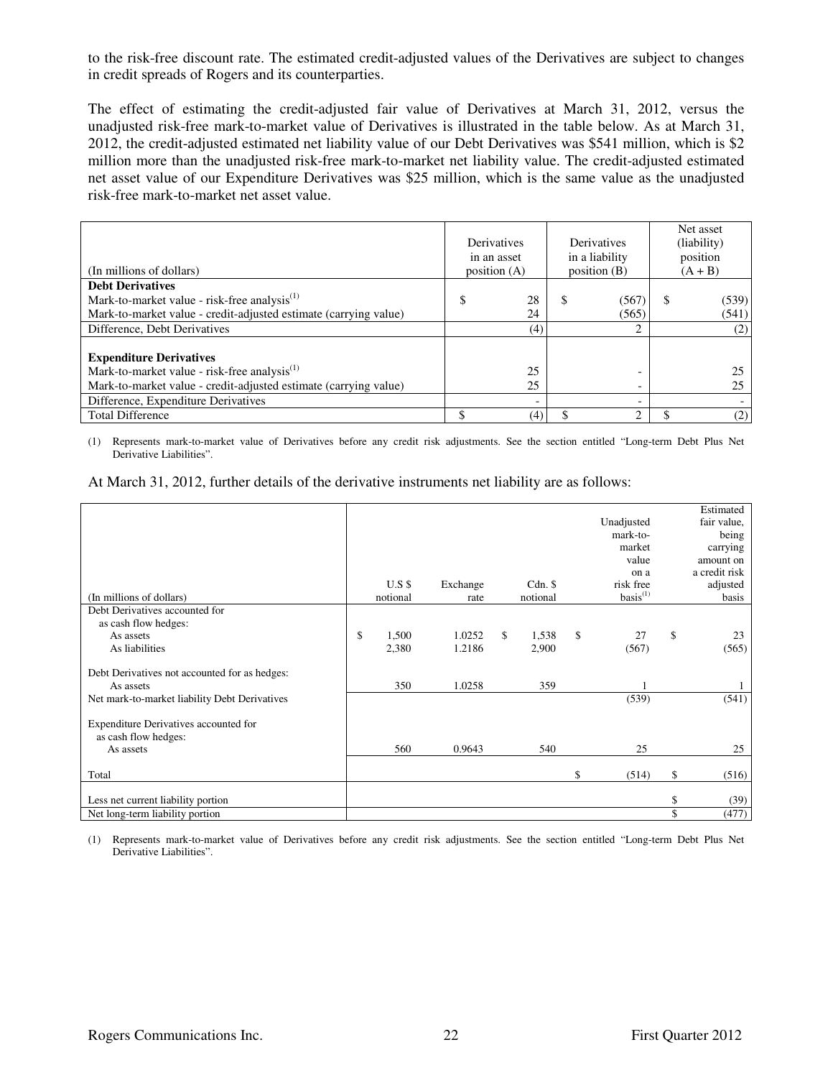to the risk-free discount rate. The estimated credit-adjusted values of the Derivatives are subject to changes in credit spreads of Rogers and its counterparties.

The effect of estimating the credit-adjusted fair value of Derivatives at March 31, 2012, versus the unadjusted risk-free mark-to-market value of Derivatives is illustrated in the table below. As at March 31, 2012, the credit-adjusted estimated net liability value of our Debt Derivatives was \$541 million, which is \$2 million more than the unadjusted risk-free mark-to-market net liability value. The credit-adjusted estimated net asset value of our Expenditure Derivatives was \$25 million, which is the same value as the unadjusted risk-free mark-to-market net asset value.

| (In millions of dollars)                                         | Derivatives<br>in an asset<br>position $(A)$ |     | Derivatives<br>in a liability<br>position $(B)$ |                          |   |       | Net asset<br>(liability)<br>position<br>$(A + B)$ |  |
|------------------------------------------------------------------|----------------------------------------------|-----|-------------------------------------------------|--------------------------|---|-------|---------------------------------------------------|--|
| <b>Debt Derivatives</b>                                          |                                              |     |                                                 |                          |   |       |                                                   |  |
| Mark-to-market value - risk-free analysis <sup>(1)</sup>         | \$                                           | 28  | S                                               | (567)                    | S | (539) |                                                   |  |
| Mark-to-market value - credit-adjusted estimate (carrying value) |                                              | 24  |                                                 | (565)                    |   | (541) |                                                   |  |
| Difference, Debt Derivatives                                     |                                              | (4) |                                                 | C.                       |   | (2)   |                                                   |  |
|                                                                  |                                              |     |                                                 |                          |   |       |                                                   |  |
| <b>Expenditure Derivatives</b>                                   |                                              |     |                                                 |                          |   |       |                                                   |  |
| Mark-to-market value - risk-free analysis <sup>(1)</sup>         |                                              | 25  |                                                 |                          |   |       |                                                   |  |
| Mark-to-market value - credit-adjusted estimate (carrying value) |                                              | 25  |                                                 |                          |   |       |                                                   |  |
| Difference, Expenditure Derivatives                              |                                              |     |                                                 | $\overline{\phantom{0}}$ |   |       |                                                   |  |
| <b>Total Difference</b>                                          |                                              | (4) |                                                 | 2                        |   | (2)   |                                                   |  |

(1) Represents mark-to-market value of Derivatives before any credit risk adjustments. See the section entitled "Long-term Debt Plus Net Derivative Liabilities".

| At March 31, 2012, further details of the derivative instruments net liability are as follows: |  |  |
|------------------------------------------------------------------------------------------------|--|--|
|------------------------------------------------------------------------------------------------|--|--|

|                                               |             |          |             |               | Estimated     |
|-----------------------------------------------|-------------|----------|-------------|---------------|---------------|
|                                               |             |          |             | Unadjusted    | fair value,   |
|                                               |             |          |             | mark-to-      | being         |
|                                               |             |          |             | market        | carrying      |
|                                               |             |          |             | value         | amount on     |
|                                               |             |          |             | on a          | a credit risk |
|                                               | $U.S$ \$    | Exchange | $Cdn.$ \$   | risk free     | adjusted      |
| (In millions of dollars)                      | notional    | rate     | notional    | $basis^{(1)}$ | basis         |
| Debt Derivatives accounted for                |             |          |             |               |               |
| as cash flow hedges:                          |             |          |             |               |               |
| As assets                                     | \$<br>1,500 | 1.0252   | \$<br>1,538 | \$<br>27      | \$<br>23      |
| As liabilities                                | 2,380       | 1.2186   | 2,900       | (567)         | (565)         |
|                                               |             |          |             |               |               |
| Debt Derivatives not accounted for as hedges: |             |          |             |               |               |
| As assets                                     | 350         | 1.0258   | 359         |               |               |
| Net mark-to-market liability Debt Derivatives |             |          |             | (539)         | (541)         |
|                                               |             |          |             |               |               |
| Expenditure Derivatives accounted for         |             |          |             |               |               |
| as cash flow hedges:                          |             |          |             |               |               |
| As assets                                     | 560         | 0.9643   | 540         | 25            | 25            |
|                                               |             |          |             |               |               |
| Total                                         |             |          |             | \$<br>(514)   | \$<br>(516)   |
|                                               |             |          |             |               |               |
| Less net current liability portion            |             |          |             |               | \$<br>(39)    |
| Net long-term liability portion               |             |          |             |               | \$<br>(477)   |

(1) Represents mark-to-market value of Derivatives before any credit risk adjustments. See the section entitled "Long-term Debt Plus Net Derivative Liabilities".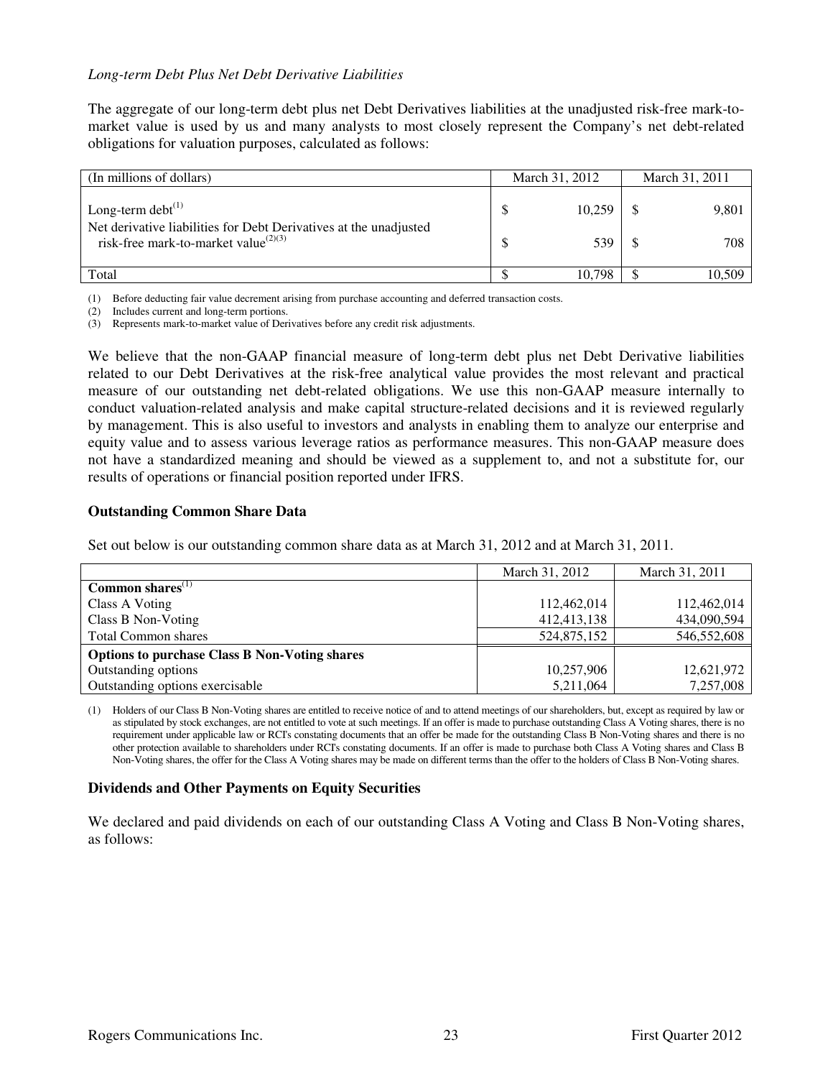### *Long-term Debt Plus Net Debt Derivative Liabilities*

The aggregate of our long-term debt plus net Debt Derivatives liabilities at the unadjusted risk-free mark-tomarket value is used by us and many analysts to most closely represent the Company's net debt-related obligations for valuation purposes, calculated as follows:

| (In millions of dollars)                                                                                              | March 31, 2012 | March 31, 2011 |
|-----------------------------------------------------------------------------------------------------------------------|----------------|----------------|
| Long-term debt $^{(1)}$                                                                                               | 10,259         | 9,801          |
| Net derivative liabilities for Debt Derivatives at the unadjusted<br>risk-free mark-to-market value <sup>(2)(3)</sup> | 539            | 708            |
| Total                                                                                                                 | 10.798         | 10.509         |

(1) Before deducting fair value decrement arising from purchase accounting and deferred transaction costs.

(2) Includes current and long-term portions.

(3) Represents mark-to-market value of Derivatives before any credit risk adjustments.

We believe that the non-GAAP financial measure of long-term debt plus net Debt Derivative liabilities related to our Debt Derivatives at the risk-free analytical value provides the most relevant and practical measure of our outstanding net debt-related obligations. We use this non-GAAP measure internally to conduct valuation-related analysis and make capital structure-related decisions and it is reviewed regularly by management. This is also useful to investors and analysts in enabling them to analyze our enterprise and equity value and to assess various leverage ratios as performance measures. This non-GAAP measure does not have a standardized meaning and should be viewed as a supplement to, and not a substitute for, our results of operations or financial position reported under IFRS.

#### **Outstanding Common Share Data**

Set out below is our outstanding common share data as at March 31, 2012 and at March 31, 2011.

|                                                      | March 31, 2012 | March 31, 2011 |
|------------------------------------------------------|----------------|----------------|
| Common shares $(1)$                                  |                |                |
| Class A Voting                                       | 112,462,014    | 112,462,014    |
| Class B Non-Voting                                   | 412,413,138    | 434,090,594    |
| <b>Total Common shares</b>                           | 524,875,152    | 546,552,608    |
| <b>Options to purchase Class B Non-Voting shares</b> |                |                |
| Outstanding options                                  | 10,257,906     | 12,621,972     |
| Outstanding options exercisable                      | 5,211,064      | 7,257,008      |

(1) Holders of our Class B Non-Voting shares are entitled to receive notice of and to attend meetings of our shareholders, but, except as required by law or as stipulated by stock exchanges, are not entitled to vote at such meetings. If an offer is made to purchase outstanding Class A Voting shares, there is no requirement under applicable law or RCI's constating documents that an offer be made for the outstanding Class B Non-Voting shares and there is no other protection available to shareholders under RCI's constating documents. If an offer is made to purchase both Class A Voting shares and Class B Non-Voting shares, the offer for the Class A Voting shares may be made on different terms than the offer to the holders of Class B Non-Voting shares.

#### **Dividends and Other Payments on Equity Securities**

We declared and paid dividends on each of our outstanding Class A Voting and Class B Non-Voting shares, as follows: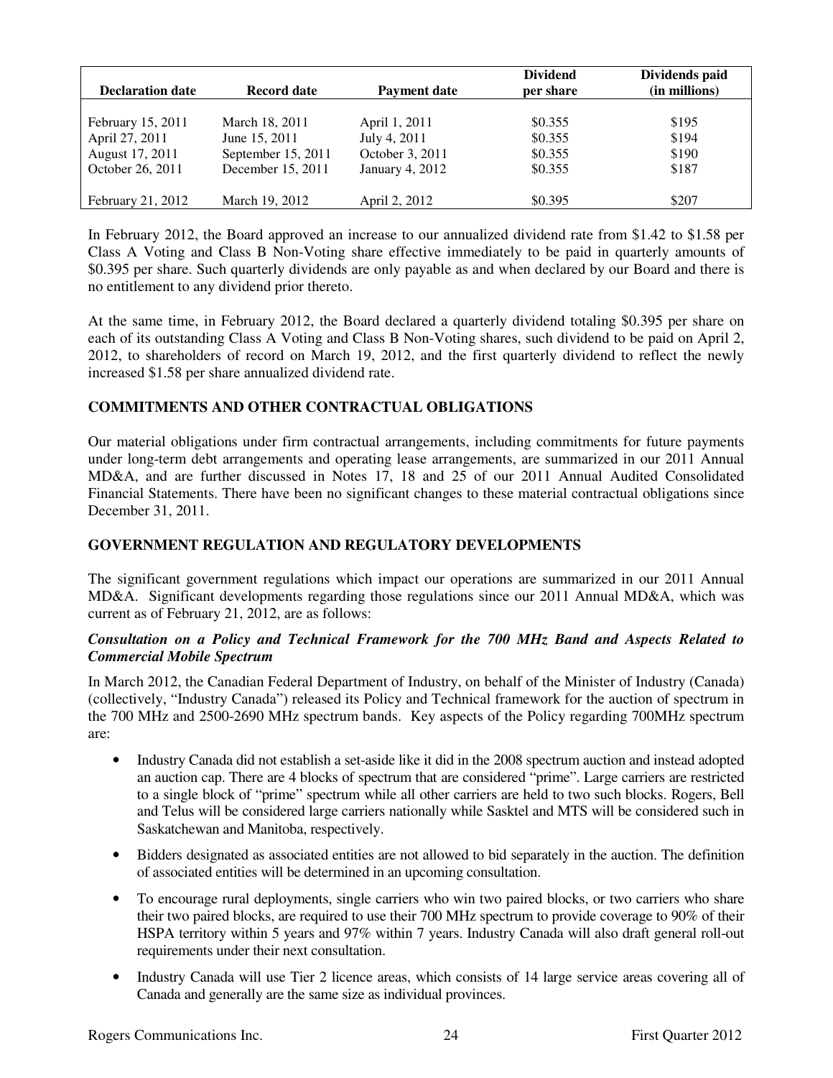| <b>Declaration date</b> | <b>Record date</b> | <b>Payment date</b> | <b>Dividend</b><br>per share | Dividends paid<br>(in millions) |
|-------------------------|--------------------|---------------------|------------------------------|---------------------------------|
| February 15, 2011       | March 18, 2011     | April 1, 2011       | \$0.355                      | \$195                           |
| April 27, 2011          | June 15, 2011      | July 4, 2011        | \$0.355                      | \$194                           |
| August 17, 2011         | September 15, 2011 | October 3, 2011     | \$0.355                      | \$190                           |
| October 26, 2011        | December 15, 2011  | January 4, 2012     | \$0.355                      | \$187                           |
| February 21, 2012       | March 19, 2012     | April 2, 2012       | \$0.395                      | \$207                           |

In February 2012, the Board approved an increase to our annualized dividend rate from \$1.42 to \$1.58 per Class A Voting and Class B Non-Voting share effective immediately to be paid in quarterly amounts of \$0.395 per share. Such quarterly dividends are only payable as and when declared by our Board and there is no entitlement to any dividend prior thereto.

At the same time, in February 2012, the Board declared a quarterly dividend totaling \$0.395 per share on each of its outstanding Class A Voting and Class B Non-Voting shares, such dividend to be paid on April 2, 2012, to shareholders of record on March 19, 2012, and the first quarterly dividend to reflect the newly increased \$1.58 per share annualized dividend rate.

# **COMMITMENTS AND OTHER CONTRACTUAL OBLIGATIONS**

Our material obligations under firm contractual arrangements, including commitments for future payments under long-term debt arrangements and operating lease arrangements, are summarized in our 2011 Annual MD&A, and are further discussed in Notes 17, 18 and 25 of our 2011 Annual Audited Consolidated Financial Statements. There have been no significant changes to these material contractual obligations since December 31, 2011.

### **GOVERNMENT REGULATION AND REGULATORY DEVELOPMENTS**

The significant government regulations which impact our operations are summarized in our 2011 Annual MD&A. Significant developments regarding those regulations since our 2011 Annual MD&A, which was current as of February 21, 2012, are as follows:

### *Consultation on a Policy and Technical Framework for the 700 MHz Band and Aspects Related to Commercial Mobile Spectrum*

In March 2012, the Canadian Federal Department of Industry, on behalf of the Minister of Industry (Canada) (collectively, "Industry Canada") released its Policy and Technical framework for the auction of spectrum in the 700 MHz and 2500-2690 MHz spectrum bands. Key aspects of the Policy regarding 700MHz spectrum are:

- Industry Canada did not establish a set-aside like it did in the 2008 spectrum auction and instead adopted an auction cap. There are 4 blocks of spectrum that are considered "prime". Large carriers are restricted to a single block of "prime" spectrum while all other carriers are held to two such blocks. Rogers, Bell and Telus will be considered large carriers nationally while Sasktel and MTS will be considered such in Saskatchewan and Manitoba, respectively.
- Bidders designated as associated entities are not allowed to bid separately in the auction. The definition of associated entities will be determined in an upcoming consultation.
- To encourage rural deployments, single carriers who win two paired blocks, or two carriers who share their two paired blocks, are required to use their 700 MHz spectrum to provide coverage to 90% of their HSPA territory within 5 years and 97% within 7 years. Industry Canada will also draft general roll-out requirements under their next consultation.
- Industry Canada will use Tier 2 licence areas, which consists of 14 large service areas covering all of Canada and generally are the same size as individual provinces.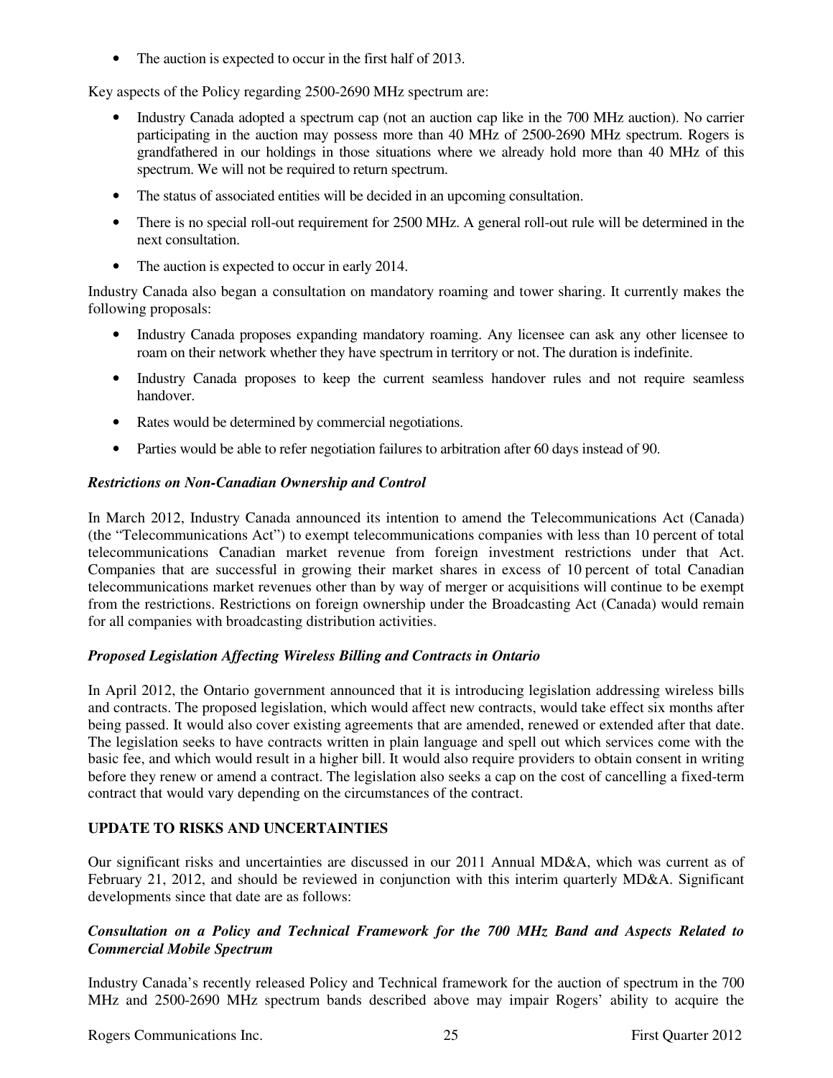• The auction is expected to occur in the first half of 2013.

Key aspects of the Policy regarding 2500-2690 MHz spectrum are:

- Industry Canada adopted a spectrum cap (not an auction cap like in the 700 MHz auction). No carrier participating in the auction may possess more than 40 MHz of 2500-2690 MHz spectrum. Rogers is grandfathered in our holdings in those situations where we already hold more than 40 MHz of this spectrum. We will not be required to return spectrum.
- The status of associated entities will be decided in an upcoming consultation.
- There is no special roll-out requirement for 2500 MHz. A general roll-out rule will be determined in the next consultation.
- The auction is expected to occur in early 2014.

Industry Canada also began a consultation on mandatory roaming and tower sharing. It currently makes the following proposals:

- Industry Canada proposes expanding mandatory roaming. Any licensee can ask any other licensee to roam on their network whether they have spectrum in territory or not. The duration is indefinite.
- Industry Canada proposes to keep the current seamless handover rules and not require seamless handover.
- Rates would be determined by commercial negotiations.
- Parties would be able to refer negotiation failures to arbitration after 60 days instead of 90.

### *Restrictions on Non-Canadian Ownership and Control*

In March 2012, Industry Canada announced its intention to amend the Telecommunications Act (Canada) (the "Telecommunications Act") to exempt telecommunications companies with less than 10 percent of total telecommunications Canadian market revenue from foreign investment restrictions under that Act. Companies that are successful in growing their market shares in excess of 10 percent of total Canadian telecommunications market revenues other than by way of merger or acquisitions will continue to be exempt from the restrictions. Restrictions on foreign ownership under the Broadcasting Act (Canada) would remain for all companies with broadcasting distribution activities.

### *Proposed Legislation Affecting Wireless Billing and Contracts in Ontario*

In April 2012, the Ontario government announced that it is introducing legislation addressing wireless bills and contracts. The proposed legislation, which would affect new contracts, would take effect six months after being passed. It would also cover existing agreements that are amended, renewed or extended after that date. The legislation seeks to have contracts written in plain language and spell out which services come with the basic fee, and which would result in a higher bill. It would also require providers to obtain consent in writing before they renew or amend a contract. The legislation also seeks a cap on the cost of cancelling a fixed-term contract that would vary depending on the circumstances of the contract.

# **UPDATE TO RISKS AND UNCERTAINTIES**

Our significant risks and uncertainties are discussed in our 2011 Annual MD&A, which was current as of February 21, 2012, and should be reviewed in conjunction with this interim quarterly MD&A. Significant developments since that date are as follows:

## *Consultation on a Policy and Technical Framework for the 700 MHz Band and Aspects Related to Commercial Mobile Spectrum*

Industry Canada's recently released Policy and Technical framework for the auction of spectrum in the 700 MHz and 2500-2690 MHz spectrum bands described above may impair Rogers' ability to acquire the

Rogers Communications Inc. 25 and 25 First Quarter 2012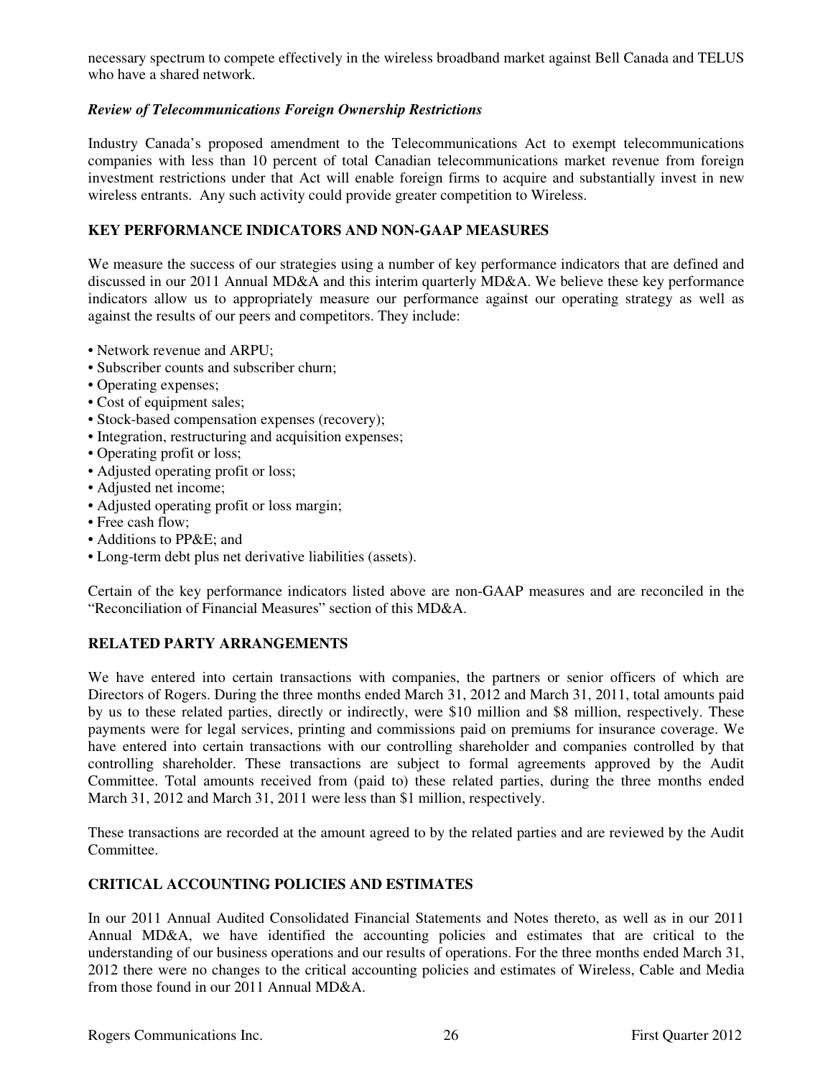necessary spectrum to compete effectively in the wireless broadband market against Bell Canada and TELUS who have a shared network.

# *Review of Telecommunications Foreign Ownership Restrictions*

Industry Canada's proposed amendment to the Telecommunications Act to exempt telecommunications companies with less than 10 percent of total Canadian telecommunications market revenue from foreign investment restrictions under that Act will enable foreign firms to acquire and substantially invest in new wireless entrants. Any such activity could provide greater competition to Wireless.

## **KEY PERFORMANCE INDICATORS AND NON-GAAP MEASURES**

We measure the success of our strategies using a number of key performance indicators that are defined and discussed in our 2011 Annual MD&A and this interim quarterly MD&A. We believe these key performance indicators allow us to appropriately measure our performance against our operating strategy as well as against the results of our peers and competitors. They include:

- Network revenue and ARPU;
- Subscriber counts and subscriber churn;
- Operating expenses;
- Cost of equipment sales;
- Stock-based compensation expenses (recovery);
- Integration, restructuring and acquisition expenses;
- Operating profit or loss;
- Adjusted operating profit or loss;
- Adjusted net income;
- Adjusted operating profit or loss margin;
- Free cash flow;
- Additions to PP&E; and
- Long-term debt plus net derivative liabilities (assets).

Certain of the key performance indicators listed above are non-GAAP measures and are reconciled in the "Reconciliation of Financial Measures" section of this MD&A.

# **RELATED PARTY ARRANGEMENTS**

We have entered into certain transactions with companies, the partners or senior officers of which are Directors of Rogers. During the three months ended March 31, 2012 and March 31, 2011, total amounts paid by us to these related parties, directly or indirectly, were \$10 million and \$8 million, respectively. These payments were for legal services, printing and commissions paid on premiums for insurance coverage. We have entered into certain transactions with our controlling shareholder and companies controlled by that controlling shareholder. These transactions are subject to formal agreements approved by the Audit Committee. Total amounts received from (paid to) these related parties, during the three months ended March 31, 2012 and March 31, 2011 were less than \$1 million, respectively.

These transactions are recorded at the amount agreed to by the related parties and are reviewed by the Audit Committee.

# **CRITICAL ACCOUNTING POLICIES AND ESTIMATES**

In our 2011 Annual Audited Consolidated Financial Statements and Notes thereto, as well as in our 2011 Annual MD&A, we have identified the accounting policies and estimates that are critical to the understanding of our business operations and our results of operations. For the three months ended March 31, 2012 there were no changes to the critical accounting policies and estimates of Wireless, Cable and Media from those found in our 2011 Annual MD&A.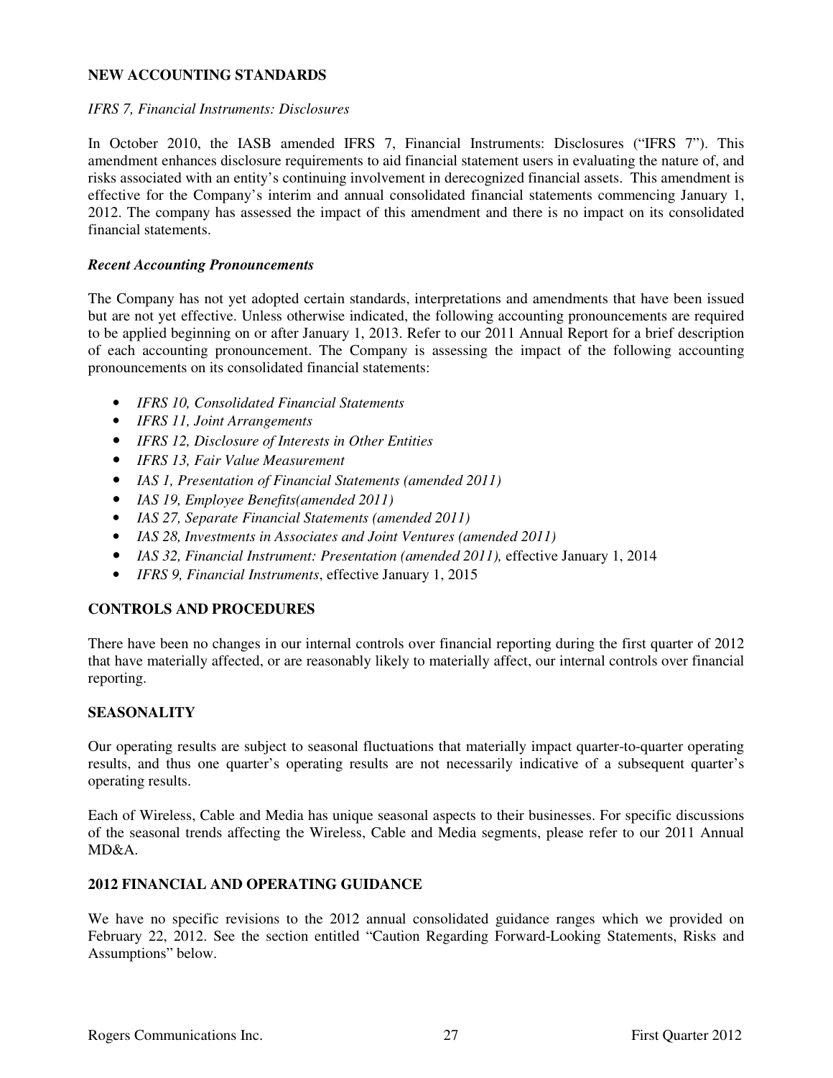## **NEW ACCOUNTING STANDARDS**

#### *IFRS 7, Financial Instruments: Disclosures*

In October 2010, the IASB amended IFRS 7, Financial Instruments: Disclosures ("IFRS 7"). This amendment enhances disclosure requirements to aid financial statement users in evaluating the nature of, and risks associated with an entity's continuing involvement in derecognized financial assets. This amendment is effective for the Company's interim and annual consolidated financial statements commencing January 1, 2012. The company has assessed the impact of this amendment and there is no impact on its consolidated financial statements.

#### *Recent Accounting Pronouncements*

The Company has not yet adopted certain standards, interpretations and amendments that have been issued but are not yet effective. Unless otherwise indicated, the following accounting pronouncements are required to be applied beginning on or after January 1, 2013. Refer to our 2011 Annual Report for a brief description of each accounting pronouncement. The Company is assessing the impact of the following accounting pronouncements on its consolidated financial statements:

- *IFRS 10, Consolidated Financial Statements*
- *IFRS 11, Joint Arrangements*
- *IFRS 12, Disclosure of Interests in Other Entities*
- *IFRS 13, Fair Value Measurement*
- *IAS 1, Presentation of Financial Statements (amended 2011)*
- *IAS 19, Employee Benefits(amended 2011)*
- *IAS 27, Separate Financial Statements (amended 2011)*
- *IAS 28, Investments in Associates and Joint Ventures (amended 2011)*
- *IAS 32, Financial Instrument: Presentation (amended 2011), effective January 1, 2014*
- *IFRS 9, Financial Instruments*, effective January 1, 2015

### **CONTROLS AND PROCEDURES**

There have been no changes in our internal controls over financial reporting during the first quarter of 2012 that have materially affected, or are reasonably likely to materially affect, our internal controls over financial reporting.

### **SEASONALITY**

Our operating results are subject to seasonal fluctuations that materially impact quarter-to-quarter operating results, and thus one quarter's operating results are not necessarily indicative of a subsequent quarter's operating results.

Each of Wireless, Cable and Media has unique seasonal aspects to their businesses. For specific discussions of the seasonal trends affecting the Wireless, Cable and Media segments, please refer to our 2011 Annual  $MD&A$ 

### **2012 FINANCIAL AND OPERATING GUIDANCE**

We have no specific revisions to the 2012 annual consolidated guidance ranges which we provided on February 22, 2012. See the section entitled "Caution Regarding Forward-Looking Statements, Risks and Assumptions" below.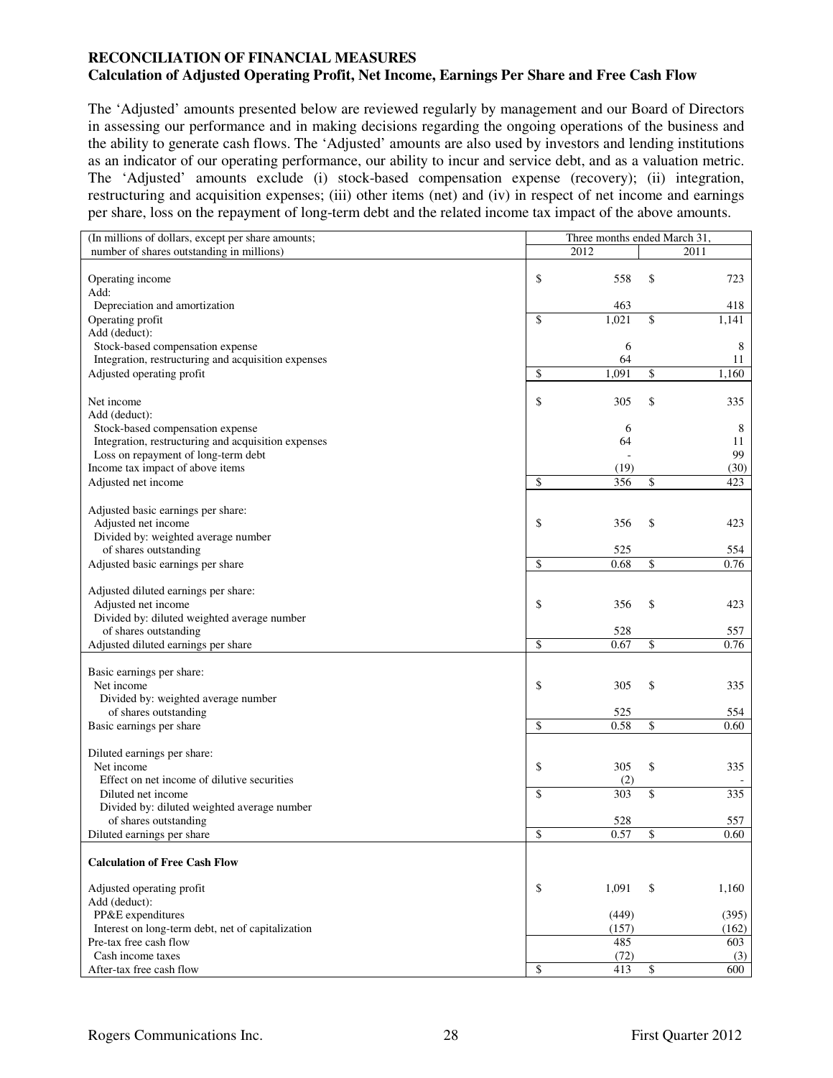### **RECONCILIATION OF FINANCIAL MEASURES Calculation of Adjusted Operating Profit, Net Income, Earnings Per Share and Free Cash Flow**

The 'Adjusted' amounts presented below are reviewed regularly by management and our Board of Directors in assessing our performance and in making decisions regarding the ongoing operations of the business and the ability to generate cash flows. The 'Adjusted' amounts are also used by investors and lending institutions as an indicator of our operating performance, our ability to incur and service debt, and as a valuation metric. The 'Adjusted' amounts exclude (i) stock-based compensation expense (recovery); (ii) integration, restructuring and acquisition expenses; (iii) other items (net) and (iv) in respect of net income and earnings per share, loss on the repayment of long-term debt and the related income tax impact of the above amounts.

| (In millions of dollars, except per share amounts;           | Three months ended March 31, |       |    |       |
|--------------------------------------------------------------|------------------------------|-------|----|-------|
| number of shares outstanding in millions)                    |                              | 2012  |    | 2011  |
|                                                              |                              |       |    |       |
| Operating income                                             | \$                           | 558   | \$ | 723   |
| Add:                                                         |                              |       |    |       |
| Depreciation and amortization                                |                              | 463   |    | 418   |
| Operating profit                                             | \$                           | 1,021 | \$ | 1,141 |
| Add (deduct):                                                |                              |       |    |       |
| Stock-based compensation expense                             |                              | 6     |    | 8     |
| Integration, restructuring and acquisition expenses          |                              | 64    |    | 11    |
| Adjusted operating profit                                    | \$                           | 1,091 | \$ | 1,160 |
|                                                              |                              |       |    |       |
| Net income                                                   | \$                           | 305   | \$ | 335   |
| Add (deduct):                                                |                              |       |    |       |
| Stock-based compensation expense                             |                              | 6     |    | 8     |
| Integration, restructuring and acquisition expenses          |                              | 64    |    | 11    |
| Loss on repayment of long-term debt                          |                              |       |    | 99    |
| Income tax impact of above items                             |                              | (19)  |    | (30)  |
| Adjusted net income                                          | \$                           | 356   | \$ | 423   |
|                                                              |                              |       |    |       |
| Adjusted basic earnings per share:                           |                              |       |    |       |
| Adjusted net income                                          | \$                           | 356   | \$ | 423   |
| Divided by: weighted average number<br>of shares outstanding |                              | 525   |    | 554   |
|                                                              | \$                           | 0.68  | \$ | 0.76  |
| Adjusted basic earnings per share                            |                              |       |    |       |
| Adjusted diluted earnings per share:                         |                              |       |    |       |
| Adjusted net income                                          | \$                           | 356   | \$ | 423   |
| Divided by: diluted weighted average number                  |                              |       |    |       |
| of shares outstanding                                        |                              | 528   |    | 557   |
| Adjusted diluted earnings per share                          | \$                           | 0.67  | \$ | 0.76  |
|                                                              |                              |       |    |       |
| Basic earnings per share:                                    |                              |       |    |       |
| Net income                                                   | \$                           | 305   | \$ | 335   |
| Divided by: weighted average number                          |                              |       |    |       |
| of shares outstanding                                        |                              | 525   |    | 554   |
| Basic earnings per share                                     | \$                           | 0.58  | \$ | 0.60  |
|                                                              |                              |       |    |       |
| Diluted earnings per share:                                  |                              |       |    |       |
| Net income                                                   | \$                           | 305   | \$ | 335   |
| Effect on net income of dilutive securities                  |                              | (2)   |    |       |
| Diluted net income                                           | \$                           | 303   | \$ | 335   |
| Divided by: diluted weighted average number                  |                              |       |    |       |
| of shares outstanding                                        |                              | 528   |    | 557   |
| Diluted earnings per share                                   | \$                           | 0.57  | \$ | 0.60  |
| <b>Calculation of Free Cash Flow</b>                         |                              |       |    |       |
|                                                              |                              |       |    |       |
| Adjusted operating profit                                    | \$                           | 1,091 | \$ | 1,160 |
| Add (deduct):                                                |                              |       |    |       |
| PP&E expenditures                                            |                              | (449) |    | (395) |
| Interest on long-term debt, net of capitalization            |                              | (157) |    | (162) |
| Pre-tax free cash flow                                       |                              | 485   |    | 603   |
| Cash income taxes                                            |                              | (72)  |    | (3)   |
| After-tax free cash flow                                     | \$                           | 413   | \$ | 600   |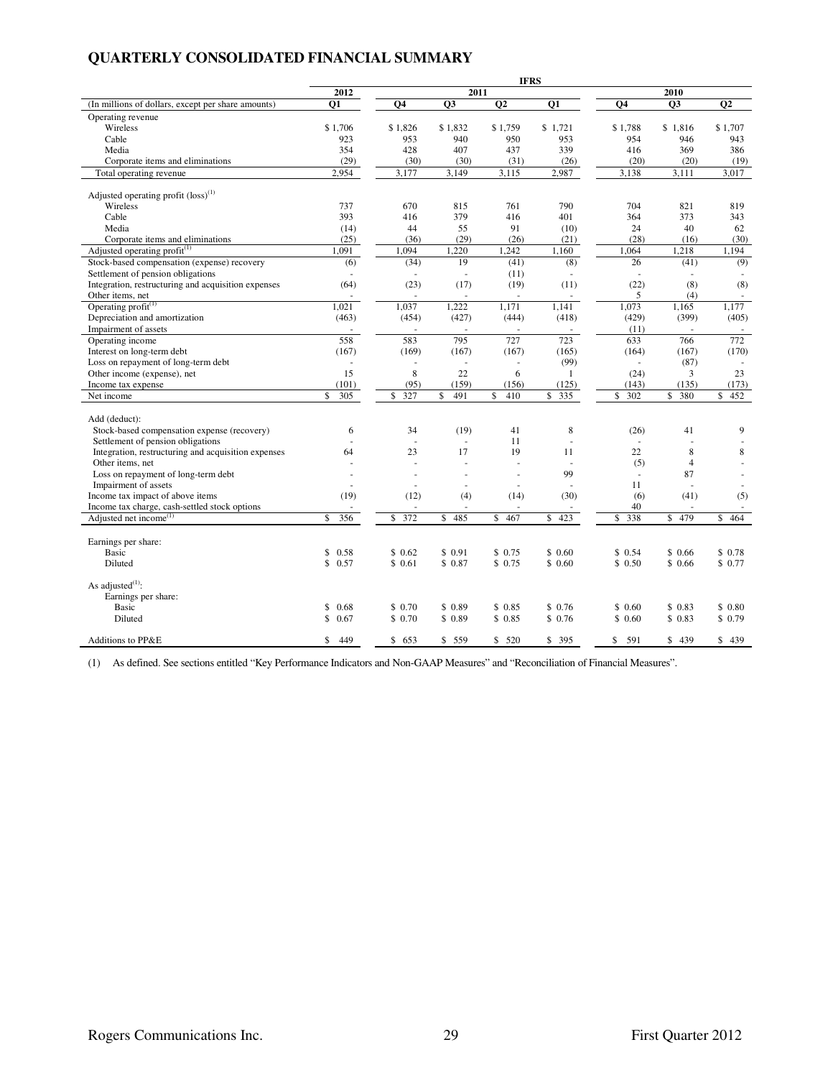# **QUARTERLY CONSOLIDATED FINANCIAL SUMMARY**

|                                                                         |            |                          |                          | <b>IFRS</b>              |           |                    |                     |                 |
|-------------------------------------------------------------------------|------------|--------------------------|--------------------------|--------------------------|-----------|--------------------|---------------------|-----------------|
|                                                                         | 2012       |                          | 2011                     |                          |           |                    | 2010                |                 |
| (In millions of dollars, except per share amounts)                      | <b>O1</b>  | Q <sub>4</sub>           | Q3                       | $\overline{Q2}$          | Q1        | Q <sub>4</sub>     | Q3                  | $\overline{Q2}$ |
| Operating revenue                                                       |            |                          |                          |                          |           |                    |                     |                 |
| Wireless                                                                | \$1.706    | \$1.826                  | \$1.832                  | \$1.759                  | \$1.721   | \$1.788            | \$1.816             | \$1.707         |
| Cable                                                                   | 923        | 953                      | 940                      | 950                      | 953       | 954                | 946                 | 943             |
| Media                                                                   | 354        | 428                      | 407                      | 437                      | 339       | 416                | 369                 | 386             |
| Corporate items and eliminations                                        | (29)       | (30)                     | (30)                     | (31)                     | (26)      | (20)               | (20)                | (19)            |
| Total operating revenue                                                 | 2,954      | 3,177                    | 3,149                    | 3,115                    | 2,987     | 3,138              | 3,111               | 3,017           |
|                                                                         |            |                          |                          |                          |           |                    |                     |                 |
| Adjusted operating profit $(\text{loss})^{(1)}$                         |            |                          |                          |                          |           |                    |                     |                 |
| Wireless                                                                | 737        | 670                      | 815                      | 761                      | 790       | 704                | 821                 | 819             |
| Cable                                                                   | 393        | 416                      | 379                      | 416                      | 401       | 364                | 373                 | 343             |
| Media                                                                   | (14)       | 44                       | 55                       | 91                       | (10)      | 24                 | 40                  | 62              |
| Corporate items and eliminations                                        | (25)       | (36)                     | (29)                     | (26)                     | (21)      | (28)               | (16)                | (30)            |
| Adjusted operating profit $(1)$                                         | 1,091      | 1,094                    | 1,220                    | 1,242                    | 1,160     | $\overline{1,064}$ | 1,218               | 1,194           |
| Stock-based compensation (expense) recovery                             | (6)        | (34)                     | 19                       | (41)                     | (8)       | 26                 | (41)                | (9)             |
| Settlement of pension obligations                                       |            |                          | L.                       | (11)                     |           | L.                 |                     |                 |
| Integration, restructuring and acquisition expenses                     | (64)       | (23)                     | (17)                     | (19)                     | (11)      | (22)               | (8)                 | (8)             |
| Other items, net                                                        |            |                          |                          |                          |           | 5                  | (4)                 |                 |
| Operating $profit^{(1)}$                                                | 1,021      | 1,037                    | 1,222                    | 1,171                    | 1.141     | 1,073              | 1,165               | 1,177           |
| Depreciation and amortization                                           | (463)      | (454)                    | (427)                    | (444)                    | (418)     | (429)              | (399)               | (405)           |
| Impairment of assets                                                    |            |                          |                          |                          |           | (11)               |                     |                 |
| Operating income                                                        | 558        | 583                      | 795                      | 727                      | 723       | 633                | 766                 | 772             |
| Interest on long-term debt                                              | (167)      | (169)                    | (167)                    | (167)                    | (165)     | (164)              | (167)               | (170)           |
| Loss on repayment of long-term debt                                     |            |                          |                          | $\overline{\phantom{a}}$ | (99)      | $\sim$             | (87)                |                 |
| Other income (expense), net                                             | 15         | 8                        | 22                       | 6                        | 1         | (24)               | 3                   | 23              |
| Income tax expense                                                      | (101)      | (95)                     | (159)                    | (156)                    | (125)     | (143)              | (135)               | (173)           |
| Net income                                                              | \$<br>305  | 327<br>\$                | 491<br>\$                | 410<br>\$                | 335<br>\$ | 302<br>\$          | 380<br>\$           | 452<br>\$       |
|                                                                         |            |                          |                          |                          |           |                    |                     |                 |
| Add (deduct):                                                           |            |                          |                          |                          |           |                    |                     |                 |
| Stock-based compensation expense (recovery)                             | 6          | 34                       | (19)                     | 41                       | 8         | (26)               | 41                  | 9               |
| Settlement of pension obligations                                       |            | ÷.<br>23                 | ÷,<br>17                 | 11<br>19                 | ÷,        | $\sim$<br>22       |                     |                 |
| Integration, restructuring and acquisition expenses<br>Other items, net | 64         |                          |                          |                          | 11        |                    | 8<br>$\overline{4}$ | 8               |
| Loss on repayment of long-term debt                                     |            | $\overline{\phantom{a}}$ | ÷,                       | $\overline{a}$           | 99        | (5)<br>$\omega$    | 87                  |                 |
| Impairment of assets                                                    |            |                          | $\overline{a}$           |                          |           | 11                 |                     |                 |
| Income tax impact of above items                                        | (19)       | (12)                     | (4)                      | (14)                     | (30)      | (6)                | (41)                | (5)             |
| Income tax charge, cash-settled stock options                           |            | $\overline{\phantom{a}}$ | $\overline{\phantom{a}}$ | ÷                        |           | 40                 | ÷                   | ÷.              |
| Adjusted net income <sup>(1)</sup>                                      | 356<br>\$  | 372<br>\$                | \$485                    | \$ 467                   | 423<br>\$ | 338<br>\$          | \$ 479              | \$464           |
|                                                                         |            |                          |                          |                          |           |                    |                     |                 |
| Earnings per share:                                                     |            |                          |                          |                          |           |                    |                     |                 |
| Basic                                                                   | \$<br>0.58 | \$0.62                   | \$0.91                   | \$0.75                   | \$0.60    | \$0.54             | \$0.66              | \$0.78          |
| Diluted                                                                 | \$<br>0.57 | \$0.61                   | \$0.87                   | \$0.75                   | \$0.60    | \$0.50             | \$0.66              | \$0.77          |
|                                                                         |            |                          |                          |                          |           |                    |                     |                 |
| As adjusted $^{(1)}$ :                                                  |            |                          |                          |                          |           |                    |                     |                 |
| Earnings per share:                                                     |            |                          |                          |                          |           |                    |                     |                 |
| Basic                                                                   | \$<br>0.68 | \$0.70                   | \$0.89                   | \$0.85                   | \$0.76    | \$0.60             | \$0.83              | \$0.80          |
| Diluted                                                                 | \$<br>0.67 | \$0.70                   | \$0.89                   | \$0.85                   | \$0.76    | \$0.60             | \$0.83              | \$0.79          |
|                                                                         |            |                          |                          |                          |           |                    |                     |                 |
| Additions to PP&E                                                       | \$<br>449  | \$653                    | \$ 559                   | \$520                    | \$395     | \$<br>591          | \$439               | \$439           |

(1) As defined. See sections entitled "Key Performance Indicators and Non-GAAP Measures" and "Reconciliation of Financial Measures".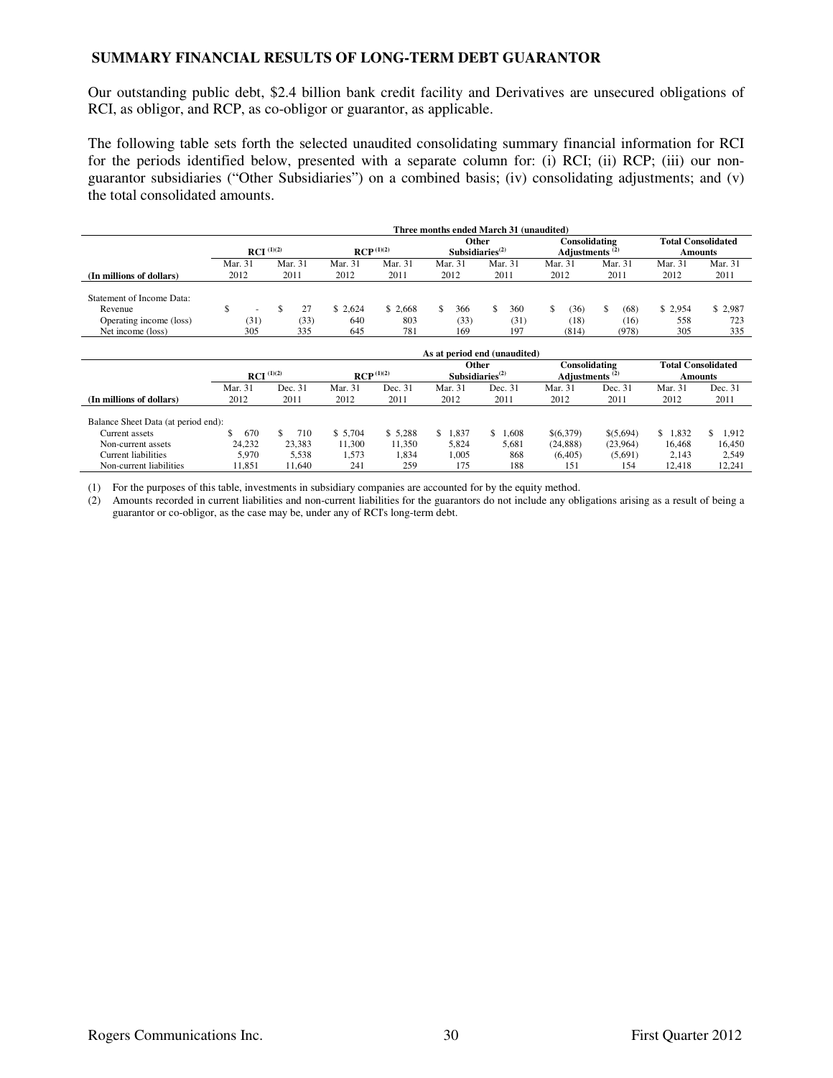#### **SUMMARY FINANCIAL RESULTS OF LONG-TERM DEBT GUARANTOR**

Our outstanding public debt, \$2.4 billion bank credit facility and Derivatives are unsecured obligations of RCI, as obligor, and RCP, as co-obligor or guarantor, as applicable.

The following table sets forth the selected unaudited consolidating summary financial information for RCI for the periods identified below, presented with a separate column for: (i) RCI; (ii) RCP; (iii) our nonguarantor subsidiaries ("Other Subsidiaries") on a combined basis; (iv) consolidating adjustments; and (v) the total consolidated amounts.

|                                              |              |                          |              |                         |            |  |             |                                                                                                         | Three months ended March 31 (unaudited) |         |               |      |               |            |                                      |  |  |
|----------------------------------------------|--------------|--------------------------|--------------|-------------------------|------------|--|-------------|---------------------------------------------------------------------------------------------------------|-----------------------------------------|---------|---------------|------|---------------|------------|--------------------------------------|--|--|
|                                              |              | $\mathbf{RCI}^{(1)(2)}$  |              | $RCP$ <sup>(1)(2)</sup> |            |  |             | Consolidating<br><b>Other</b><br>Subsidiaries <sup><math>(2)</math></sup><br>Adjustments <sup>(2)</sup> |                                         |         |               |      |               |            | <b>Total Consolidated</b><br>Amounts |  |  |
|                                              |              | Mar. 31                  | Mar. 31      | Mar. 31                 | Mar. 31    |  | Mar. 31     |                                                                                                         | Mar. 31                                 | Mar. 31 |               |      | Mar. 31       | Mar. 31    | Mar. 31                              |  |  |
| (In millions of dollars)                     | 2012<br>2011 |                          | 2012<br>2011 |                         | 2012       |  |             | 2011                                                                                                    | 2012                                    |         |               | 2011 | 2012          | 2011       |                                      |  |  |
| Statement of Income Data:                    |              |                          |              |                         |            |  |             |                                                                                                         |                                         |         |               |      |               |            |                                      |  |  |
| Revenue                                      |              | $\overline{\phantom{0}}$ |              | \$2.624                 | \$2.668    |  | 366         |                                                                                                         | 360                                     |         | (36)          | S    | (68)          | \$2.954    | \$2,987                              |  |  |
| Operating income (loss)<br>Net income (loss) |              | (31)<br>305              | (33)<br>335  | 640<br>645              | 803<br>781 |  | (33)<br>169 |                                                                                                         | (31)<br>197                             |         | (18)<br>(814) |      | (16)<br>(978) | 558<br>305 | 723<br>335                           |  |  |

|                                     |                        |           |                |         |                                | As at period end (unaudited) |                                             |           |                           |             |
|-------------------------------------|------------------------|-----------|----------------|---------|--------------------------------|------------------------------|---------------------------------------------|-----------|---------------------------|-------------|
|                                     | <b>RCI</b> $^{(1)(2)}$ |           | $RCP^{(1)(2)}$ |         | Other<br>Subsidiaries $^{(2)}$ |                              | Consolidating<br>Adiustments <sup>(2)</sup> |           | <b>Total Consolidated</b> | Amounts     |
|                                     | Mar. 31                | Dec. 31   | Mar. 31        | Dec. 31 | Mar. 31                        | Dec. 31                      | Mar. 31                                     | Dec. 31   | Mar. 31                   | Dec. 31     |
| (In millions of dollars)            | 2012                   | 2011      | 2012           | 2011    | 2012                           | 2011                         | 2012                                        | 2011      | 2012                      | 2011        |
| Balance Sheet Data (at period end): |                        |           |                |         |                                |                              |                                             |           |                           |             |
| Current assets                      | 670                    | S.<br>710 | \$5.704        | \$5,288 | .837<br>S.                     | .608                         | \$(6,379)                                   | \$(5,694) | 1.832<br>S.               | 1.912<br>S. |
| Non-current assets                  | 24.232                 | 23,383    | 11.300         | 11,350  | 5,824                          | 5,681                        | (24, 888)                                   | (23,964)  | 16.468                    | 16.450      |
| Current liabilities                 | 5.970                  | 5.538     | 1,573          | 1,834   | 1,005                          | 868                          | (6.405)                                     | (5,691)   | 2.143                     | 2,549       |
| Non-current liabilities             | 11.851                 | 11.640    | 241            | 259     | 175                            | 188                          | 151                                         | 154       | 12.418                    | 12,241      |

(1) For the purposes of this table, investments in subsidiary companies are accounted for by the equity method.

(2) Amounts recorded in current liabilities and non-current liabilities for the guarantors do not include any obligations arising as a result of being a guarantor or co-obligor, as the case may be, under any of RCI's long-term debt.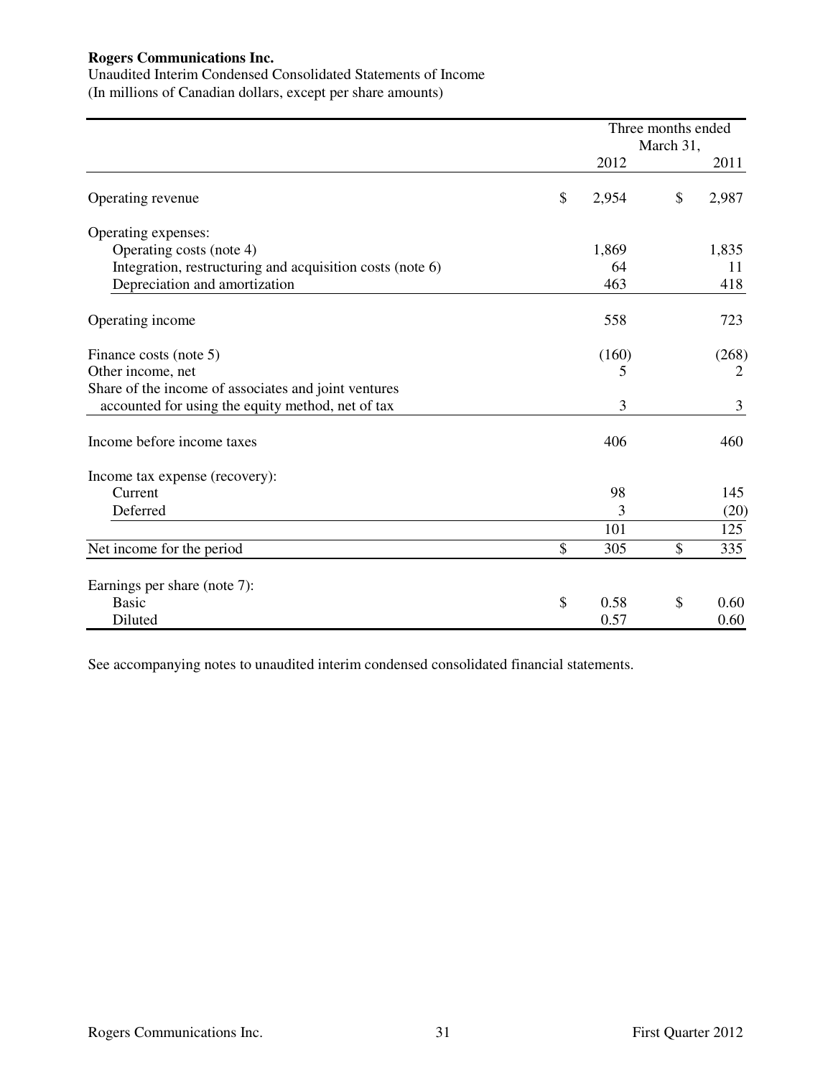Unaudited Interim Condensed Consolidated Statements of Income (In millions of Canadian dollars, except per share amounts)

|                                                           |             | Three months ended<br>March 31, |                |
|-----------------------------------------------------------|-------------|---------------------------------|----------------|
|                                                           | 2012        |                                 | 2011           |
| Operating revenue                                         | \$<br>2,954 | \$                              | 2,987          |
| Operating expenses:                                       |             |                                 |                |
| Operating costs (note 4)                                  | 1,869       |                                 | 1,835          |
| Integration, restructuring and acquisition costs (note 6) | 64          |                                 | 11             |
| Depreciation and amortization                             | 463         |                                 | 418            |
| Operating income                                          | 558         |                                 | 723            |
| Finance costs (note 5)                                    | (160)       |                                 | (268)          |
| Other income, net                                         | 5           |                                 | $\overline{2}$ |
| Share of the income of associates and joint ventures      |             |                                 |                |
| accounted for using the equity method, net of tax         | 3           |                                 | 3              |
| Income before income taxes                                | 406         |                                 | 460            |
| Income tax expense (recovery):                            |             |                                 |                |
| Current                                                   | 98          |                                 | 145            |
| Deferred                                                  | 3           |                                 | (20)           |
|                                                           | 101         |                                 | 125            |
| Net income for the period                                 | \$<br>305   | \$                              | 335            |
| Earnings per share (note 7):                              |             |                                 |                |
| <b>Basic</b>                                              | \$<br>0.58  | \$                              | 0.60           |
| Diluted                                                   | 0.57        |                                 | 0.60           |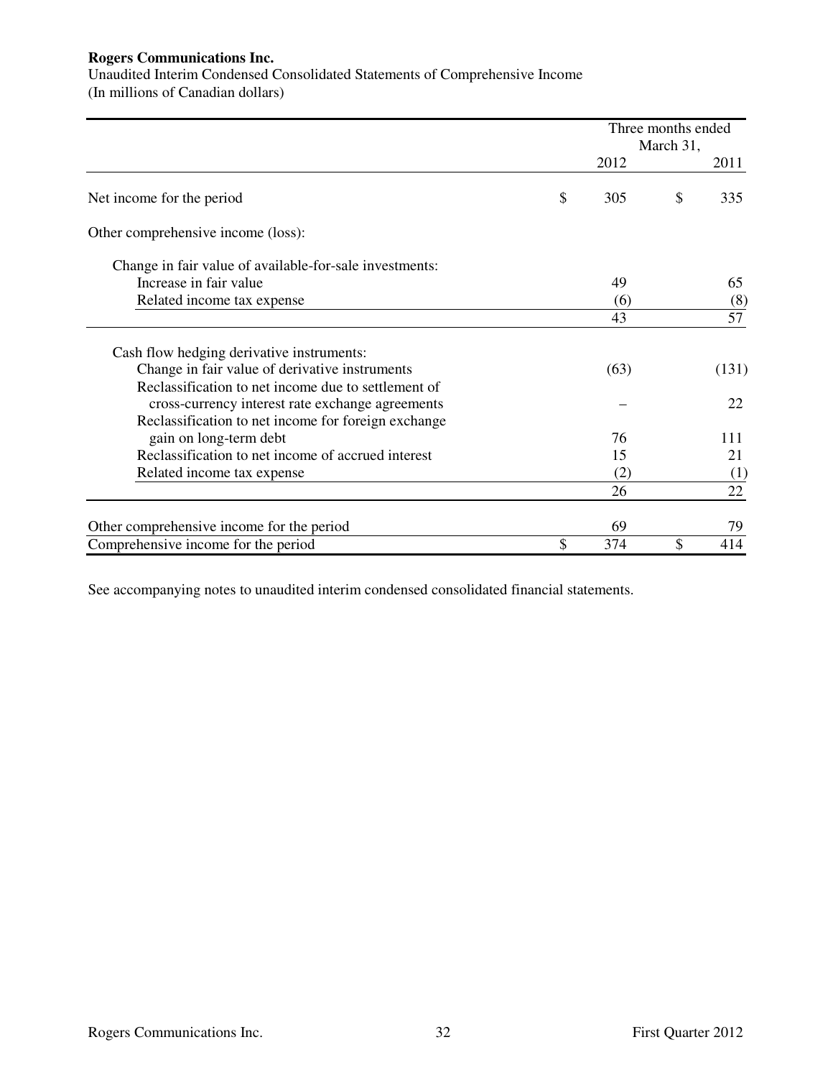Unaudited Interim Condensed Consolidated Statements of Comprehensive Income (In millions of Canadian dollars)

|                                                         |           | Three months ended<br>March 31, |       |
|---------------------------------------------------------|-----------|---------------------------------|-------|
|                                                         | 2012      |                                 | 2011  |
| Net income for the period                               | \$<br>305 | \$                              | 335   |
| Other comprehensive income (loss):                      |           |                                 |       |
| Change in fair value of available-for-sale investments: |           |                                 |       |
| Increase in fair value                                  | 49        |                                 | 65    |
| Related income tax expense                              | (6)       |                                 | (8)   |
|                                                         | 43        |                                 | 57    |
| Cash flow hedging derivative instruments:               |           |                                 |       |
| Change in fair value of derivative instruments          | (63)      |                                 | (131) |
| Reclassification to net income due to settlement of     |           |                                 |       |
| cross-currency interest rate exchange agreements        |           |                                 | 22    |
| Reclassification to net income for foreign exchange     |           |                                 |       |
| gain on long-term debt                                  | 76        |                                 | 111   |
| Reclassification to net income of accrued interest      | 15        |                                 | 21    |
| Related income tax expense                              | (2)       |                                 | (1)   |
|                                                         | 26        |                                 | 22    |
| Other comprehensive income for the period               | 69        |                                 | 79    |
| Comprehensive income for the period                     | \$<br>374 | \$                              | 414   |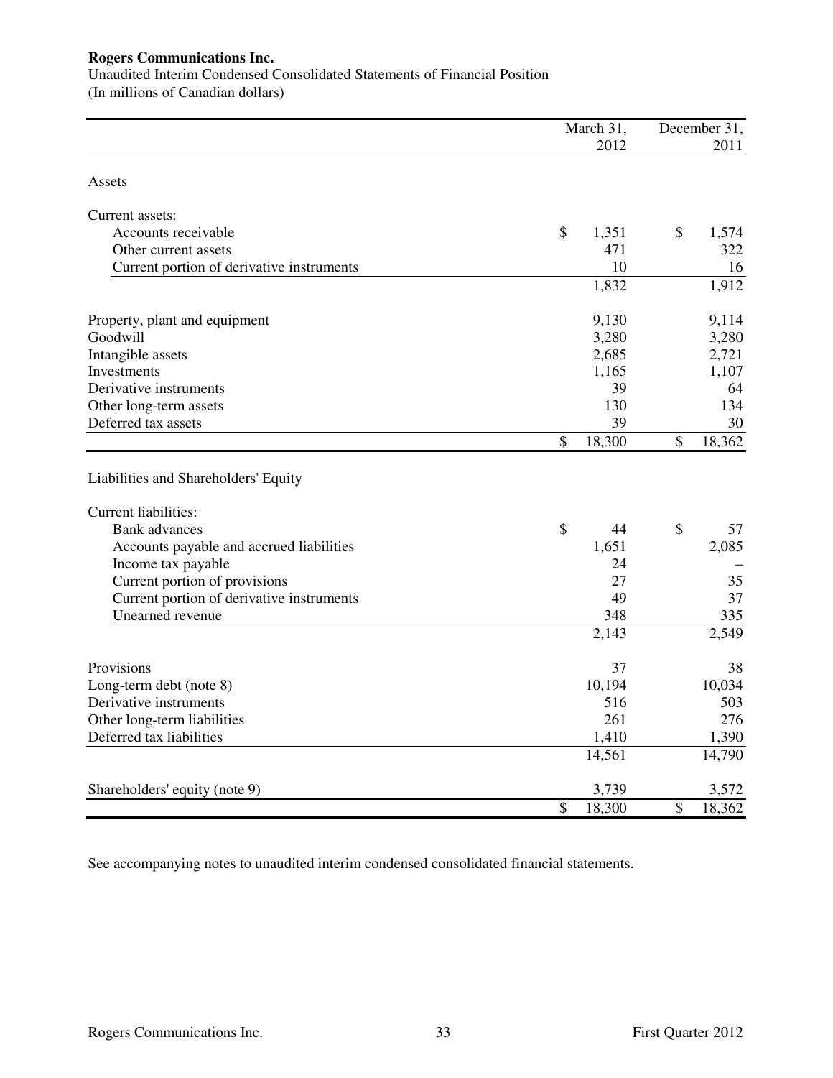Unaudited Interim Condensed Consolidated Statements of Financial Position (In millions of Canadian dollars)

|                                           | March 31,    |                           | December 31, |
|-------------------------------------------|--------------|---------------------------|--------------|
|                                           | 2012         |                           | 2011         |
| Assets                                    |              |                           |              |
| Current assets:                           |              |                           |              |
| Accounts receivable                       | \$<br>1,351  | \$                        | 1,574        |
| Other current assets                      | 471          |                           | 322          |
| Current portion of derivative instruments | 10           |                           | 16           |
|                                           | 1,832        |                           | 1,912        |
| Property, plant and equipment             | 9,130        |                           | 9,114        |
| Goodwill                                  | 3,280        |                           | 3,280        |
| Intangible assets                         | 2,685        |                           | 2,721        |
| Investments                               | 1,165        |                           | 1,107        |
| Derivative instruments                    | 39           |                           | 64           |
| Other long-term assets                    | 130          |                           | 134          |
| Deferred tax assets                       | 39           |                           | 30           |
|                                           | \$<br>18,300 | \$                        | 18,362       |
| Liabilities and Shareholders' Equity      |              |                           |              |
| <b>Current liabilities:</b>               |              |                           |              |
| <b>Bank</b> advances                      | \$<br>44     | $\boldsymbol{\mathsf{S}}$ | 57           |
| Accounts payable and accrued liabilities  | 1,651        |                           | 2,085        |
| Income tax payable                        | 24           |                           |              |
| Current portion of provisions             | 27           |                           | 35           |
| Current portion of derivative instruments | 49           |                           | 37           |
| Unearned revenue                          | 348          |                           | 335          |
|                                           | 2,143        |                           | 2,549        |
| Provisions                                | 37           |                           | 38           |
| Long-term debt (note 8)                   | 10,194       |                           | 10,034       |
| Derivative instruments                    | 516          |                           | 503          |
| Other long-term liabilities               | 261          |                           | 276          |
| Deferred tax liabilities                  | 1,410        |                           | 1,390        |
|                                           | 14,561       |                           | 14,790       |
| Shareholders' equity (note 9)             | 3,739        |                           | 3,572        |
|                                           | \$<br>18,300 | \$                        | 18,362       |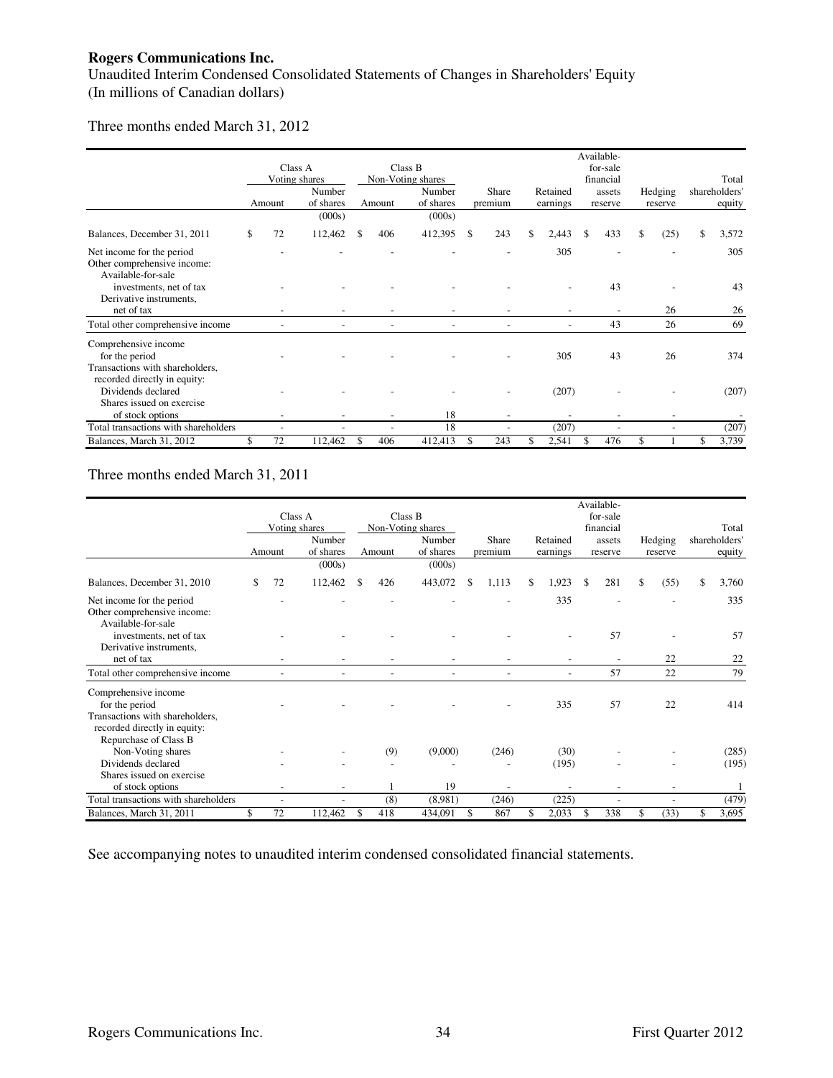Unaudited Interim Condensed Consolidated Statements of Changes in Shareholders' Equity (In millions of Canadian dollars)

#### Three months ended March 31, 2012

|                                                                                |          |                          |           |                              |                          |                          |     | Available-            |            |               |
|--------------------------------------------------------------------------------|----------|--------------------------|-----------|------------------------------|--------------------------|--------------------------|-----|-----------------------|------------|---------------|
|                                                                                |          | Class A<br>Voting shares |           | Class B<br>Non-Voting shares |                          |                          |     | for-sale<br>financial |            | Total         |
|                                                                                |          | Number                   |           | Number                       | Share                    | Retained                 |     | assets                | Hedging    | shareholders' |
|                                                                                | Amount   | of shares                | Amount    | of shares                    | premium                  | earnings                 |     | reserve               | reserve    | equity        |
|                                                                                |          | (000s)                   |           | (000s)                       |                          |                          |     |                       |            |               |
| Balances, December 31, 2011                                                    | \$<br>72 | 112,462                  | \$<br>406 | 412,395                      | \$<br>243                | \$<br>2,443              | \$. | 433                   | \$<br>(25) | \$<br>3,572   |
| Net income for the period<br>Other comprehensive income:<br>Available-for-sale |          |                          |           |                              |                          | 305                      |     |                       |            | 305           |
| investments, net of tax<br>Derivative instruments,                             |          |                          |           |                              |                          |                          |     | 43                    |            | 43            |
| net of tax                                                                     |          |                          |           |                              |                          |                          |     |                       | 26         | 26            |
| Total other comprehensive income                                               |          |                          |           |                              |                          | $\overline{\phantom{a}}$ |     | 43                    | 26         | 69            |
| Comprehensive income<br>for the period                                         |          |                          |           |                              |                          | 305                      |     | 43                    | 26         | 374           |
| Transactions with shareholders,<br>recorded directly in equity:                |          |                          |           |                              |                          |                          |     |                       |            |               |
| Dividends declared<br>Shares issued on exercise                                |          |                          |           |                              |                          | (207)                    |     |                       |            | (207)         |
| of stock options                                                               |          |                          |           | 18                           |                          |                          |     |                       |            |               |
| Total transactions with shareholders                                           |          |                          |           | 18                           | $\overline{\phantom{a}}$ | (207)                    |     |                       |            | (207)         |
| Balances, March 31, 2012                                                       | 72       | 112,462                  | \$<br>406 | 412,413                      | \$<br>243                | \$<br>2,541              | \$  | 476                   | \$         | \$<br>3,739   |

# Three months ended March 31, 2011

|                                                                                                           |          |                          |           |                             |             |                | Available-               |            |                        |
|-----------------------------------------------------------------------------------------------------------|----------|--------------------------|-----------|-----------------------------|-------------|----------------|--------------------------|------------|------------------------|
|                                                                                                           |          | Class A                  | Class B   |                             |             |                | for-sale                 |            |                        |
|                                                                                                           |          | Voting shares<br>Number  |           | Non-Voting shares<br>Number | Share       | Retained       | financial<br>assets      | Hedging    | Total<br>shareholders' |
|                                                                                                           | Amount   | of shares                | Amount    | of shares                   | premium     | earnings       | reserve                  | reserve    | equity                 |
|                                                                                                           |          | (000s)                   |           | (000s)                      |             |                |                          |            |                        |
| Balances, December 31, 2010                                                                               | \$<br>72 | 112,462                  | \$<br>426 | 443,072                     | \$<br>1,113 | \$<br>1,923    | \$<br>281                | \$<br>(55) | \$<br>3,760            |
| Net income for the period<br>Other comprehensive income:<br>Available-for-sale                            |          |                          |           |                             |             | 335            |                          |            | 335                    |
| investments, net of tax<br>Derivative instruments,                                                        |          |                          |           |                             |             |                | 57                       |            | 57                     |
| net of tax                                                                                                |          |                          |           |                             |             |                | $\overline{\phantom{a}}$ | 22         | 22                     |
| Total other comprehensive income                                                                          |          |                          |           |                             |             | $\overline{a}$ | 57                       | 22         | 79                     |
| Comprehensive income<br>for the period<br>Transactions with shareholders,<br>recorded directly in equity: |          |                          |           |                             |             | 335            | 57                       | 22         | 414                    |
| Repurchase of Class B                                                                                     |          |                          |           |                             |             |                |                          |            |                        |
| Non-Voting shares<br>Dividends declared                                                                   |          |                          | (9)       | (9,000)                     | (246)       | (30)           |                          |            | (285)                  |
| Shares issued on exercise                                                                                 |          |                          |           |                             |             | (195)          |                          |            | (195)                  |
| of stock options                                                                                          |          |                          |           | 19                          |             |                |                          |            |                        |
| Total transactions with shareholders                                                                      |          | $\overline{\phantom{a}}$ | (8)       | (8,981)                     | (246)       | (225)          |                          |            | (479)                  |
| Balances, March 31, 2011                                                                                  | \$<br>72 | 112,462                  | 418       | 434,091                     | \$<br>867   | 2,033          | 338                      | (33)       | 3,695                  |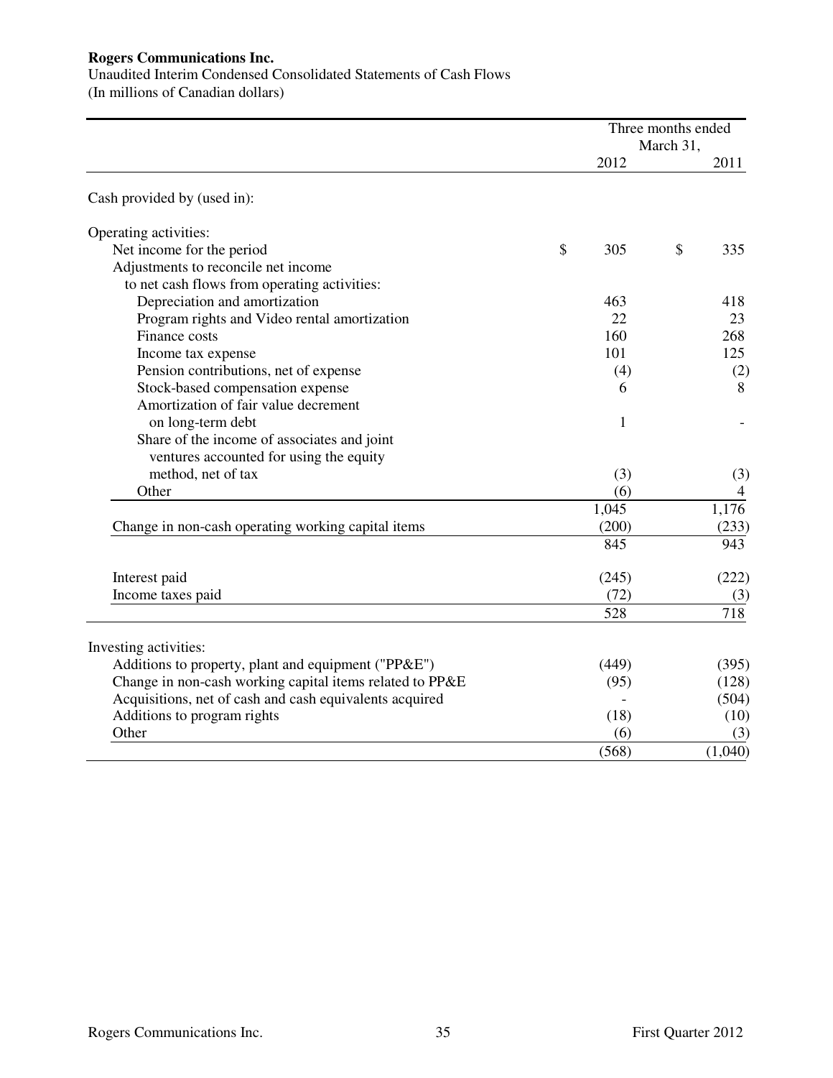Unaudited Interim Condensed Consolidated Statements of Cash Flows

(In millions of Canadian dollars)

| March 31,<br>2012<br>Cash provided by (used in):<br>Operating activities: | 2011<br>335 |
|---------------------------------------------------------------------------|-------------|
|                                                                           |             |
|                                                                           |             |
|                                                                           |             |
|                                                                           |             |
| \$<br>Net income for the period<br>\$<br>305                              |             |
| Adjustments to reconcile net income                                       |             |
| to net cash flows from operating activities:                              |             |
| Depreciation and amortization<br>463                                      | 418         |
| Program rights and Video rental amortization<br>22                        | 23          |
| Finance costs<br>160                                                      | 268         |
| 101<br>Income tax expense                                                 | 125         |
| Pension contributions, net of expense<br>(4)                              | (2)         |
| Stock-based compensation expense<br>6                                     | 8           |
| Amortization of fair value decrement                                      |             |
| on long-term debt<br>1                                                    |             |
| Share of the income of associates and joint                               |             |
| ventures accounted for using the equity                                   |             |
| method, net of tax<br>(3)                                                 | (3)         |
| Other<br>(6)                                                              | 4           |
| 1,045                                                                     | 1,176       |
| (200)<br>Change in non-cash operating working capital items               | (233)       |
| 845                                                                       | 943         |
| (245)<br>Interest paid                                                    | (222)       |
| (72)<br>Income taxes paid                                                 | (3)         |
| 528                                                                       | 718         |
| Investing activities:                                                     |             |
| Additions to property, plant and equipment ("PP&E")<br>(449)              | (395)       |
| Change in non-cash working capital items related to PP&E<br>(95)          | (128)       |
| Acquisitions, net of cash and cash equivalents acquired                   | (504)       |
| Additions to program rights<br>(18)                                       | (10)        |
| Other<br>(6)                                                              | (3)         |
| (568)<br>(1,040)                                                          |             |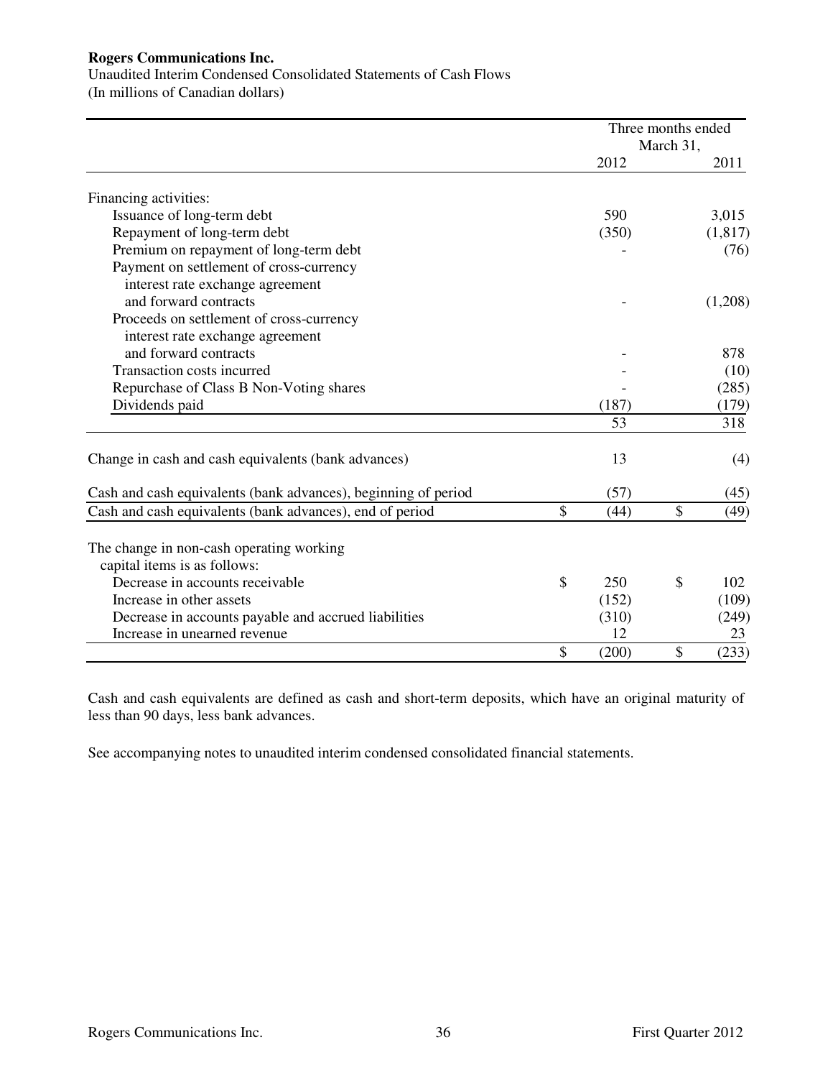Unaudited Interim Condensed Consolidated Statements of Cash Flows

(In millions of Canadian dollars)

|                                                                          | Three months ended | March 31, |         |
|--------------------------------------------------------------------------|--------------------|-----------|---------|
|                                                                          | 2012               |           | 2011    |
| Financing activities:                                                    |                    |           |         |
| Issuance of long-term debt                                               | 590                |           | 3,015   |
| Repayment of long-term debt                                              | (350)              |           | (1,817) |
| Premium on repayment of long-term debt                                   |                    |           | (76)    |
| Payment on settlement of cross-currency                                  |                    |           |         |
| interest rate exchange agreement                                         |                    |           |         |
| and forward contracts                                                    |                    |           | (1,208) |
| Proceeds on settlement of cross-currency                                 |                    |           |         |
| interest rate exchange agreement                                         |                    |           |         |
| and forward contracts                                                    |                    |           | 878     |
| Transaction costs incurred                                               |                    |           | (10)    |
| Repurchase of Class B Non-Voting shares                                  |                    |           | (285)   |
| Dividends paid                                                           | (187)              |           | (179)   |
|                                                                          | 53                 |           | 318     |
| Change in cash and cash equivalents (bank advances)                      | 13                 |           | (4)     |
| Cash and cash equivalents (bank advances), beginning of period           | (57)               |           | (45)    |
| Cash and cash equivalents (bank advances), end of period                 | \$<br>(44)         | \$        | (49)    |
| The change in non-cash operating working<br>capital items is as follows: |                    |           |         |
| Decrease in accounts receivable                                          | \$<br>250          | \$        | 102     |
| Increase in other assets                                                 | (152)              |           | (109)   |
| Decrease in accounts payable and accrued liabilities                     | (310)              |           | (249)   |
| Increase in unearned revenue                                             | 12                 |           | 23      |
|                                                                          | \$<br>(200)        | \$        | (233)   |

Cash and cash equivalents are defined as cash and short-term deposits, which have an original maturity of less than 90 days, less bank advances.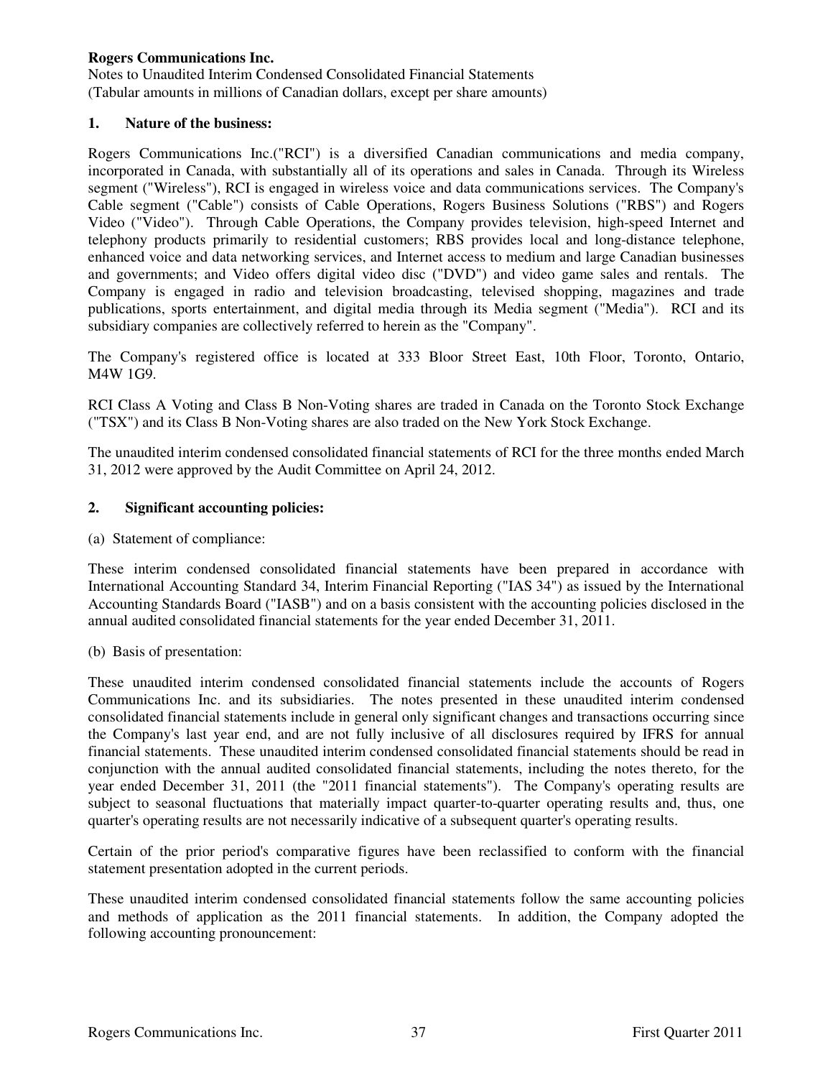Notes to Unaudited Interim Condensed Consolidated Financial Statements (Tabular amounts in millions of Canadian dollars, except per share amounts)

### **1. Nature of the business:**

Rogers Communications Inc.("RCI") is a diversified Canadian communications and media company, incorporated in Canada, with substantially all of its operations and sales in Canada. Through its Wireless segment ("Wireless"), RCI is engaged in wireless voice and data communications services. The Company's Cable segment ("Cable") consists of Cable Operations, Rogers Business Solutions ("RBS") and Rogers Video ("Video"). Through Cable Operations, the Company provides television, high-speed Internet and telephony products primarily to residential customers; RBS provides local and long-distance telephone, enhanced voice and data networking services, and Internet access to medium and large Canadian businesses and governments; and Video offers digital video disc ("DVD") and video game sales and rentals. The Company is engaged in radio and television broadcasting, televised shopping, magazines and trade publications, sports entertainment, and digital media through its Media segment ("Media"). RCI and its subsidiary companies are collectively referred to herein as the "Company".

The Company's registered office is located at 333 Bloor Street East, 10th Floor, Toronto, Ontario, M4W 1G9.

RCI Class A Voting and Class B Non-Voting shares are traded in Canada on the Toronto Stock Exchange ("TSX") and its Class B Non-Voting shares are also traded on the New York Stock Exchange.

The unaudited interim condensed consolidated financial statements of RCI for the three months ended March 31, 2012 were approved by the Audit Committee on April 24, 2012.

### **2. Significant accounting policies:**

(a) Statement of compliance:

These interim condensed consolidated financial statements have been prepared in accordance with International Accounting Standard 34, Interim Financial Reporting ("IAS 34") as issued by the International Accounting Standards Board ("IASB") and on a basis consistent with the accounting policies disclosed in the annual audited consolidated financial statements for the year ended December 31, 2011.

(b) Basis of presentation:

These unaudited interim condensed consolidated financial statements include the accounts of Rogers Communications Inc. and its subsidiaries. The notes presented in these unaudited interim condensed consolidated financial statements include in general only significant changes and transactions occurring since the Company's last year end, and are not fully inclusive of all disclosures required by IFRS for annual financial statements. These unaudited interim condensed consolidated financial statements should be read in conjunction with the annual audited consolidated financial statements, including the notes thereto, for the year ended December 31, 2011 (the "2011 financial statements"). The Company's operating results are subject to seasonal fluctuations that materially impact quarter-to-quarter operating results and, thus, one quarter's operating results are not necessarily indicative of a subsequent quarter's operating results.

Certain of the prior period's comparative figures have been reclassified to conform with the financial statement presentation adopted in the current periods.

These unaudited interim condensed consolidated financial statements follow the same accounting policies and methods of application as the 2011 financial statements. In addition, the Company adopted the following accounting pronouncement: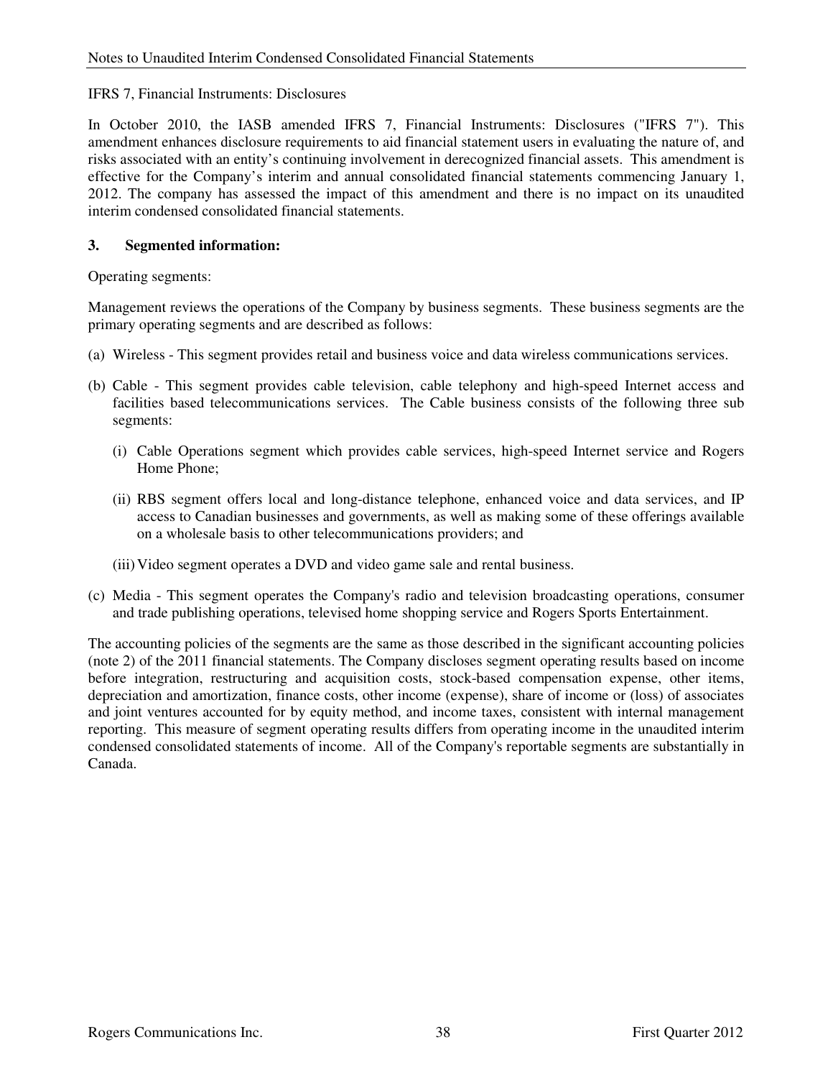## IFRS 7, Financial Instruments: Disclosures

In October 2010, the IASB amended IFRS 7, Financial Instruments: Disclosures ("IFRS 7"). This amendment enhances disclosure requirements to aid financial statement users in evaluating the nature of, and risks associated with an entity's continuing involvement in derecognized financial assets. This amendment is effective for the Company's interim and annual consolidated financial statements commencing January 1, 2012. The company has assessed the impact of this amendment and there is no impact on its unaudited interim condensed consolidated financial statements.

## **3. Segmented information:**

Operating segments:

Management reviews the operations of the Company by business segments. These business segments are the primary operating segments and are described as follows:

- (a) Wireless This segment provides retail and business voice and data wireless communications services.
- (b) Cable This segment provides cable television, cable telephony and high-speed Internet access and facilities based telecommunications services. The Cable business consists of the following three sub segments:
	- (i) Cable Operations segment which provides cable services, high-speed Internet service and Rogers Home Phone;
	- (ii) RBS segment offers local and long-distance telephone, enhanced voice and data services, and IP access to Canadian businesses and governments, as well as making some of these offerings available on a wholesale basis to other telecommunications providers; and
	- (iii) Video segment operates a DVD and video game sale and rental business.
- (c) Media This segment operates the Company's radio and television broadcasting operations, consumer and trade publishing operations, televised home shopping service and Rogers Sports Entertainment.

The accounting policies of the segments are the same as those described in the significant accounting policies (note 2) of the 2011 financial statements. The Company discloses segment operating results based on income before integration, restructuring and acquisition costs, stock-based compensation expense, other items, depreciation and amortization, finance costs, other income (expense), share of income or (loss) of associates and joint ventures accounted for by equity method, and income taxes, consistent with internal management reporting. This measure of segment operating results differs from operating income in the unaudited interim condensed consolidated statements of income. All of the Company's reportable segments are substantially in Canada.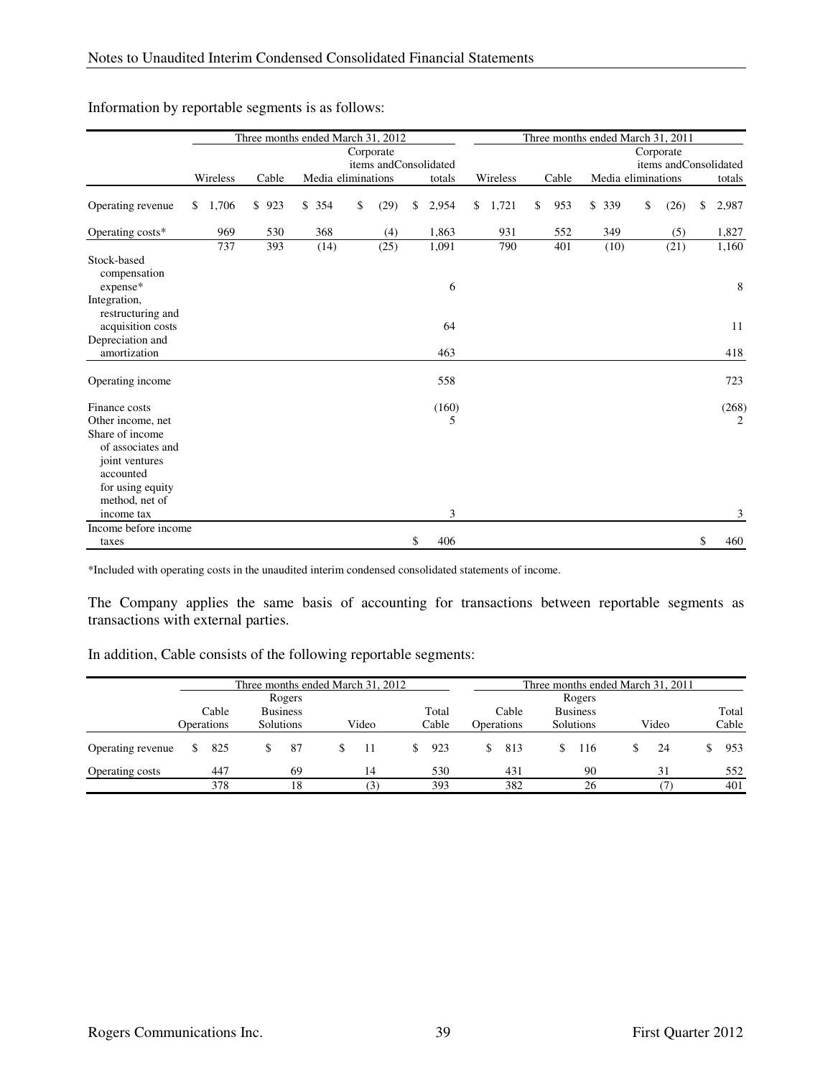|                                         |             |           | Three months ended March 31, 2012 |            |                       |             | Three months ended March 31, 2011 |                    |            |                       |
|-----------------------------------------|-------------|-----------|-----------------------------------|------------|-----------------------|-------------|-----------------------------------|--------------------|------------|-----------------------|
|                                         |             |           |                                   | Corporate  |                       |             |                                   |                    | Corporate  |                       |
|                                         |             |           |                                   |            | items andConsolidated |             |                                   |                    |            | items andConsolidated |
|                                         | Wireless    | Cable     | Media eliminations                |            | totals                | Wireless    | Cable                             | Media eliminations |            | totals                |
| Operating revenue                       | \$<br>1,706 | \$<br>923 | \$354                             | \$<br>(29) | \$<br>2,954           | \$<br>1,721 | \$<br>953                         | \$<br>339          | \$<br>(26) | \$<br>2,987           |
| Operating costs*                        | 969         | 530       | 368                               | (4)        | 1,863                 | 931         | 552                               | 349                | (5)        | 1,827                 |
|                                         | 737         | 393       | (14)                              | (25)       | 1,091                 | 790         | 401                               | (10)               | (21)       | 1,160                 |
| Stock-based<br>compensation<br>expense* |             |           |                                   |            | 6                     |             |                                   |                    |            | 8                     |
| Integration,<br>restructuring and       |             |           |                                   |            |                       |             |                                   |                    |            |                       |
| acquisition costs                       |             |           |                                   |            | 64                    |             |                                   |                    |            | 11                    |
| Depreciation and<br>amortization        |             |           |                                   |            | 463                   |             |                                   |                    |            | 418                   |
| Operating income                        |             |           |                                   |            | 558                   |             |                                   |                    |            | 723                   |
| Finance costs                           |             |           |                                   |            | (160)                 |             |                                   |                    |            | (268)                 |
| Other income, net                       |             |           |                                   |            | 5                     |             |                                   |                    |            | 2                     |
| Share of income                         |             |           |                                   |            |                       |             |                                   |                    |            |                       |
| of associates and                       |             |           |                                   |            |                       |             |                                   |                    |            |                       |
| joint ventures                          |             |           |                                   |            |                       |             |                                   |                    |            |                       |
| accounted                               |             |           |                                   |            |                       |             |                                   |                    |            |                       |
| for using equity                        |             |           |                                   |            |                       |             |                                   |                    |            |                       |
| method, net of                          |             |           |                                   |            |                       |             |                                   |                    |            |                       |
| income tax                              |             |           |                                   |            | 3                     |             |                                   |                    |            | 3                     |
| Income before income                    |             |           |                                   |            |                       |             |                                   |                    |            |                       |
| taxes                                   |             |           |                                   |            | \$<br>406             |             |                                   |                    |            | \$<br>460             |

# Information by reportable segments is as follows:

\*Included with operating costs in the unaudited interim condensed consolidated statements of income.

The Company applies the same basis of accounting for transactions between reportable segments as transactions with external parties.

In addition, Cable consists of the following reportable segments:

|                   |                         |       | Three months ended March 31, 2012 |                 |       |    |       | Three months ended March 31, 2011 |                                |    |                 |  |       |  |       |  |
|-------------------|-------------------------|-------|-----------------------------------|-----------------|-------|----|-------|-----------------------------------|--------------------------------|----|-----------------|--|-------|--|-------|--|
|                   |                         |       |                                   | Rogers          |       |    |       |                                   |                                |    | Rogers          |  |       |  |       |  |
|                   |                         | Cable |                                   | <b>Business</b> |       |    | Total |                                   | Cable                          |    | <b>Business</b> |  |       |  | Total |  |
|                   | Solutions<br>Operations |       |                                   |                 | Video |    | Cable |                                   | Solutions<br><b>Operations</b> |    |                 |  | Video |  |       |  |
| Operating revenue | <sup>\$</sup>           | 825   |                                   | -87             | -11   | S. | 923   |                                   | 813                            | S. | -116            |  | 24    |  | 953   |  |
| Operating costs   |                         | 447   |                                   | 69              | 14    |    | 530   |                                   | 431                            |    | 90              |  | 31    |  | 552   |  |
|                   |                         | 378   |                                   | 18              | (3)   |    | 393   |                                   | 382                            |    | 26              |  |       |  | 401   |  |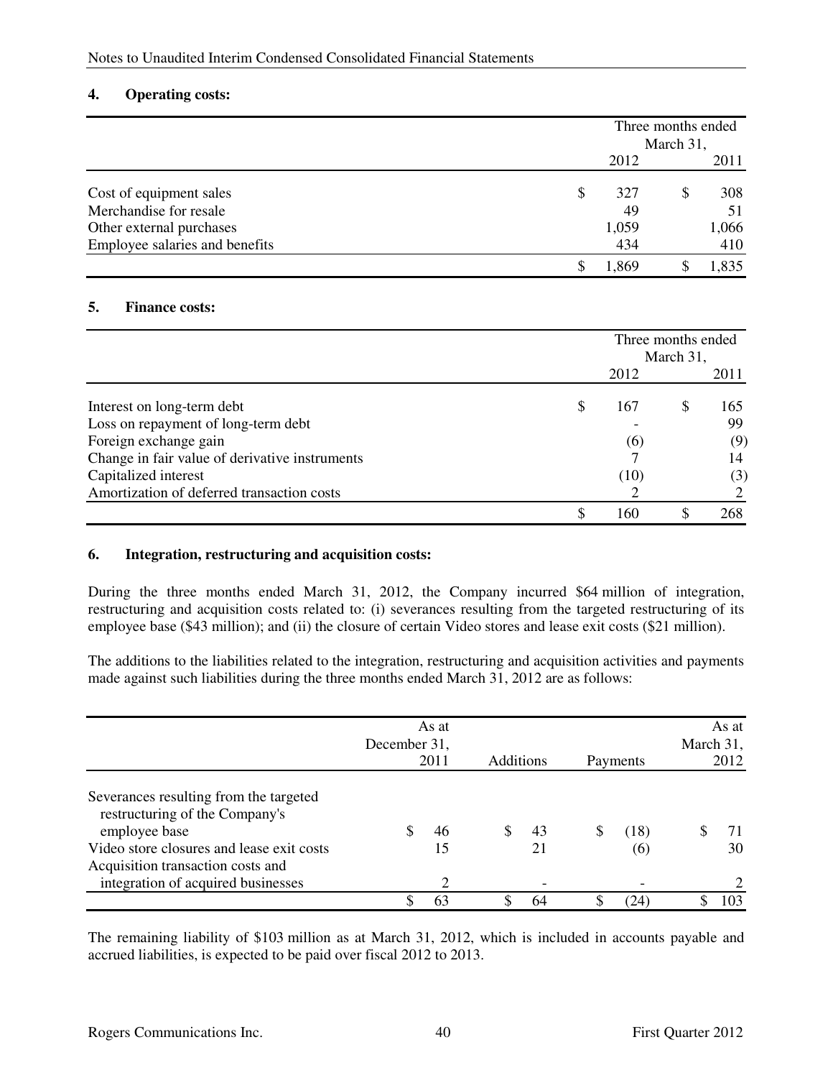## **4. Operating costs:**

|                                |    | Three months ended |    |       |  |
|--------------------------------|----|--------------------|----|-------|--|
|                                |    | March 31,          |    |       |  |
|                                |    | 2012               |    | 2011  |  |
| Cost of equipment sales        | \$ | 327                | \$ | 308   |  |
| Merchandise for resale         |    | 49                 |    | 51    |  |
| Other external purchases       |    | 1,059              |    | 1,066 |  |
| Employee salaries and benefits |    | 434                |    | 410   |  |
|                                | S  | 1,869              |    | 1,835 |  |

## **5. Finance costs:**

|                                                | Three months ended<br>March 31, |  |      |
|------------------------------------------------|---------------------------------|--|------|
|                                                | 2012                            |  | 2011 |
| Interest on long-term debt                     | 167                             |  | 165  |
| Loss on repayment of long-term debt            |                                 |  | 99   |
| Foreign exchange gain                          | (6)                             |  | (9)  |
| Change in fair value of derivative instruments |                                 |  | 14   |
| Capitalized interest                           | (10)                            |  | (3)  |
| Amortization of deferred transaction costs     |                                 |  |      |
|                                                | 160                             |  | 268  |

## **6. Integration, restructuring and acquisition costs:**

During the three months ended March 31, 2012, the Company incurred \$64 million of integration, restructuring and acquisition costs related to: (i) severances resulting from the targeted restructuring of its employee base (\$43 million); and (ii) the closure of certain Video stores and lease exit costs (\$21 million).

The additions to the liabilities related to the integration, restructuring and acquisition activities and payments made against such liabilities during the three months ended March 31, 2012 are as follows:

|                                                                                                                                                                                                                   | December 31, | As at<br>2011              | <b>Additions</b> |          |   | Payments    | March 31, | As at<br>2012 |
|-------------------------------------------------------------------------------------------------------------------------------------------------------------------------------------------------------------------|--------------|----------------------------|------------------|----------|---|-------------|-----------|---------------|
| Severances resulting from the targeted<br>restructuring of the Company's<br>employee base<br>Video store closures and lease exit costs<br>Acquisition transaction costs and<br>integration of acquired businesses |              | 46<br>15<br>$\overline{c}$ |                  | 43<br>21 | ъ | (18)<br>(6) |           | 71<br>30      |
|                                                                                                                                                                                                                   | ¢            | 63                         |                  | 64       |   | (24)        |           | 103           |

The remaining liability of \$103 million as at March 31, 2012, which is included in accounts payable and accrued liabilities, is expected to be paid over fiscal 2012 to 2013.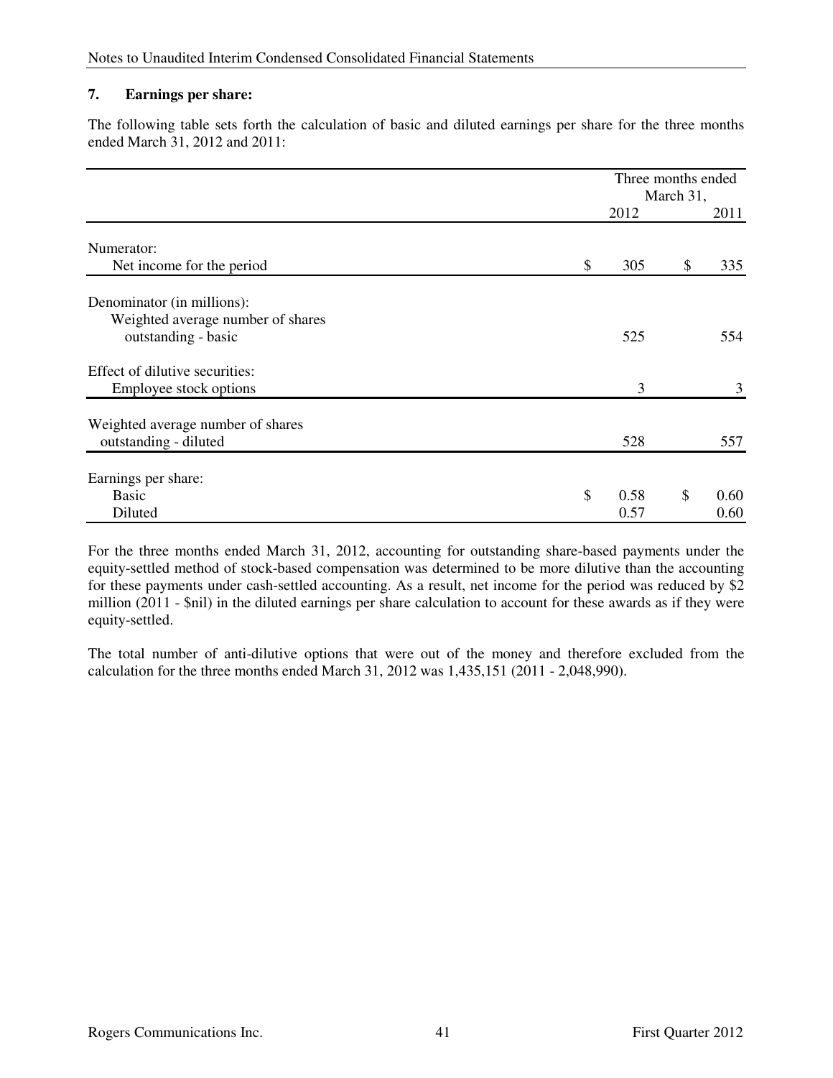# **7. Earnings per share:**

The following table sets forth the calculation of basic and diluted earnings per share for the three months ended March 31, 2012 and 2011:

|                                                                                        |                    | March 31, | Three months ended |  |
|----------------------------------------------------------------------------------------|--------------------|-----------|--------------------|--|
|                                                                                        | 2012               |           | 2011               |  |
| Numerator:<br>Net income for the period                                                | \$<br>305          | \$        | 335                |  |
| Denominator (in millions):<br>Weighted average number of shares<br>outstanding - basic | 525                |           | 554                |  |
| Effect of dilutive securities:<br>Employee stock options                               | 3                  |           | 3                  |  |
| Weighted average number of shares<br>outstanding - diluted                             | 528                |           | 557                |  |
| Earnings per share:<br><b>Basic</b><br>Diluted                                         | \$<br>0.58<br>0.57 | \$        | 0.60<br>0.60       |  |

For the three months ended March 31, 2012, accounting for outstanding share-based payments under the equity-settled method of stock-based compensation was determined to be more dilutive than the accounting for these payments under cash-settled accounting. As a result, net income for the period was reduced by \$2 million (2011 - \$nil) in the diluted earnings per share calculation to account for these awards as if they were equity-settled.

The total number of anti-dilutive options that were out of the money and therefore excluded from the calculation for the three months ended March 31, 2012 was 1,435,151 (2011 - 2,048,990).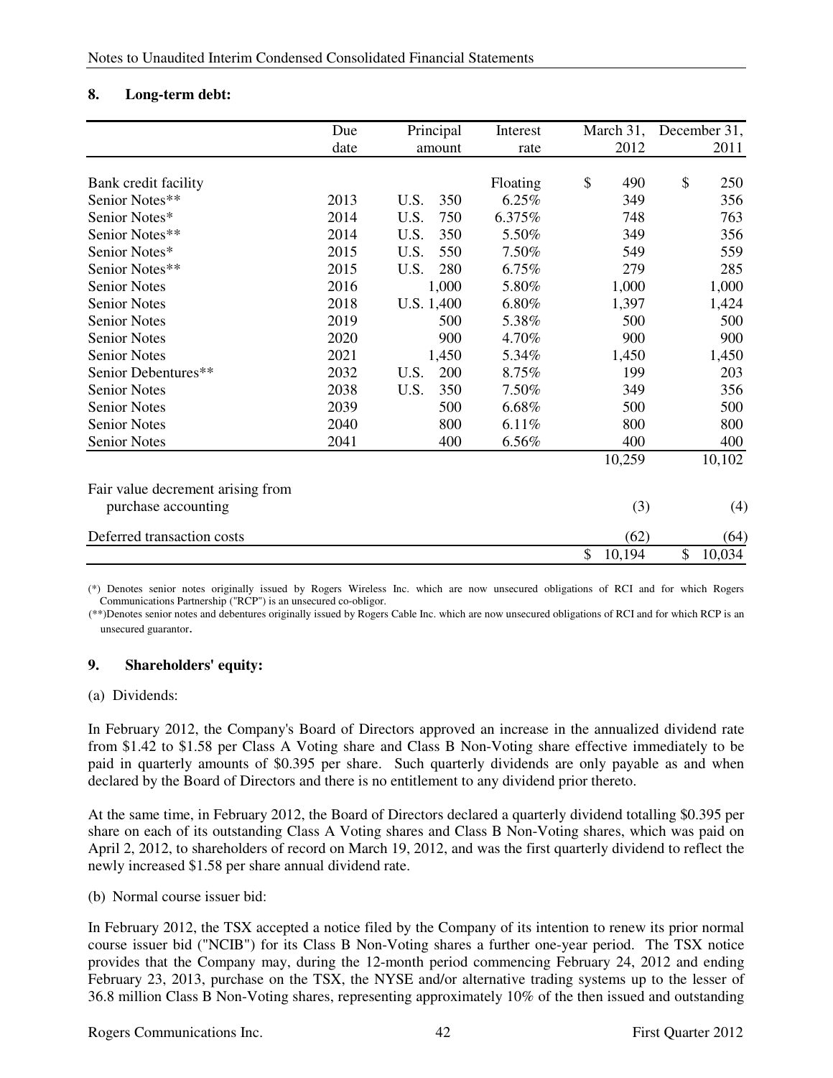# **8. Long-term debt:**

|                                                          | Due  | Principal   | Interest | March 31,    | December 31, |
|----------------------------------------------------------|------|-------------|----------|--------------|--------------|
|                                                          | date | amount      | rate     | 2012         | 2011         |
| Bank credit facility                                     |      |             | Floating | \$<br>490    | \$<br>250    |
| Senior Notes**                                           | 2013 | U.S.<br>350 | 6.25%    | 349          | 356          |
| Senior Notes*                                            | 2014 | U.S.<br>750 | 6.375%   | 748          | 763          |
| Senior Notes**                                           | 2014 | U.S.<br>350 | 5.50%    | 349          | 356          |
| Senior Notes*                                            | 2015 | U.S.<br>550 | 7.50%    | 549          | 559          |
| Senior Notes**                                           | 2015 | 280<br>U.S. | 6.75%    | 279          | 285          |
| <b>Senior Notes</b>                                      | 2016 | 1,000       | 5.80%    | 1,000        | 1,000        |
| <b>Senior Notes</b>                                      | 2018 | U.S. 1,400  | 6.80%    | 1,397        | 1,424        |
| <b>Senior Notes</b>                                      | 2019 | 500         | 5.38%    | 500          | 500          |
| <b>Senior Notes</b>                                      | 2020 | 900         | 4.70%    | 900          | 900          |
| <b>Senior Notes</b>                                      | 2021 | 1,450       | 5.34%    | 1,450        | 1,450        |
| Senior Debentures**                                      | 2032 | U.S.<br>200 | 8.75%    | 199          | 203          |
| <b>Senior Notes</b>                                      | 2038 | U.S.<br>350 | 7.50%    | 349          | 356          |
| <b>Senior Notes</b>                                      | 2039 | 500         | 6.68%    | 500          | 500          |
| <b>Senior Notes</b>                                      | 2040 | 800         | 6.11%    | 800          | 800          |
| <b>Senior Notes</b>                                      | 2041 | 400         | 6.56%    | 400          | 400          |
|                                                          |      |             |          | 10,259       | 10,102       |
| Fair value decrement arising from<br>purchase accounting |      |             |          | (3)          | (4)          |
| Deferred transaction costs                               |      |             |          | (62)         | (64)         |
|                                                          |      |             |          | \$<br>10,194 | \$<br>10,034 |

(\*) Denotes senior notes originally issued by Rogers Wireless Inc. which are now unsecured obligations of RCI and for which Rogers Communications Partnership ("RCP") is an unsecured co-obligor.

(\*\*)Denotes senior notes and debentures originally issued by Rogers Cable Inc. which are now unsecured obligations of RCI and for which RCP is an unsecured guarantor.

# **9. Shareholders' equity:**

### (a) Dividends:

In February 2012, the Company's Board of Directors approved an increase in the annualized dividend rate from \$1.42 to \$1.58 per Class A Voting share and Class B Non-Voting share effective immediately to be paid in quarterly amounts of \$0.395 per share. Such quarterly dividends are only payable as and when declared by the Board of Directors and there is no entitlement to any dividend prior thereto.

At the same time, in February 2012, the Board of Directors declared a quarterly dividend totalling \$0.395 per share on each of its outstanding Class A Voting shares and Class B Non-Voting shares, which was paid on April 2, 2012, to shareholders of record on March 19, 2012, and was the first quarterly dividend to reflect the newly increased \$1.58 per share annual dividend rate.

(b) Normal course issuer bid:

In February 2012, the TSX accepted a notice filed by the Company of its intention to renew its prior normal course issuer bid ("NCIB") for its Class B Non-Voting shares a further one-year period. The TSX notice provides that the Company may, during the 12-month period commencing February 24, 2012 and ending February 23, 2013, purchase on the TSX, the NYSE and/or alternative trading systems up to the lesser of 36.8 million Class B Non-Voting shares, representing approximately 10% of the then issued and outstanding

Rogers Communications Inc. 42 First Quarter 2012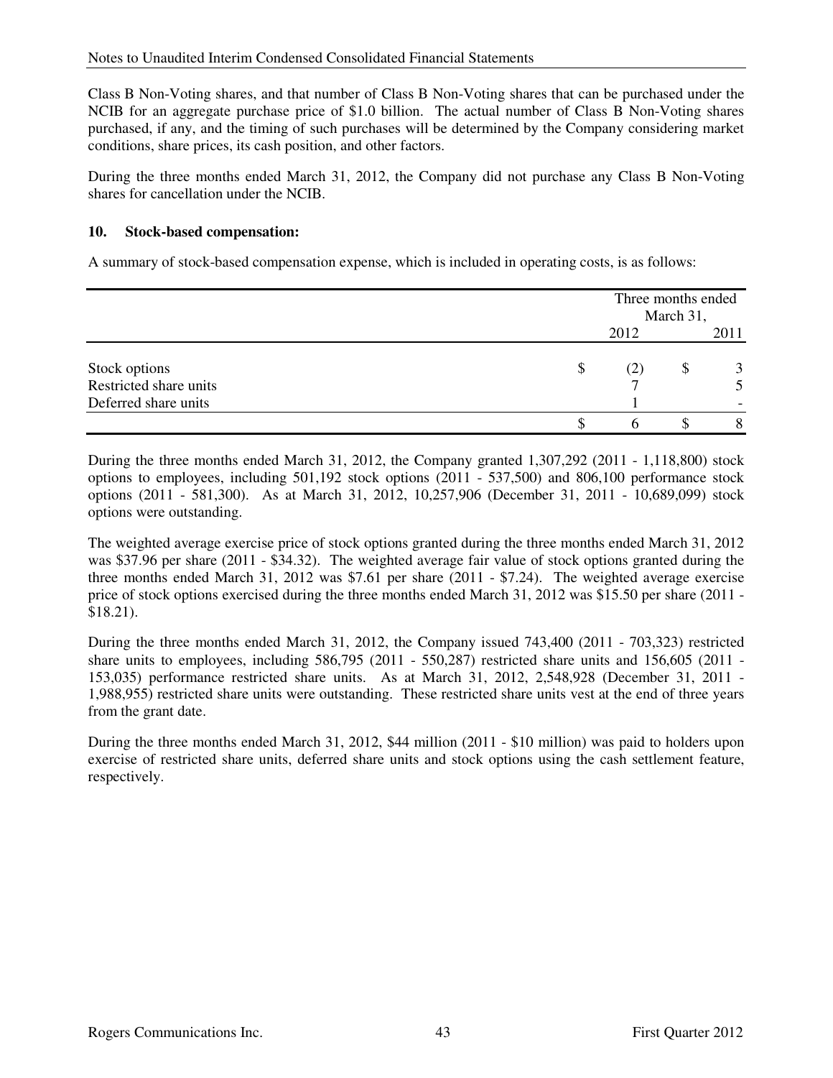Class B Non-Voting shares, and that number of Class B Non-Voting shares that can be purchased under the NCIB for an aggregate purchase price of \$1.0 billion. The actual number of Class B Non-Voting shares purchased, if any, and the timing of such purchases will be determined by the Company considering market conditions, share prices, its cash position, and other factors.

During the three months ended March 31, 2012, the Company did not purchase any Class B Non-Voting shares for cancellation under the NCIB.

# **10. Stock-based compensation:**

A summary of stock-based compensation expense, which is included in operating costs, is as follows:

|                        | Three months ended<br>March 31, |   |      |
|------------------------|---------------------------------|---|------|
|                        | 2012                            |   | 2011 |
| Stock options          | \$<br>(2)                       | Φ |      |
| Restricted share units |                                 |   |      |
| Deferred share units   |                                 |   |      |
|                        |                                 |   |      |

During the three months ended March 31, 2012, the Company granted 1,307,292 (2011 - 1,118,800) stock options to employees, including 501,192 stock options (2011 - 537,500) and 806,100 performance stock options (2011 - 581,300). As at March 31, 2012, 10,257,906 (December 31, 2011 - 10,689,099) stock options were outstanding.

The weighted average exercise price of stock options granted during the three months ended March 31, 2012 was \$37.96 per share (2011 - \$34.32). The weighted average fair value of stock options granted during the three months ended March 31, 2012 was \$7.61 per share (2011 - \$7.24). The weighted average exercise price of stock options exercised during the three months ended March 31, 2012 was \$15.50 per share (2011 - \$18.21).

During the three months ended March 31, 2012, the Company issued 743,400 (2011 - 703,323) restricted share units to employees, including 586,795 (2011 - 550,287) restricted share units and 156,605 (2011 - 153,035) performance restricted share units. As at March 31, 2012, 2,548,928 (December 31, 2011 - 1,988,955) restricted share units were outstanding. These restricted share units vest at the end of three years from the grant date.

During the three months ended March 31, 2012, \$44 million (2011 - \$10 million) was paid to holders upon exercise of restricted share units, deferred share units and stock options using the cash settlement feature, respectively.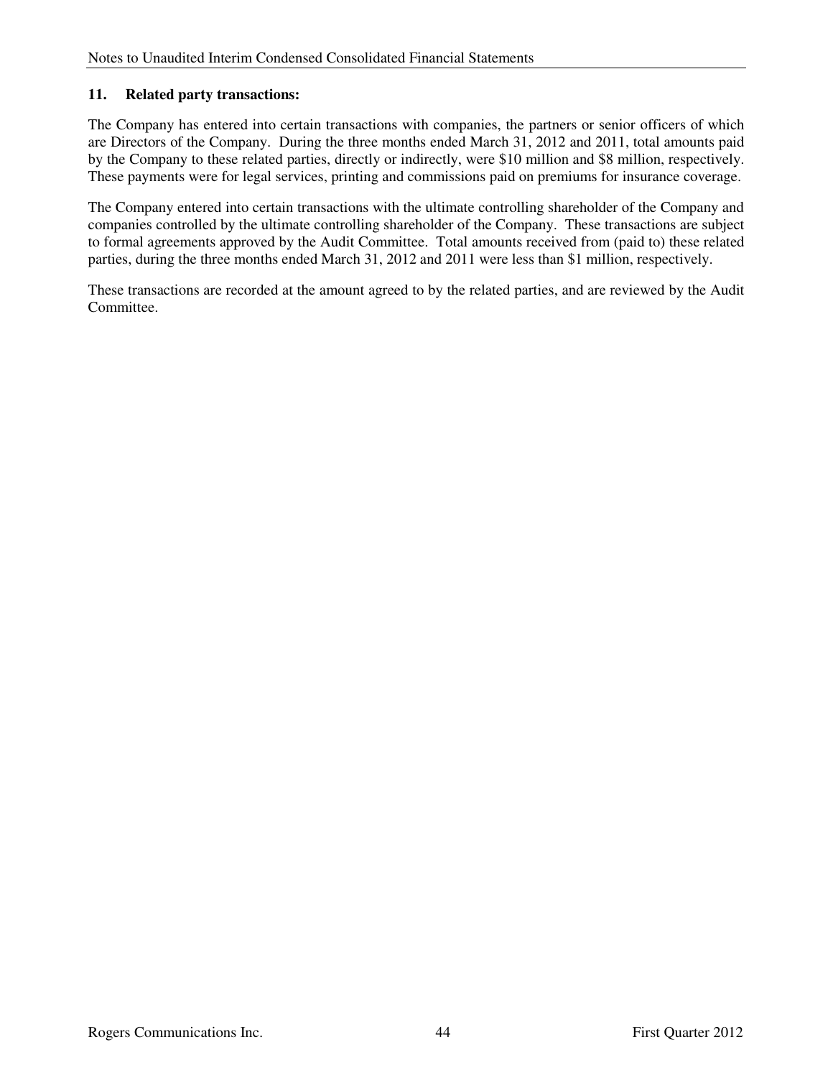# **11. Related party transactions:**

The Company has entered into certain transactions with companies, the partners or senior officers of which are Directors of the Company. During the three months ended March 31, 2012 and 2011, total amounts paid by the Company to these related parties, directly or indirectly, were \$10 million and \$8 million, respectively. These payments were for legal services, printing and commissions paid on premiums for insurance coverage.

The Company entered into certain transactions with the ultimate controlling shareholder of the Company and companies controlled by the ultimate controlling shareholder of the Company. These transactions are subject to formal agreements approved by the Audit Committee. Total amounts received from (paid to) these related parties, during the three months ended March 31, 2012 and 2011 were less than \$1 million, respectively.

These transactions are recorded at the amount agreed to by the related parties, and are reviewed by the Audit Committee.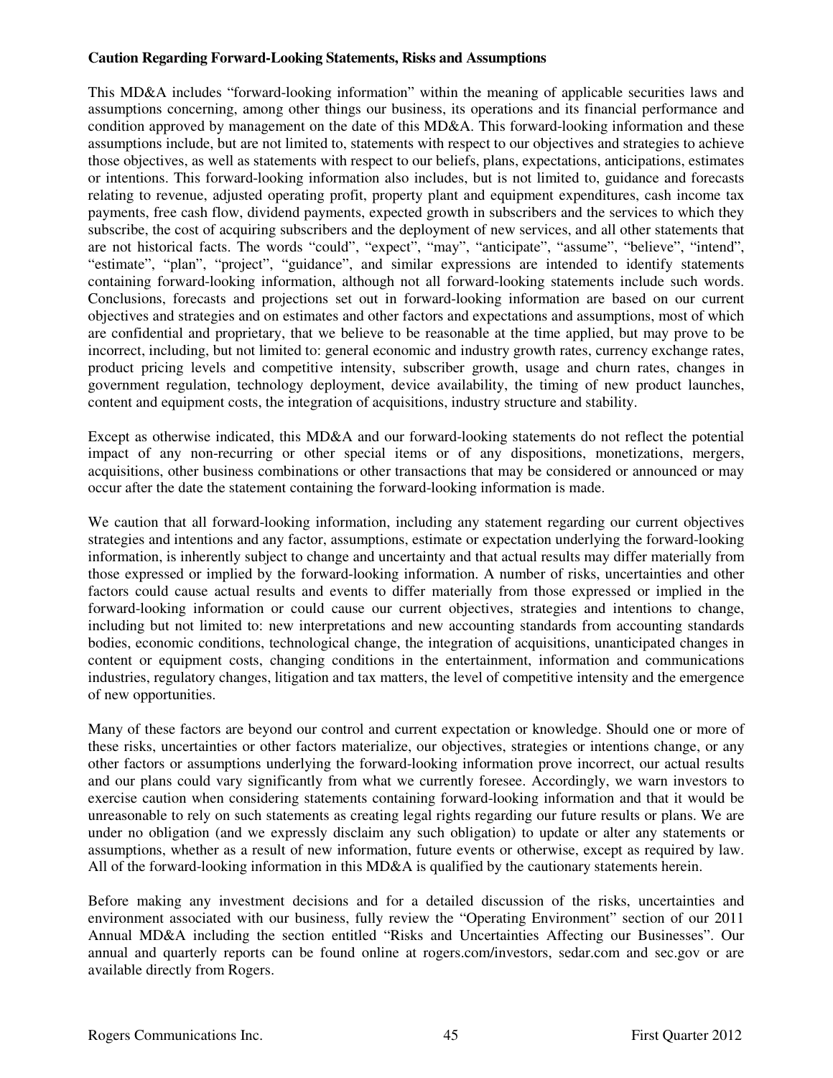### **Caution Regarding Forward-Looking Statements, Risks and Assumptions**

This MD&A includes "forward-looking information" within the meaning of applicable securities laws and assumptions concerning, among other things our business, its operations and its financial performance and condition approved by management on the date of this MD&A. This forward-looking information and these assumptions include, but are not limited to, statements with respect to our objectives and strategies to achieve those objectives, as well as statements with respect to our beliefs, plans, expectations, anticipations, estimates or intentions. This forward-looking information also includes, but is not limited to, guidance and forecasts relating to revenue, adjusted operating profit, property plant and equipment expenditures, cash income tax payments, free cash flow, dividend payments, expected growth in subscribers and the services to which they subscribe, the cost of acquiring subscribers and the deployment of new services, and all other statements that are not historical facts. The words "could", "expect", "may", "anticipate", "assume", "believe", "intend", "estimate", "plan", "project", "guidance", and similar expressions are intended to identify statements containing forward-looking information, although not all forward-looking statements include such words. Conclusions, forecasts and projections set out in forward-looking information are based on our current objectives and strategies and on estimates and other factors and expectations and assumptions, most of which are confidential and proprietary, that we believe to be reasonable at the time applied, but may prove to be incorrect, including, but not limited to: general economic and industry growth rates, currency exchange rates, product pricing levels and competitive intensity, subscriber growth, usage and churn rates, changes in government regulation, technology deployment, device availability, the timing of new product launches, content and equipment costs, the integration of acquisitions, industry structure and stability.

Except as otherwise indicated, this MD&A and our forward-looking statements do not reflect the potential impact of any non-recurring or other special items or of any dispositions, monetizations, mergers, acquisitions, other business combinations or other transactions that may be considered or announced or may occur after the date the statement containing the forward-looking information is made.

We caution that all forward-looking information, including any statement regarding our current objectives strategies and intentions and any factor, assumptions, estimate or expectation underlying the forward-looking information, is inherently subject to change and uncertainty and that actual results may differ materially from those expressed or implied by the forward-looking information. A number of risks, uncertainties and other factors could cause actual results and events to differ materially from those expressed or implied in the forward-looking information or could cause our current objectives, strategies and intentions to change, including but not limited to: new interpretations and new accounting standards from accounting standards bodies, economic conditions, technological change, the integration of acquisitions, unanticipated changes in content or equipment costs, changing conditions in the entertainment, information and communications industries, regulatory changes, litigation and tax matters, the level of competitive intensity and the emergence of new opportunities.

Many of these factors are beyond our control and current expectation or knowledge. Should one or more of these risks, uncertainties or other factors materialize, our objectives, strategies or intentions change, or any other factors or assumptions underlying the forward-looking information prove incorrect, our actual results and our plans could vary significantly from what we currently foresee. Accordingly, we warn investors to exercise caution when considering statements containing forward-looking information and that it would be unreasonable to rely on such statements as creating legal rights regarding our future results or plans. We are under no obligation (and we expressly disclaim any such obligation) to update or alter any statements or assumptions, whether as a result of new information, future events or otherwise, except as required by law. All of the forward-looking information in this MD&A is qualified by the cautionary statements herein.

Before making any investment decisions and for a detailed discussion of the risks, uncertainties and environment associated with our business, fully review the "Operating Environment" section of our 2011 Annual MD&A including the section entitled "Risks and Uncertainties Affecting our Businesses". Our annual and quarterly reports can be found online at rogers.com/investors, sedar.com and sec.gov or are available directly from Rogers.